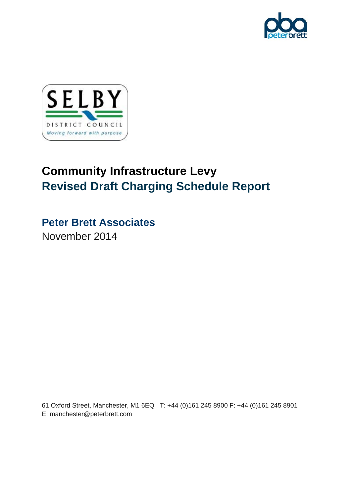



# **Community Infrastructure Levy Revised Draft Charging Schedule Report**

# **Peter Brett Associates**

November 2014

61 Oxford Street, Manchester, M1 6EQ T: +44 (0)161 245 8900 F: +44 (0)161 245 8901 E: manchester@peterbrett.com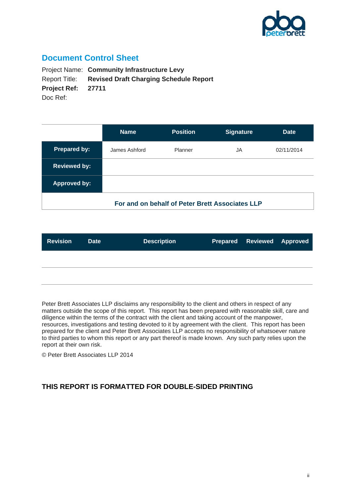

### **Document Control Sheet**

Project Name: **Community Infrastructure Levy**  Report Title: **Revised Draft Charging Schedule Report Project Ref: 27711**  Doc Ref:

|                                                 | <b>Name</b>   | <b>Position</b> | <b>Signature</b> | <b>Date</b> |  |  |  |
|-------------------------------------------------|---------------|-----------------|------------------|-------------|--|--|--|
| <b>Prepared by:</b>                             | James Ashford | Planner         | JA               | 02/11/2014  |  |  |  |
| <b>Reviewed by:</b>                             |               |                 |                  |             |  |  |  |
| <b>Approved by:</b>                             |               |                 |                  |             |  |  |  |
| For and on behalf of Peter Brett Associates LLP |               |                 |                  |             |  |  |  |

| <b>Revision</b> | <b>Date</b> | <b>Description</b> | <b>Prepared Reviewed Approved</b> |  |
|-----------------|-------------|--------------------|-----------------------------------|--|
|                 |             |                    |                                   |  |
|                 |             |                    |                                   |  |

Peter Brett Associates LLP disclaims any responsibility to the client and others in respect of any matters outside the scope of this report. This report has been prepared with reasonable skill, care and diligence within the terms of the contract with the client and taking account of the manpower, resources, investigations and testing devoted to it by agreement with the client. This report has been prepared for the client and Peter Brett Associates LLP accepts no responsibility of whatsoever nature to third parties to whom this report or any part thereof is made known. Any such party relies upon the report at their own risk.

© Peter Brett Associates LLP 2014

### **THIS REPORT IS FORMATTED FOR DOUBLE-SIDED PRINTING**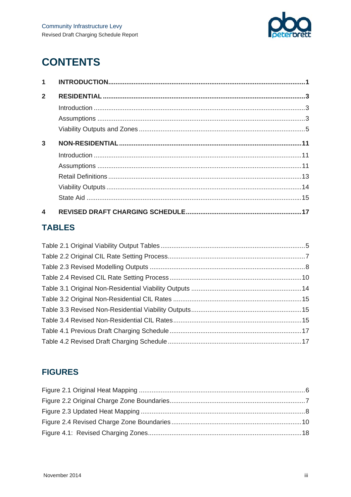

# **CONTENTS**

| 1              |  |
|----------------|--|
| $\overline{2}$ |  |
|                |  |
|                |  |
|                |  |
| 3              |  |
|                |  |
|                |  |
|                |  |
|                |  |
|                |  |
| 4              |  |

## **TABLES**

## **FIGURES**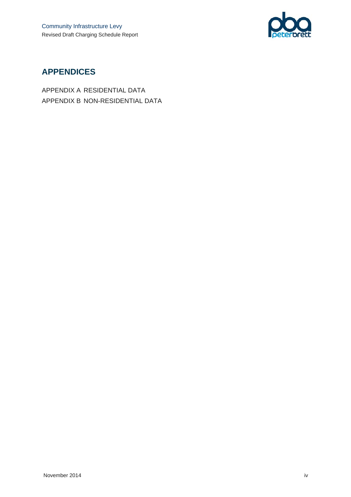

## **APPENDICES**

APPENDIX A RESIDENTIAL DATA APPENDIX B NON-RESIDENTIAL DATA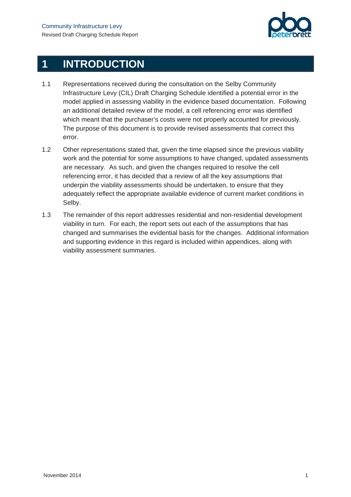

# **1 INTRODUCTION**

- 1.1 Representations received during the consultation on the Selby Community Infrastructure Levy (CIL) Draft Charging Schedule identified a potential error in the model applied in assessing viability in the evidence based documentation. Following an additional detailed review of the model, a cell referencing error was identified which meant that the purchaser's costs were not properly accounted for previously. The purpose of this document is to provide revised assessments that correct this error.
- 1.2 Other representations stated that, given the time elapsed since the previous viability work and the potential for some assumptions to have changed, updated assessments are necessary. As such, and given the changes required to resolve the cell referencing error, it has decided that a review of all the key assumptions that underpin the viability assessments should be undertaken, to ensure that they adequately reflect the appropriate available evidence of current market conditions in Selby.
- 1.3 The remainder of this report addresses residential and non-residential development viability in turn. For each, the report sets out each of the assumptions that has changed and summarises the evidential basis for the changes. Additional information and supporting evidence in this regard is included within appendices, along with viability assessment summaries.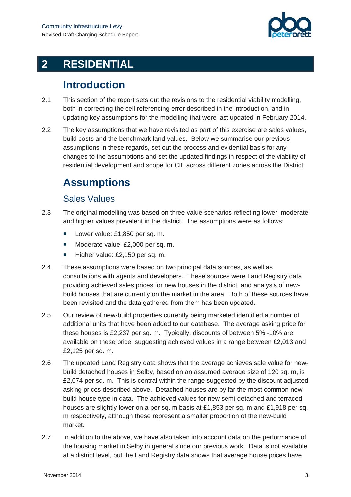

# **2 RESIDENTIAL**

# **Introduction**

- 2.1 This section of the report sets out the revisions to the residential viability modelling, both in correcting the cell referencing error described in the introduction, and in updating key assumptions for the modelling that were last updated in February 2014.
- 2.2 The key assumptions that we have revisited as part of this exercise are sales values, build costs and the benchmark land values. Below we summarise our previous assumptions in these regards, set out the process and evidential basis for any changes to the assumptions and set the updated findings in respect of the viability of residential development and scope for CIL across different zones across the District.

# **Assumptions**

### Sales Values

- 2.3 The original modelling was based on three value scenarios reflecting lower, moderate and higher values prevalent in the district. The assumptions were as follows:
	- Lower value: £1,850 per sq. m.
	- Moderate value: £2,000 per sq. m.
	- Higher value: £2,150 per sq. m.
- 2.4 These assumptions were based on two principal data sources, as well as consultations with agents and developers. These sources were Land Registry data providing achieved sales prices for new houses in the district; and analysis of newbuild houses that are currently on the market in the area. Both of these sources have been revisited and the data gathered from them has been updated.
- 2.5 Our review of new-build properties currently being marketed identified a number of additional units that have been added to our database. The average asking price for these houses is £2,237 per sq. m. Typically, discounts of between 5% -10% are available on these price, suggesting achieved values in a range between £2,013 and £2,125 per sq. m.
- 2.6 The updated Land Registry data shows that the average achieves sale value for newbuild detached houses in Selby, based on an assumed average size of 120 sq. m, is £2,074 per sq. m. This is central within the range suggested by the discount adjusted asking prices described above. Detached houses are by far the most common newbuild house type in data. The achieved values for new semi-detached and terraced houses are slightly lower on a per sq. m basis at £1,853 per sq. m and £1,918 per sq. m respectively, although these represent a smaller proportion of the new-build market.
- 2.7 In addition to the above, we have also taken into account data on the performance of the housing market in Selby in general since our previous work. Data is not available at a district level, but the Land Registry data shows that average house prices have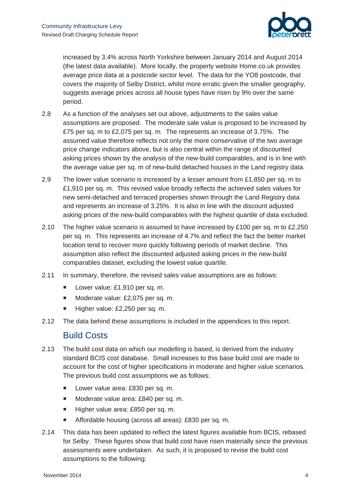

increased by 3.4% across North Yorkshire between January 2014 and August 2014 (the latest data available). More locally, the property website Home.co.uk provides average price data at a postcode sector level. The data for the YO8 postcode, that covers the majority of Selby District, whilst more erratic given the smaller geography, suggests average prices across all house types have risen by 9% over the same period.

- 2.8 As a function of the analyses set out above, adjustments to the sales value assumptions are proposed. The moderate sale value is proposed to be increased by £75 per sq. m to £2,075 per sq. m. The represents an increase of 3.75%. The assumed value therefore reflects not only the more conservative of the two average price change indicators above, but is also central within the range of discounted asking prices shown by the analysis of the new-build comparables, and is in line with the average value per sq. m of new-build detached houses in the Land registry data.
- 2.9 The lower value scenario is increased by a lesser amount from £1,850 per sq. m to £1,910 per sq. m. This revised value broadly reflects the achieved sales values for new semi-detached and terraced properties shown through the Land Registry data and represents an increase of 3.25%. It is also in line with the discount adjusted asking prices of the new-build comparables with the highest quartile of data excluded.
- 2.10 The higher value scenario is assumed to have increased by £100 per sq. m to £2,250 per sq. m. This represents an increase of 4.7% and reflect the fact the better market location tend to recover more quickly following periods of market decline. This assumption also reflect the discounted adjusted asking prices in the new-build comparables dataset, excluding the lowest value quartile.
- 2.11 In summary, therefore, the revised sales value assumptions are as follows:
	- Lower value: £1,910 per sq. m.
	- Moderate value: £2,075 per sq. m.
	- Higher value: £2,250 per sq. m.
- 2.12 The data behind these assumptions is included in the appendices to this report.

#### Build Costs

- 2.13 The build cost data on which our modelling is based, is derived from the industry standard BCIS cost database. Small increases to this base build cost are made to account for the cost of higher specifications in moderate and higher value scenarios. The previous build cost assumptions we as follows:
	- **Lower value area: £830 per sq. m.**
	- Moderate value area: £840 per sq. m.
	- Higher value area: £850 per sq. m.
	- Affordable housing (across all areas): £830 per sq. m.
- 2.14 This data has been updated to reflect the latest figures available from BCIS, rebased for Selby. These figures show that build cost have risen materially since the previous assessments were undertaken. As such, it is proposed to revise the build cost assumptions to the following: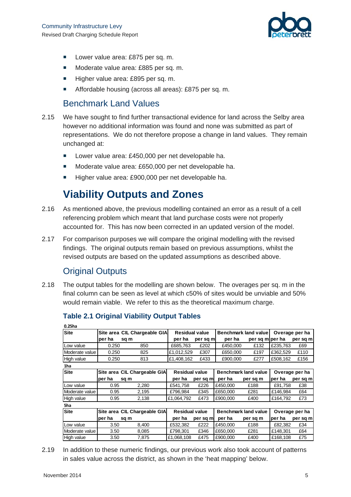

- Lower value area: £875 per sq. m.
- Moderate value area: £885 per sq. m.
- Higher value area: £895 per sq. m.
- Affordable housing (across all areas): £875 per sq. m.

### Benchmark Land Values

- 2.15 We have sought to find further transactional evidence for land across the Selby area however no additional information was found and none was submitted as part of representations. We do not therefore propose a change in land values. They remain unchanged at:
	- Lower value area: £450,000 per net developable ha.
	- Moderate value area: £650,000 per net developable ha.
	- Higher value area: £900,000 per net developable ha.

# **Viability Outputs and Zones**

- 2.16 As mentioned above, the previous modelling contained an error as a result of a cell referencing problem which meant that land purchase costs were not properly accounted for. This has now been corrected in an updated version of the model.
- 2.17 For comparison purposes we will compare the original modelling with the revised findings. The original outputs remain based on previous assumptions, whilst the revised outputs are based on the updated assumptions as described above.

### Original Outputs

**0.25ha**

2.18 The output tables for the modelling are shown below. The overages per sq. m in the final column can be seen as level at which c50% of sites would be unviable and 50% would remain viable. We refer to this as the theoretical maximum charge.

| v.zona         |        |                              |                       |          |                             |                      |          |                |
|----------------|--------|------------------------------|-----------------------|----------|-----------------------------|----------------------|----------|----------------|
| Site           |        | Site area CIL Chargeable GIA | <b>Residual value</b> |          |                             | Benchmark land value |          | Overage per ha |
|                | per ha | sq m                         | per ha                | per sq m | per ha                      | per sq m per ha      |          | per sq m       |
| Low value      | 0.250  | 850                          | £685,763              | £202     | £450,000                    | £132                 | £235.763 | £69            |
| Moderate value | 0.250  | 825                          | £1,012,529            | £307     | £650,000                    | £197                 | £362,529 | £110           |
| High value     | 0.250  | 813                          | £1,408,162            | £433     | £900,000                    | £277                 | £508,162 | £156           |
| 1ha            |        |                              |                       |          |                             |                      |          |                |
| Site           |        | Site area CIL Chargeable GIA | <b>Residual value</b> |          | <b>Benchmark land value</b> |                      |          | Overage per ha |
|                | per ha | sq m                         | per ha                | per sq m | per ha                      | per sq m             | per ha   | per sq m       |
| Low value      | 0.95   | 2,280                        | £541,758              | £226     | £450,000                    | £188                 | £91,758  | £38            |
| Moderate value | 0.95   | 2,195                        | £796.984              | £345     | £650,000                    | £281                 | £146,984 | £64            |
| High value     | 0.95   | 2,138                        | £1,064,792            | £473     | £900.000                    | £400                 | £164.792 | £73            |
| 5ha            |        |                              |                       |          |                             |                      |          |                |
| Site           |        | Site area CIL Chargeable GIA | <b>Residual value</b> |          | <b>Benchmark land value</b> |                      |          | Overage per ha |
|                | per ha | sq m                         | per ha                | per sq m | per ha                      | per sq m             | per ha   | per sq m       |
| Low value      | 3.50   | 8,400                        | £532,382              | £222     | £450,000                    | £188                 | £82,382  | £34            |
| Moderate value | 3.50   | 8,085                        | £798.301              | £346     | £650,000                    | £281                 | £148,301 | £64            |
| High value     | 3.50   | 7,875                        | £1,068,108            | £475     | £900,000                    | £400                 | £168,108 | £75            |
|                |        |                              |                       |          |                             |                      |          |                |

#### **Table 2.1 Original Viability Output Tables**

2.19 In addition to these numeric findings, our previous work also took account of patterns in sales value across the district, as shown in the 'heat mapping' below.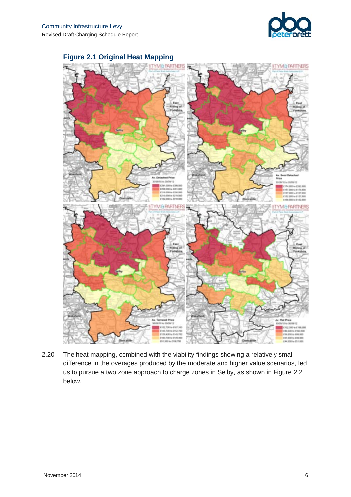



#### **Figure 2.1 Original Heat Mapping**

2.20 The heat mapping, combined with the viability findings showing a relatively small difference in the overages produced by the moderate and higher value scenarios, led us to pursue a two zone approach to charge zones in Selby, as shown in Figure 2.2 below.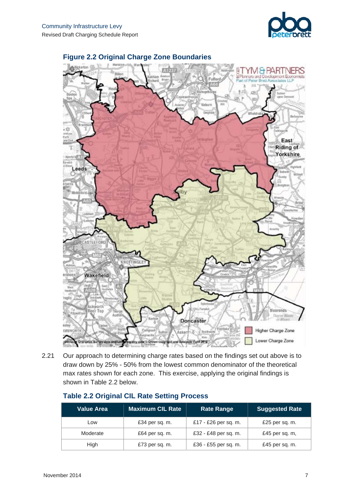



#### **Figure 2.2 Original Charge Zone Boundaries**

2.21 Our approach to determining charge rates based on the findings set out above is to draw down by 25% - 50% from the lowest common denominator of the theoretical max rates shown for each zone. This exercise, applying the original findings is shown in Table 2.2 below.

| <b>Value Area</b> | <b>Maximum CIL Rate</b> | <b>Rate Range</b>    | <b>Suggested Rate</b> |
|-------------------|-------------------------|----------------------|-----------------------|
| LOW               | £34 per sq. m.          | £17 - £26 per sq. m. | £25 per sq. m.        |
| Moderate          | £64 per sq. m.          | £32 - £48 per sq. m. | £45 per sq. m,        |
| High              | £73 per sq. m.          | £36 - £55 per sq. m. | £45 per sq. m.        |

#### **Table 2.2 Original CIL Rate Setting Process**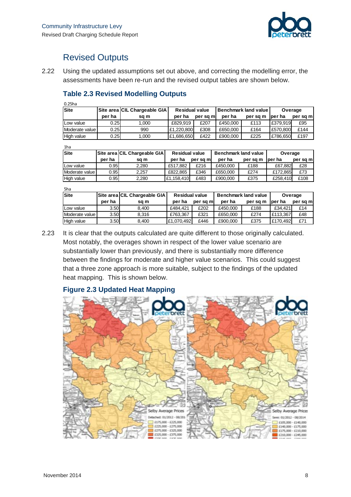

## Revised Outputs

2.22 Using the updated assumptions set out above, and correcting the modelling error, the assessments have been re-run and the revised output tables are shown below.

#### **Table 2.3 Revised Modelling Outputs**

|--|

| Site             |        | Site area CIL Chargeable GIA | <b>Residual value</b> |          | <b>Benchmark land value</b> |          | Overage  |          |
|------------------|--------|------------------------------|-----------------------|----------|-----------------------------|----------|----------|----------|
|                  | per ha | sa m                         | per ha                | per sa m | per ha                      | per sa m | lper ha  | per sq m |
| Low value        | 0.25   | .000                         | £829.919              | £207     | £450,000                    | £113     | £379.919 | £95      |
| Moderate value l | 0.25   | 990                          | £1.220.800            | £308     | £650,000                    | £164     | £570,800 | £144     |
| High value       | 0.25   | .000                         | £1.686.650            | £422     | £900,000                    | £225     | £786.650 | £197     |

1ha

| .                |        |                              |                       |          |                             |          |          |          |
|------------------|--------|------------------------------|-----------------------|----------|-----------------------------|----------|----------|----------|
| Site             |        | Site area CIL Chargeable GIA | <b>Residual value</b> |          | <b>Benchmark land value</b> |          | Overage  |          |
|                  | per ha | sa m                         | per ha                | per sa m | per ha                      | per sa m | lper ha  | per sq m |
| Low value        | 0.95   | 2.280                        | £517.882              | £216     | £450,000                    | £188     | £67.882  | £28      |
| Moderate value l | 0.95   | 2.257                        | £822.865              | £346     | £650,000                    | £274     | £172.865 | £73      |
| High value       | 0.95   | 2.280                        | £1.158.410            | £483     | £900.000                    | £375     | £258.410 | £108     |
|                  |        |                              |                       |          |                             |          |          |          |

| 5ha            |        |                              |                       |           |                             |          |          |          |
|----------------|--------|------------------------------|-----------------------|-----------|-----------------------------|----------|----------|----------|
| <b>Site</b>    |        | Site area CIL Chargeable GIA | <b>Residual value</b> |           | <b>Benchmark land value</b> |          | Overage  |          |
|                | per ha | sa m                         | per ha                | per sa mi | per ha                      | per sa m | ber ha   | per sq m |
| Low value      | 3.50   | 8.400                        | £484.421              | £202      | £450,000                    | £188     | £34.421  | £14      |
| Moderate value | 3.50   | 8.316                        | £763.367              | £321      | £650,000                    | £274     | £113,367 | £48      |
| High value     | 3.50   | 8.400                        | £1.070.492            | £446      | £900,000                    | £375     | £170.492 | £71      |

2.23 It is clear that the outputs calculated are quite different to those originally calculated. Most notably, the overages shown in respect of the lower value scenario are substantially lower than previously, and there is substantially more difference between the findings for moderate and higher value scenarios. This could suggest that a three zone approach is more suitable, subject to the findings of the updated heat mapping. This is shown below.

#### **Figure 2.3 Updated Heat Mapping**

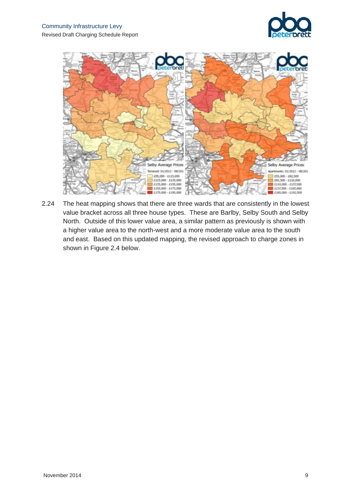



2.24 The heat mapping shows that there are three wards that are consistently in the lowest value bracket across all three house types. These are Barlby, Selby South and Selby North. Outside of this lower value area, a similar pattern as previously is shown with a higher value area to the north-west and a more moderate value area to the south and east. Based on this updated mapping, the revised approach to charge zones in shown in Figure 2.4 below.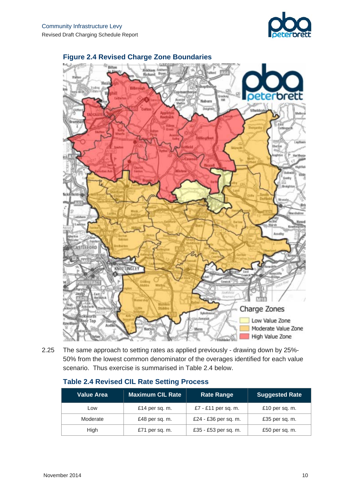



#### **Figure 2.4 Revised Charge Zone Boundaries**

2.25 The same approach to setting rates as applied previously - drawing down by 25%- 50% from the lowest common denominator of the overages identified for each value scenario. Thus exercise is summarised in Table 2.4 below.

| <b>Maximum CIL Rate</b><br><b>Value Area</b> |                | <b>Rate Range</b>    | <b>Suggested Rate</b> |
|----------------------------------------------|----------------|----------------------|-----------------------|
| Low                                          | £14 per sq. m. | £7 - £11 per sq. m.  | £10 per sq. m.        |
| Moderate                                     | £48 per sq. m. | £24 - £36 per sq. m. | £35 per sq. m.        |
| High                                         | £71 per sq. m. | £35 - £53 per sq. m. | £50 per sq. m.        |

#### **Table 2.4 Revised CIL Rate Setting Process**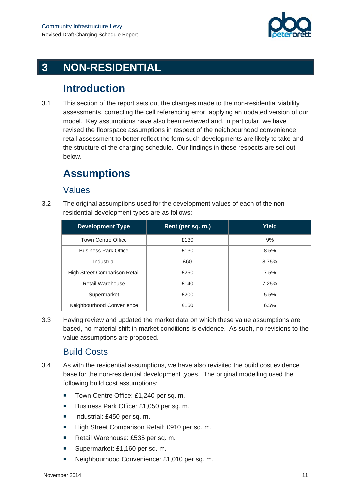

# **3 NON-RESIDENTIAL**

# **Introduction**

3.1 This section of the report sets out the changes made to the non-residential viability assessments, correcting the cell referencing error, applying an updated version of our model. Key assumptions have also been reviewed and, in particular, we have revised the floorspace assumptions in respect of the neighbourhood convenience retail assessment to better reflect the form such developments are likely to take and the structure of the charging schedule. Our findings in these respects are set out below.

# **Assumptions**

### Values

3.2 The original assumptions used for the development values of each of the nonresidential development types are as follows:

| <b>Development Type</b>              | Rent (per sq. m.) | <b>Yield</b> |
|--------------------------------------|-------------------|--------------|
| <b>Town Centre Office</b>            | £130              | 9%           |
| <b>Business Park Office</b>          | £130              | 8.5%         |
| Industrial                           | £60               | 8.75%        |
| <b>High Street Comparison Retail</b> | £250              | 7.5%         |
| <b>Retail Warehouse</b>              | £140              | 7.25%        |
| Supermarket                          | £200              | 5.5%         |
| Neighbourhood Convenience            | £150              | 6.5%         |

3.3 Having review and updated the market data on which these value assumptions are based, no material shift in market conditions is evidence. As such, no revisions to the value assumptions are proposed.

### Build Costs

- 3.4 As with the residential assumptions, we have also revisited the build cost evidence base for the non-residential development types. The original modelling used the following build cost assumptions:
	- Town Centre Office: £1,240 per sq. m.
	- Business Park Office: £1,050 per sq. m.
	- Industrial: £450 per sq. m.
	- High Street Comparison Retail: £910 per sq. m.
	- Retail Warehouse: £535 per sq. m.
	- Supermarket: £1,160 per sq. m.
	- Neighbourhood Convenience: £1,010 per sq. m.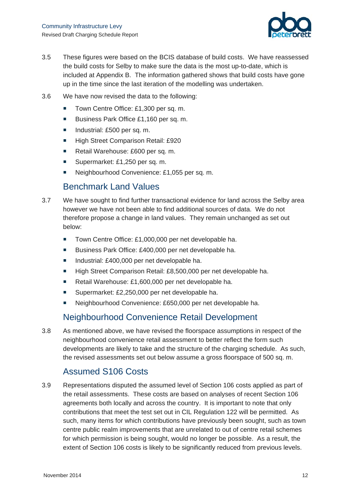

- 3.5 These figures were based on the BCIS database of build costs. We have reassessed the build costs for Selby to make sure the data is the most up-to-date, which is included at Appendix B. The information gathered shows that build costs have gone up in the time since the last iteration of the modelling was undertaken.
- 3.6 We have now revised the data to the following:
	- Town Centre Office: £1,300 per sq. m.
	- Business Park Office £1,160 per sq. m.
	- Industrial: £500 per sq. m.
	- High Street Comparison Retail: £920
	- Retail Warehouse: £600 per sq. m.
	- Supermarket: £1,250 per sq. m.
	- Neighbourhood Convenience: £1,055 per sq. m.

### Benchmark Land Values

- 3.7 We have sought to find further transactional evidence for land across the Selby area however we have not been able to find additional sources of data. We do not therefore propose a change in land values. They remain unchanged as set out below:
	- Town Centre Office: £1,000,000 per net developable ha.
	- Business Park Office: £400,000 per net developable ha.
	- Industrial: £400,000 per net developable ha.
	- High Street Comparison Retail: £8,500,000 per net developable ha.
	- Retail Warehouse: £1,600,000 per net developable ha.
	- Supermarket: £2,250,000 per net developable ha.
	- Neighbourhood Convenience: £650,000 per net developable ha.

### Neighbourhood Convenience Retail Development

3.8 As mentioned above, we have revised the floorspace assumptions in respect of the neighbourhood convenience retail assessment to better reflect the form such developments are likely to take and the structure of the charging schedule. As such, the revised assessments set out below assume a gross floorspace of 500 sq. m.

### Assumed S106 Costs

3.9 Representations disputed the assumed level of Section 106 costs applied as part of the retail assessments. These costs are based on analyses of recent Section 106 agreements both locally and across the country. It is important to note that only contributions that meet the test set out in CIL Regulation 122 will be permitted. As such, many items for which contributions have previously been sought, such as town centre public realm improvements that are unrelated to out of centre retail schemes for which permission is being sought, would no longer be possible. As a result, the extent of Section 106 costs is likely to be significantly reduced from previous levels.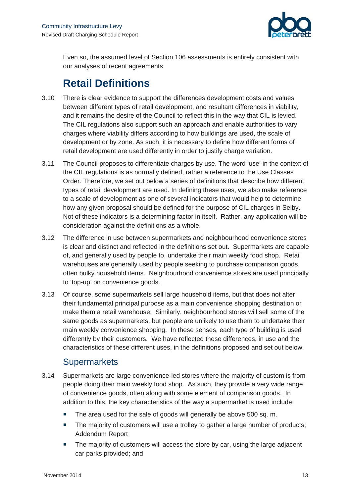

Even so, the assumed level of Section 106 assessments is entirely consistent with our analyses of recent agreements

# **Retail Definitions**

- 3.10 There is clear evidence to support the differences development costs and values between different types of retail development, and resultant differences in viability, and it remains the desire of the Council to reflect this in the way that CIL is levied. The CIL regulations also support such an approach and enable authorities to vary charges where viability differs according to how buildings are used, the scale of development or by zone. As such, it is necessary to define how different forms of retail development are used differently in order to justify charge variation.
- 3.11 The Council proposes to differentiate charges by use. The word 'use' in the context of the CIL regulations is as normally defined, rather a reference to the Use Classes Order. Therefore, we set out below a series of definitions that describe how different types of retail development are used. In defining these uses, we also make reference to a scale of development as one of several indicators that would help to determine how any given proposal should be defined for the purpose of CIL charges in Selby. Not of these indicators is a determining factor in itself. Rather, any application will be consideration against the definitions as a whole.
- 3.12 The difference in use between supermarkets and neighbourhood convenience stores is clear and distinct and reflected in the definitions set out. Supermarkets are capable of, and generally used by people to, undertake their main weekly food shop. Retail warehouses are generally used by people seeking to purchase comparison goods, often bulky household items. Neighbourhood convenience stores are used principally to 'top-up' on convenience goods.
- 3.13 Of course, some supermarkets sell large household items, but that does not alter their fundamental principal purpose as a main convenience shopping destination or make them a retail warehouse. Similarly, neighbourhood stores will sell some of the same goods as supermarkets, but people are unlikely to use them to undertake their main weekly convenience shopping. In these senses, each type of building is used differently by their customers. We have reflected these differences, in use and the characteristics of these different uses, in the definitions proposed and set out below.

### **Supermarkets**

- 3.14 Supermarkets are large convenience-led stores where the majority of custom is from people doing their main weekly food shop. As such, they provide a very wide range of convenience goods, often along with some element of comparison goods. In addition to this, the key characteristics of the way a supermarket is used include:
	- The area used for the sale of goods will generally be above 500 sq. m.
	- The majority of customers will use a trolley to gather a large number of products; Addendum Report
	- The majority of customers will access the store by car, using the large adjacent car parks provided; and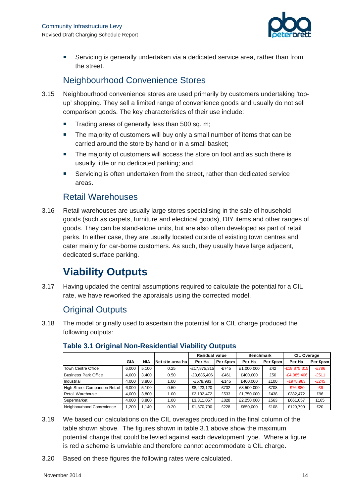

 Servicing is generally undertaken via a dedicated service area, rather than from the street.

## Neighbourhood Convenience Stores

- 3.15 Neighbourhood convenience stores are used primarily by customers undertaking 'topup' shopping. They sell a limited range of convenience goods and usually do not sell comparison goods. The key characteristics of their use include:
	- $\blacksquare$  Trading areas of generally less than 500 sq. m;
	- The majority of customers will buy only a small number of items that can be carried around the store by hand or in a small basket;
	- The majority of customers will access the store on foot and as such there is usually little or no dedicated parking; and
	- Servicing is often undertaken from the street, rather than dedicated service areas.

### Retail Warehouses

3.16 Retail warehouses are usually large stores specialising in the sale of household goods (such as carpets, furniture and electrical goods), DIY items and other ranges of goods. They can be stand-alone units, but are also often developed as part of retail parks. In either case, they are usually located outside of existing town centres and cater mainly for car-borne customers. As such, they usually have large adjacent, dedicated surface parking.

# **Viability Outputs**

3.17 Having updated the central assumptions required to calculate the potential for a CIL rate, we have reworked the appraisals using the corrected model.

### Original Outputs

3.18 The model originally used to ascertain the potential for a CIL charge produced the following outputs:

|                               |       |            |                  | <b>Residual value</b> |          | <b>Benchmark</b> |          | <b>CIL Overage</b> |          |
|-------------------------------|-------|------------|------------------|-----------------------|----------|------------------|----------|--------------------|----------|
|                               | GIA   | <b>NIA</b> | Net site area ha | Per Ha                | Per £psm | Per Ha           | Per £psm | Per Ha             | Per £psm |
| <b>Town Centre Office</b>     | 6.000 | 5.100      | 0.25             | $-E17.875.315$        | $-E745$  | £1,000,000       | £42      | $-£18,875,315$     | $-E786$  |
| <b>Business Park Office</b>   | 4.000 | 3.400      | 0.50             | $-£3,685,406$         | $-E461$  | £400.000         | £50      | $-E4,085,406$      | $-E511$  |
| Industrial                    | 4.000 | 3.800      | 1.00             | -£578,983             | $-E145$  | £400.000         | £100     | $-E978,983$        | $-E245$  |
| High Street Comparison Retail | 6.000 | 5.100      | 0.50             | £8.423.120            | £702     | £8,500,000       | £708     | $-E76,880$         | $-E6$    |
| Retail Warehouse              | 4.000 | 3.800      | 1.00             | £2,132,472            | £533     | £1,750,000       | £438     | £382,472           | £96      |
| Supermarket                   | 4.000 | 3.800      | 1.00             | £3.311.057            | £828     | £2,250,000       | £563     | £661.057           | £165     |
| Neighbourhood Convenience     | .200  | 1.140      | 0.20             | £1,370,790            | £228     | £650.000         | £108     | £120.790           | £20      |

#### **Table 3.1 Original Non-Residential Viability Outputs**

- 3.19 We based our calculations on the CIL overages produced in the final column of the table shown above. The figures shown in table 3.1 above show the maximum potential charge that could be levied against each development type. Where a figure is red a scheme is unviable and therefore cannot accommodate a CIL charge.
- 3.20 Based on these figures the following rates were calculated.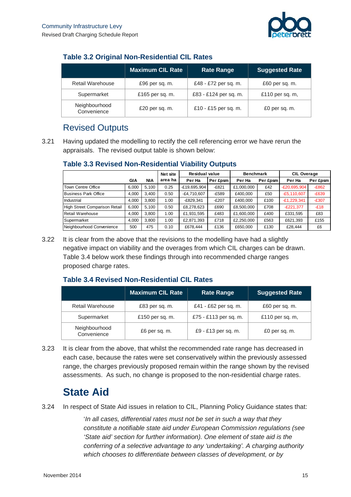

### **Table 3.2 Original Non-Residential CIL Rates**

|                              | <b>Maximum CIL Rate</b> | <b>Rate Range</b>     | <b>Suggested Rate</b> |
|------------------------------|-------------------------|-----------------------|-----------------------|
| <b>Retail Warehouse</b>      | £96 per sq. m.          | £48 - £72 per sq. m.  | £60 per sq. m.        |
| Supermarket                  | £165 per sq. m.         | £83 - £124 per sq. m. | £110 per sq. m,       |
| Neighbourhood<br>Convenience | £20 per sq. m.          | £10 - £15 per sq. m.  | £0 per sq. m.         |

## Revised Outputs

3.21 Having updated the modelling to rectify the cell referencing error we have rerun the appraisals. The revised output table is shown below:

#### **Table 3.3 Revised Non-Residential Viability Outputs**

|                                      |       |       | Net site | <b>Residual value</b> |          | <b>Benchmark</b> |          | <b>CIL Overage</b> |          |
|--------------------------------------|-------|-------|----------|-----------------------|----------|------------------|----------|--------------------|----------|
|                                      | GIA   | NIA   | area ha  | Per Ha                | Per £psm | Per Ha           | Per £psm | Per Ha             | Per £psm |
| Town Centre Office                   | 6,000 | 5.100 | 0.25     | -£19,695,904          | $-E821$  | £1,000,000       | £42      | $-E20,695,904$     | $-E862$  |
| <b>Business Park Office</b>          | 4.000 | 3.400 | 0.50     | $-E4,710,607$         | $-E589$  | £400.000         | £50      | $-E5,110,607$      | $-E639$  |
| Industrial                           | 4.000 | 3.800 | 1.00     | $-E829.341$           | $-E207$  | £400.000         | £100     | $-E1,229,341$      | $-E307$  |
| <b>High Street Comparison Retail</b> | 6.000 | 5.100 | 0.50     | £8,278,623            | £690     | £8,500,000       | £708     | $-E221.377$        | $-E18$   |
| Retail Warehouse                     | 4.000 | 3.800 | 1.00     | £1,931,595            | £483     | £1,600,000       | £400     | £331,595           | £83      |
| Supermarket                          | 4,000 | 3.800 | 1.00     | £2,871,393            | £718     | £2,250,000       | £563     | £621,393           | £155     |
| Neighbourhood Convenience            | 500   | 475   | 0.10     | £678,444              | £136     | £650,000         | £130     | £28,444            | £6       |

3.22 It is clear from the above that the revisions to the modelling have had a slightly negative impact on viability and the overages from which CIL charges can be drawn. Table 3.4 below work these findings through into recommended charge ranges proposed charge rates.

### **Table 3.4 Revised Non-Residential CIL Rates**

|                              | <b>Maximum CIL Rate</b> | <b>Rate Range</b>     | <b>Suggested Rate</b> |
|------------------------------|-------------------------|-----------------------|-----------------------|
| <b>Retail Warehouse</b>      | £83 per sq. m.          | £41 - £62 per sq. m.  | £60 per sq. m.        |
| Supermarket                  | £150 per sq. m.         | £75 - £113 per sq. m. | £110 per sq. m,       |
| Neighbourhood<br>Convenience | £6 per sq. m.           | £9 - £13 per sq. m.   | £0 per sq. m.         |

3.23 It is clear from the above, that whilst the recommended rate range has decreased in each case, because the rates were set conservatively within the previously assessed range, the charges previously proposed remain within the range shown by the revised assessments. As such, no change is proposed to the non-residential charge rates.

# **State Aid**

3.24 In respect of State Aid issues in relation to CIL, Planning Policy Guidance states that:

'*In all cases, differential rates must not be set in such a way that they constitute a notifiable state aid under European Commission regulations (see 'State aid' section for further information). One element of state aid is the conferring of a selective advantage to any 'undertaking'. A charging authority which chooses to differentiate between classes of development, or by*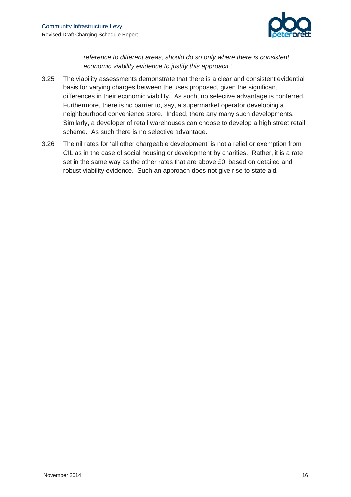

*reference to different areas, should do so only where there is consistent economic viability evidence to justify this approach.*'

- 3.25 The viability assessments demonstrate that there is a clear and consistent evidential basis for varying charges between the uses proposed, given the significant differences in their economic viability. As such, no selective advantage is conferred. Furthermore, there is no barrier to, say, a supermarket operator developing a neighbourhood convenience store. Indeed, there any many such developments. Similarly, a developer of retail warehouses can choose to develop a high street retail scheme. As such there is no selective advantage.
- 3.26 The nil rates for 'all other chargeable development' is not a relief or exemption from CIL as in the case of social housing or development by charities. Rather, it is a rate set in the same way as the other rates that are above £0, based on detailed and robust viability evidence. Such an approach does not give rise to state aid.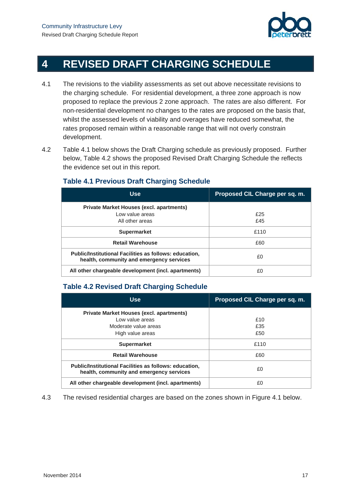

# **4 REVISED DRAFT CHARGING SCHEDULE**

- 4.1 The revisions to the viability assessments as set out above necessitate revisions to the charging schedule. For residential development, a three zone approach is now proposed to replace the previous 2 zone approach. The rates are also different. For non-residential development no changes to the rates are proposed on the basis that, whilst the assessed levels of viability and overages have reduced somewhat, the rates proposed remain within a reasonable range that will not overly constrain development.
- 4.2 Table 4.1 below shows the Draft Charging schedule as previously proposed. Further below, Table 4.2 shows the proposed Revised Draft Charging Schedule the reflects the evidence set out in this report.

#### **Use Proposed CIL Charge per sq. m. Private Market Houses (excl. apartments)**  Low value areas All other areas £25 £45 **Supermarket E110 Retail Warehouse** £60 **Public/Institutional Facilities as follows: education, health, community and emergency services** £0

All other chargeable development (incl. apartments)  $\vert$  **EQ** 

#### **Table 4.1 Previous Draft Charging Schedule**

#### **Table 4.2 Revised Draft Charging Schedule**

| <b>Use</b>                                                                                         | Proposed CIL Charge per sq. m. |
|----------------------------------------------------------------------------------------------------|--------------------------------|
| <b>Private Market Houses (excl. apartments)</b>                                                    |                                |
| Low value areas                                                                                    | £10                            |
| Moderate value areas                                                                               | £35                            |
| High value areas                                                                                   | £50                            |
| <b>Supermarket</b>                                                                                 | £110                           |
| <b>Retail Warehouse</b>                                                                            | £60                            |
| Public/Institutional Facilities as follows: education,<br>health, community and emergency services | £0                             |
| All other chargeable development (incl. apartments)                                                | £٥                             |

4.3 The revised residential charges are based on the zones shown in Figure 4.1 below.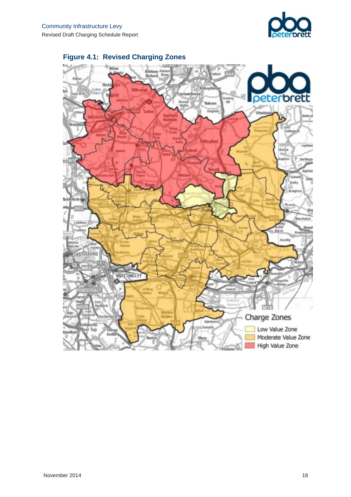



# **Figure 4.1: Revised Charging Zones**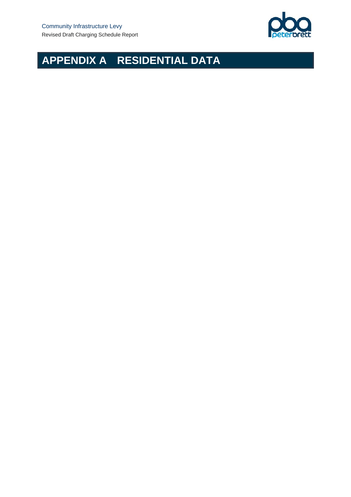

# **APPENDIX A RESIDENTIAL DATA**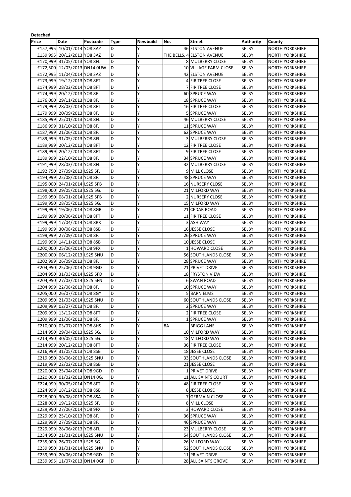| Detached |                                                            |          |      |          |     |                            |                       |                                                  |
|----------|------------------------------------------------------------|----------|------|----------|-----|----------------------------|-----------------------|--------------------------------------------------|
| Price    | Date                                                       | Postcode | Type | Newbuild | No. | <b>Street</b>              | <b>Authority</b>      | County                                           |
| £157,995 | 10/01/2014 YO8 3AZ                                         |          | D    | Υ        |     | <b>46 ELSTON AVENUE</b>    | SELBY                 | <b>NORTH YORKSHIRE</b>                           |
|          | £159,995 20/12/2013 YO8 3AZ                                |          | D    | Υ        |     | THE BELLS, 4 ELSTON AVENUE | <b>SELBY</b>          | <b>NORTH YORKSHIRE</b>                           |
|          | £170,999 31/05/2013 YO8 8FL                                |          | D    | Υ        |     | 8 MULBERRY CLOSE           | <b>SELBY</b>          | <b>NORTH YORKSHIRE</b>                           |
|          | £172,500 12/03/2013 DN14 0UW                               |          | D    | Υ        |     | 10 VILLAGE FARM CLOSE      | <b>SELBY</b>          | <b>NORTH YORKSHIRE</b>                           |
|          | £172,995 11/04/2014 YO8 3AZ                                |          | D    | Y        |     | 42 ELSTON AVENUE           | <b>SELBY</b>          | <b>NORTH YORKSHIRE</b>                           |
|          | £173,999 19/12/2013 YO8 8FT                                |          | D    | Υ        |     | 4 FIR TREE CLOSE           | SELBY                 | <b>NORTH YORKSHIRE</b>                           |
|          | £174,999 28/02/2014 YO8 8FT                                |          | D    | Y        |     | 7 FIR TREE CLOSE           | <b>SELBY</b>          | <b>NORTH YORKSHIRE</b>                           |
|          | £174,999 20/12/2013 YO8 8FJ                                |          | D    | Y        |     | 60 SPRUCE WAY              | SELBY                 | <b>NORTH YORKSHIRE</b>                           |
|          | £176,000 29/11/2013 YO8 8FJ                                |          | D    | Υ        |     | <b>18 SPRUCE WAY</b>       | SELBY                 | <b>NORTH YORKSHIRE</b>                           |
|          | £179,999 28/03/2014 YO8 8FT                                |          | D    | Y        |     | 16 FIR TREE CLOSE          | SELBY                 | <b>NORTH YORKSHIRE</b>                           |
|          | £179,999 20/09/2013 YO8 8FJ                                |          | D    | Υ        |     | <b>5 SPRUCE WAY</b>        | <b>SELBY</b>          | <b>NORTH YORKSHIRE</b>                           |
|          | £185,999 25/01/2013 YO8 8FL                                |          | D    | Y        |     | 46 MULBERRY CLOSE          | <b>SELBY</b>          | <b>NORTH YORKSHIRE</b>                           |
|          | £186,999 31/10/2013 YO8 8FJ                                |          | D    | Y        |     | 11 SPRUCE WAY              | <b>SELBY</b>          | <b>NORTH YORKSHIRE</b>                           |
|          | £187,999 21/06/2013 YO8 8FJ                                |          | D    | Υ        |     | 62 SPRUCE WAY              | SELBY                 | <b>NORTH YORKSHIRE</b>                           |
|          | £189,999 31/05/2013 YO8 8FL                                |          | D    | Υ        |     | <b>3 MULBERRY CLOSE</b>    | <b>SELBY</b>          | <b>NORTH YORKSHIRE</b>                           |
|          | £189,999 20/12/2013 YO8 8FT                                |          | D    | Υ        |     | 12 FIR TREE CLOSE          | SELBY                 | <b>NORTH YORKSHIRE</b>                           |
|          | £189,999 20/12/2013 YO8 8FT                                |          | D    | Υ        |     | 9 FIR TREE CLOSE           | <b>SELBY</b>          | <b>NORTH YORKSHIRE</b>                           |
|          |                                                            |          | D    | Y        |     | <b>34 SPRUCE WAY</b>       |                       |                                                  |
|          | £189,999 22/10/2013 YO8 8FJ<br>£191,999 28/03/2013 YO8 8FL |          | D    | Y        |     | 32 MULBERRY CLOSE          | SELBY<br><b>SELBY</b> | <b>NORTH YORKSHIRE</b><br><b>NORTH YORKSHIRE</b> |
|          |                                                            |          | D    | Υ        |     |                            | <b>SELBY</b>          |                                                  |
|          | £192,750 27/09/2013 LS25 5FJ                               |          |      |          |     | 9 MILL CLOSE               |                       | <b>NORTH YORKSHIRE</b>                           |
|          | £194,999 22/08/2013 YO8 8FJ                                |          | D    | Υ        |     | 48 SPRUCE WAY              | SELBY                 | <b>NORTH YORKSHIRE</b>                           |
|          | £195,000 24/01/2014 LS25 5FB                               |          | D    | Y        |     | <b>16 NURSERY CLOSE</b>    | <b>SELBY</b>          | <b>NORTH YORKSHIRE</b>                           |
|          | £198,000 29/05/2013 LS25 5GJ                               |          | D    | Y        |     | 21 MILFORD WAY             | SELBY                 | <b>NORTH YORKSHIRE</b>                           |
|          | £199,950 08/01/2014 LS25 5FB                               |          | D    | Y        |     | <b>2 NURSERY CLOSE</b>     | <b>SELBY</b>          | <b>NORTH YORKSHIRE</b>                           |
|          | £199,950 28/05/2013 LS25 5GJ                               |          | D    | Υ        |     | 15 MILFORD WAY             | <b>SELBY</b>          | <b>NORTH YORKSHIRE</b>                           |
|          | £199,999 19/06/2014 YO8 8GB                                |          | D    | Υ        |     | 21 CEDAR ROAD              | SELBY                 | <b>NORTH YORKSHIRE</b>                           |
|          | £199,999 20/06/2014 YO8 8FT                                |          | D    | Y        |     | 11 FIR TREE CLOSE          | <b>SELBY</b>          | <b>NORTH YORKSHIRE</b>                           |
|          | £199,999 17/04/2014 YO8 8RX                                |          | D    | Y        |     | 3 ASH WAY                  | <b>SELBY</b>          | <b>NORTH YORKSHIRE</b>                           |
|          | £199,999 30/08/2013 YO8 8SB                                |          | D    | Y        |     | 16 JESSE CLOSE             | <b>SELBY</b>          | <b>NORTH YORKSHIRE</b>                           |
|          | £199,999 27/09/2013 YO8 8FJ                                |          | D    | Υ        |     | <b>26 SPRUCE WAY</b>       | <b>SELBY</b>          | <b>NORTH YORKSHIRE</b>                           |
|          | £199,999 14/11/2013 YO8 8SB                                |          | D    | Υ        |     | 10 JESSE CLOSE             | SELBY                 | <b>NORTH YORKSHIRE</b>                           |
|          | £200,000 25/06/2014 YO8 9FX                                |          | D    | Υ        |     | 1 HOWARD CLOSE             | SELBY                 | <b>NORTH YORKSHIRE</b>                           |
|          | £200,000 06/12/2013 LS25 5NU                               |          | D    | Y        |     | 56 SOUTHLANDS CLOSE        | <b>SELBY</b>          | <b>NORTH YORKSHIRE</b>                           |
|          | £202,999 26/09/2013 YO8 8FJ                                |          | D    | Y        |     | 28 SPRUCE WAY              | SELBY                 | <b>NORTH YORKSHIRE</b>                           |
|          | £204,950 25/06/2014 YO8 9GD                                |          | D    | Υ        |     | 21 PRIVET DRIVE            | <b>SELBY</b>          | <b>NORTH YORKSHIRE</b>                           |
|          | £204,950 31/03/2014 LS25 5FD                               |          | D    | Y        |     | 18 FRYSTON VIEW            | SELBY                 | <b>NORTH YORKSHIRE</b>                           |
|          | £204,950 27/03/2014 LS25 5FN                               |          | D    | Υ        |     | <b>6 SWAN ROAD</b>         | SELBY                 | <b>NORTH YORKSHIRE</b>                           |
|          | £204,999 22/08/2013 YO8 8FJ                                |          | D    | Y        |     | 10 SPRUCE WAY              | SELBY                 | <b>NORTH YORKSHIRE</b>                           |
|          | £205,000 26/07/2013 YO8 8GY                                |          | D    | Y        |     | <b>5 BARN ELMS</b>         | SELBY                 | <b>NORTH YORKSHIRE</b>                           |
|          | £209,950 21/03/2014 LS25 5NU                               |          | D    | Υ        |     | 60 SOUTHLANDS CLOSE        | <b>SELBY</b>          | <b>NORTH YORKSHIRE</b>                           |
|          | £209,999 02/07/2013 YO8 8FJ                                |          | D    | Υ        |     | 2 SPRUCE WAY               | SELBY                 | <b>NORTH YORKSHIRE</b>                           |
|          | £209,999 13/12/2013 YO8 8FT                                |          | D    | Υ        |     | 2 FIR TREE CLOSE           | <b>SELBY</b>          | <b>NORTH YORKSHIRE</b>                           |
|          | £209,999 21/06/2013 YO8 8FJ                                |          | D    | Υ        |     | 1 SPRUCE WAY               | SELBY                 | <b>NORTH YORKSHIRE</b>                           |
|          | £210,000 03/07/2013 YO8 8HS                                |          | D    | Υ        | 8Α  | <b>BRIGG LANE</b>          | SELBY                 | <b>NORTH YORKSHIRE</b>                           |
|          | £214,950 29/04/2013 LS25 5GJ                               |          | D    | Υ        |     | 10 MILFORD WAY             | SELBY                 | <b>NORTH YORKSHIRE</b>                           |
|          | £214,950 30/05/2013 LS25 5GJ                               |          | D    | Υ        |     | 18 MILFORD WAY             | SELBY                 | <b>NORTH YORKSHIRE</b>                           |
|          | £214,999 20/12/2013 YO8 8FT                                |          | D    | Υ        |     | <b>36 FIR TREE CLOSE</b>   | SELBY                 | <b>NORTH YORKSHIRE</b>                           |
|          | £216,999 31/05/2013 YO8 8SB                                |          | D    | Υ        |     | 18 JESSE CLOSE             | SELBY                 | <b>NORTH YORKSHIRE</b>                           |
|          | £219,950 28/06/2013 LS25 5NU                               |          | D    | Υ        |     | 33 SOUTHLANDS CLOSE        | <b>SELBY</b>          | <b>NORTH YORKSHIRE</b>                           |
|          | £219,999 22/02/2013 YO8 8SB                                |          | D    | Υ        |     | 21 JESSE CLOSE             | SELBY                 | <b>NORTH YORKSHIRE</b>                           |
|          | £220,000 25/04/2014 YO8 9GD                                |          | D    | Υ        |     | 1 PRIVET DRIVE             | SELBY                 | <b>NORTH YORKSHIRE</b>                           |
|          | £220,000 01/02/2013 DN14 0GJ                               |          | D    | Υ        |     | 11 ALL SAINTS COURT        | SELBY                 | <b>NORTH YORKSHIRE</b>                           |
|          | £224,999 30/05/2014 YO8 8FT                                |          | D    | Υ        |     | 48 FIR TREE CLOSE          | <b>SELBY</b>          | <b>NORTH YORKSHIRE</b>                           |
|          | £224,999 18/12/2013 YO8 8SB                                |          | D    | Υ        |     | 8 JESSE CLOSE              | SELBY                 | <b>NORTH YORKSHIRE</b>                           |
|          | £228,000 30/08/2013 YO8 8SA                                |          | D    | Υ        |     | 7 GERMAIN CLOSE            | SELBY                 | <b>NORTH YORKSHIRE</b>                           |
|          | £228,000 19/12/2013 LS25 5FJ                               |          | D    | Υ        |     | 8 MILL CLOSE               | SELBY                 | <b>NORTH YORKSHIRE</b>                           |
|          | £229,950 27/06/2014 YO8 9FX                                |          | D    | Υ        |     | 3 HOWARD CLOSE             | SELBY                 | <b>NORTH YORKSHIRE</b>                           |
|          | £229,999 25/10/2013 YO8 8FJ                                |          | D    | Υ        |     | 36 SPRUCE WAY              | SELBY                 | <b>NORTH YORKSHIRE</b>                           |
|          | £229,999 27/09/2013 YO8 8FJ                                |          | D    | Υ        |     | 46 SPRUCE WAY              | SELBY                 | <b>NORTH YORKSHIRE</b>                           |
|          | £229,999 28/06/2013 YO8 8FL                                |          | D    | Υ        |     | 23 MULBERRY CLOSE          | SELBY                 | <b>NORTH YORKSHIRE</b>                           |
|          | £234,950 21/01/2014 LS25 5NU                               |          | D    | Υ        |     | 54 SOUTHLANDS CLOSE        | <b>SELBY</b>          | <b>NORTH YORKSHIRE</b>                           |
|          | £235,000 26/07/2013 LS25 5GJ                               |          | D    | Y        |     | 26 MILFORD WAY             | SELBY                 | <b>NORTH YORKSHIRE</b>                           |
|          | £239,950 31/01/2014 LS25 5NU                               |          | D    | Υ        |     | 52 SOUTHLANDS CLOSE        | SELBY                 | <b>NORTH YORKSHIRE</b>                           |
|          | £239,950 20/06/2014 YO8 9GD                                |          | D    | Υ        |     | 11 PRIVET DRIVE            | SELBY                 | <b>NORTH YORKSHIRE</b>                           |
|          | £239,995 11/07/2013 DN14 0GP                               |          | D    | Υ        |     | 28 ALL SAINTS GROVE        | SELBY                 | <b>NORTH YORKSHIRE</b>                           |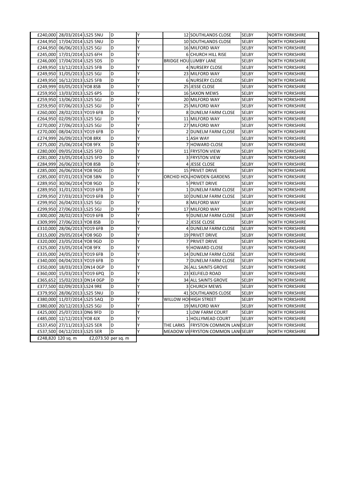| £240,000 28/03/2014 LS25 5NU |                     | D | γ |           | 12 SOUTHLANDS CLOSE                | <b>SELBY</b> | <b>NORTH YORKSHIRE</b> |
|------------------------------|---------------------|---|---|-----------|------------------------------------|--------------|------------------------|
| £244,950 17/04/2014 LS25 5NU |                     | D | Y |           | 10 SOUTHLANDS CLOSE                | SELBY        | <b>NORTH YORKSHIRE</b> |
| £244,950 06/06/2013 LS25 5GJ |                     | D | Y |           | 16 MILFORD WAY                     | SELBY        | <b>NORTH YORKSHIRE</b> |
| £245,000 17/01/2014 LS25 6FH |                     | D | Y |           | <b>6 CHURCH HILL RISE</b>          | SELBY        | <b>NORTH YORKSHIRE</b> |
| £246,000 17/04/2014 LS25 5DS |                     | D | Υ |           | <b>BRIDGE HOULUMBY LANE</b>        | SELBY        | <b>NORTH YORKSHIRE</b> |
| £249,950 13/12/2013 LS25 5FB |                     | D | Y |           | 4 NURSERY CLOSE                    | SELBY        | <b>NORTH YORKSHIRE</b> |
| £249,950 31/05/2013 LS25 5GJ |                     | D | Υ |           | 23 MILFORD WAY                     | SELBY        | <b>NORTH YORKSHIRE</b> |
| £249,950 16/12/2013 LS25 5FB |                     | D | Y |           | <b>6 NURSERY CLOSE</b>             | SELBY        | <b>NORTH YORKSHIRE</b> |
| £249,999 03/05/2013 YO8 8SB  |                     | D | Υ |           | 25 JESSE CLOSE                     | SELBY        | <b>NORTH YORKSHIRE</b> |
| £259,950 13/03/2013 LS25 6PS |                     | D | Y |           | 16 SAXON MEWS                      | <b>SELBY</b> | <b>NORTH YORKSHIRE</b> |
| £259,950 13/06/2013 LS25 5GJ |                     | D | Y |           | 20 MILFORD WAY                     | <b>SELBY</b> | <b>NORTH YORKSHIRE</b> |
| £259,950 07/06/2013 LS25 5GJ |                     | D | Ý |           | 25 MILFORD WAY                     | SELBY        | <b>NORTH YORKSHIRE</b> |
| £260,000 28/02/2013 YO19 6FB |                     | D | Υ |           | 8 DUNELM FARM CLOSE                | <b>SELBY</b> | <b>NORTH YORKSHIRE</b> |
| £264,950 02/09/2013 LS25 5GJ |                     | D | Υ |           | 11 MILFORD WAY                     | SELBY        | <b>NORTH YORKSHIRE</b> |
| £270,000 27/06/2013 LS25 5GJ |                     | D | Y |           | 27 MILFORD WAY                     | SELBY        | <b>NORTH YORKSHIRE</b> |
| £270,000 08/04/2013 YO19 6FB |                     | D | Y |           | 2 DUNELM FARM CLOSE                | SELBY        | <b>NORTH YORKSHIRE</b> |
| £274,999 26/09/2013 YO8 8RX  |                     | D | Y |           | 1 ASH WAY                          | SELBY        | <b>NORTH YORKSHIRE</b> |
| £275,000 25/06/2014 YO8 9FX  |                     | D | Υ |           | 7 HOWARD CLOSE                     | SELBY        | <b>NORTH YORKSHIRE</b> |
| £280,000 09/05/2014 LS25 5FD |                     | D | Y |           | 11 FRYSTON VIEW                    | <b>SELBY</b> | <b>NORTH YORKSHIRE</b> |
| £281,000 23/05/2014 LS25 5FD |                     | D | Y |           | <b>3 FRYSTON VIEW</b>              | SELBY        | <b>NORTH YORKSHIRE</b> |
| £284,999 26/06/2013 YO8 8SB  |                     | D | Υ |           | 4 JESSE CLOSE                      | SELBY        | <b>NORTH YORKSHIRE</b> |
| £285,000 26/06/2014 YO8 9GD  |                     | D | Y |           | 15 PRIVET DRIVE                    | SELBY        | <b>NORTH YORKSHIRE</b> |
| £285,000 07/01/2013 YO8 5BN  |                     | D | Υ |           | ORCHID HOUHOWDEN GARDENS           | <b>SELBY</b> | <b>NORTH YORKSHIRE</b> |
| £289,950 30/06/2014 YO8 9GD  |                     | D | Y |           | 5 PRIVET DRIVE                     | <b>SELBY</b> | <b>NORTH YORKSHIRE</b> |
| £289,950 31/01/2013 YO19 6FB |                     | D | Y |           | 1 DUNELM FARM CLOSE                | <b>SELBY</b> | <b>NORTH YORKSHIRE</b> |
| £299,950 27/03/2013 YO19 6FB |                     | D | Y |           | 10 DUNELM FARM CLOSE               | SELBY        | <b>NORTH YORKSHIRE</b> |
| £299,950 26/04/2013 LS25 5GJ |                     | D | Y |           | 8 MILFORD WAY                      | <b>SELBY</b> | <b>NORTH YORKSHIRE</b> |
| £299,950 27/06/2013 LS25 5GJ |                     | D | Υ |           | 17 MILFORD WAY                     | <b>SELBY</b> | <b>NORTH YORKSHIRE</b> |
| £300,000 28/02/2013 YO19 6FB |                     | D | Y |           | 9 DUNELM FARM CLOSE                | SELBY        | <b>NORTH YORKSHIRE</b> |
| £309,999 27/06/2013 YO8 8SB  |                     | D | Υ |           | 2 JESSE CLOSE                      | <b>SELBY</b> | <b>NORTH YORKSHIRE</b> |
| £310,000 28/06/2013 YO19 6FB |                     | D | Y |           | 4 DUNELM FARM CLOSE                | <b>SELBY</b> | <b>NORTH YORKSHIRE</b> |
| £315,000 29/05/2014 YO8 9GD  |                     | D | Y |           | 19 PRIVET DRIVE                    | SELBY        | <b>NORTH YORKSHIRE</b> |
| £320,000 23/05/2014 YO8 9GD  |                     | D | Ý |           | 7 PRIVET DRIVE                     | SELBY        | <b>NORTH YORKSHIRE</b> |
| £325,000 23/05/2014 YO8 9FX  |                     | D | Y |           | 9 HOWARD CLOSE                     | <b>SELBY</b> | <b>NORTH YORKSHIRE</b> |
| £335,000 24/05/2013 YO19 6FB |                     | D | Y |           | 14 DUNELM FARM CLOSE               | SELBY        | <b>NORTH YORKSHIRE</b> |
| £340,000 04/04/2013 YO19 6FB |                     | D | Υ |           | 7 DUNELM FARM CLOSE                | SELBY        | <b>NORTH YORKSHIRE</b> |
| £350,000 18/03/2013 DN14 0GP |                     | D | Υ |           | 26 ALL SAINTS GROVE                | SELBY        | <b>NORTH YORKSHIRE</b> |
| £360,000 15/03/2013 YO19 6PQ |                     | D | Y |           | 23 KELFIELD ROAD                   | <b>SELBY</b> | <b>NORTH YORKSHIRE</b> |
| £365,652 15/02/2013 DN14 0GP |                     | D | Y |           | <b>34 ALL SAINTS GROVE</b>         | SELBY        | <b>NORTH YORKSHIRE</b> |
| £377,500 02/09/2013 LS24 9RE |                     | D | Y |           | <b>3 CHURCH MEWS</b>               | <b>SELBY</b> | <b>NORTH YORKSHIRE</b> |
| £379,950 28/06/2013 LS25 5NU |                     | D | Υ |           | 41 SOUTHLANDS CLOSE                | <b>SELBY</b> | <b>NORTH YORKSHIRE</b> |
| £380,000 11/07/2014 LS25 5AQ |                     | D | Y |           | WILLOW HOUHIGH STREET              | SELBY        | <b>NORTH YORKSHIRE</b> |
| £380,000 20/12/2013 LS25 5GJ |                     | D | Y |           | 19 MILFORD WAY                     | SELBY        | <b>NORTH YORKSHIRE</b> |
| £425,000 25/07/2013 DN6 9FD  |                     | D | Y |           | 1 LOW FARM COURT                   | SELBY        | <b>NORTH YORKSHIRE</b> |
| £485,000 12/12/2013 YO8 4JX  |                     | D | Υ |           | 1 HOLLYMEAD COURT                  | SELBY        | <b>NORTH YORKSHIRE</b> |
| £537,450 27/11/2013 LS25 5ER |                     | D | Υ | THE LARKS | <b>FRYSTON COMMON LANESELBY</b>    |              | <b>NORTH YORKSHIRE</b> |
| £537,500 04/12/2013 LS25 5ER |                     | D | Y |           | MEADOW VILFRYSTON COMMON LANESELBY |              | <b>NORTH YORKSHIRE</b> |
| £248,820 120 sq. m           | £2,073.50 per sq. m |   |   |           |                                    |              |                        |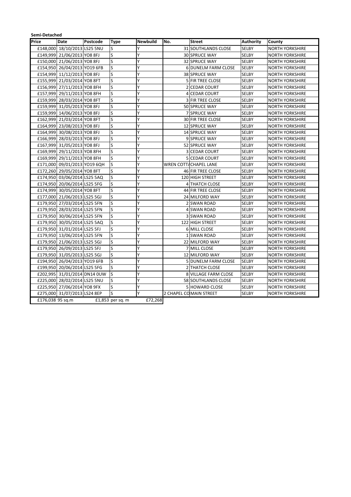| Semi-Detached    |                              |          |                    |                 |     |                            |                  |                        |
|------------------|------------------------------|----------|--------------------|-----------------|-----|----------------------------|------------------|------------------------|
| Price            | <b>Date</b>                  | Postcode | <b>Type</b>        | <b>Newbuild</b> | No. | <b>Street</b>              | <b>Authority</b> | County                 |
|                  | £148,000 18/10/2013 LS25 5NU |          | lS                 | Υ               |     | <b>31 SOUTHLANDS CLOSE</b> | <b>SELBY</b>     | NORTH YORKSHIRE        |
|                  | £149,999 21/06/2013 YO8 8FJ  |          | S                  | Y               |     | <b>30 SPRUCE WAY</b>       | <b>SELBY</b>     | <b>NORTH YORKSHIRE</b> |
|                  | £150,000 21/06/2013 YO8 8FJ  |          | S                  | Y               |     | 32 SPRUCE WAY              | <b>SELBY</b>     | <b>NORTH YORKSHIRE</b> |
|                  | £154,950 26/04/2013 YO19 6FB |          | <b>S</b>           | Y               |     | <b>6 DUNELM FARM CLOSE</b> | <b>SELBY</b>     | <b>NORTH YORKSHIRE</b> |
|                  | £154,999 11/12/2013 YO8 8FJ  |          | S                  | Y               |     | 38 SPRUCE WAY              | <b>SELBY</b>     | <b>NORTH YORKSHIRE</b> |
|                  | £155,999 21/03/2014 YO8 8FT  |          | S                  | Y               |     | <b>5 FIR TREE CLOSE</b>    | <b>SELBY</b>     | <b>NORTH YORKSHIRE</b> |
|                  | £156,999 27/11/2013 YO8 8FH  |          | S                  | Y               |     | 2 CEDAR COURT              | <b>SELBY</b>     | <b>NORTH YORKSHIRE</b> |
|                  | £157,999 29/11/2013 YO8 8FH  |          | S                  | Y               |     | 4 CEDAR COURT              | SELBY            | <b>NORTH YORKSHIRE</b> |
|                  | £159,999 28/03/2014 YO8 8FT  |          | S                  | Ý               |     | <b>3 FIR TREE CLOSE</b>    | SELBY            | <b>NORTH YORKSHIRE</b> |
|                  | £159,999 31/05/2013 YO8 8FJ  |          | S                  | Y               |     | <b>50 SPRUCE WAY</b>       | <b>SELBY</b>     | <b>NORTH YORKSHIRE</b> |
|                  | £159,999 14/06/2013 YO8 8FJ  |          | S                  | Ý               |     | <b>7 SPRUCE WAY</b>        | <b>SELBY</b>     | <b>NORTH YORKSHIRE</b> |
|                  | £162,999 21/03/2014 YO8 8FT  |          | <sub>S</sub>       | Y               |     | 30 FIR TREE CLOSE          | <b>SELBY</b>     | <b>NORTH YORKSHIRE</b> |
|                  | £164,999 23/08/2013 YO8 8FJ  |          | S                  | Y               |     | 12 SPRUCE WAY              | <b>SELBY</b>     | <b>NORTH YORKSHIRE</b> |
|                  | £164,999 30/08/2013 YO8 8FJ  |          | S                  | Y               |     | 14 SPRUCE WAY              | <b>SELBY</b>     | <b>NORTH YORKSHIRE</b> |
|                  | £166,999 28/03/2013 YO8 8FJ  |          | S                  | Y               |     | 9 SPRUCE WAY               | <b>SELBY</b>     | <b>NORTH YORKSHIRE</b> |
|                  | £167,999 31/05/2013 YO8 8FJ  |          | S                  | Y               |     | 52 SPRUCE WAY              | <b>SELBY</b>     | <b>NORTH YORKSHIRE</b> |
|                  | £169,999 29/11/2013 YO8 8FH  |          | S                  | Y               |     | 3 CEDAR COURT              | <b>SELBY</b>     | <b>NORTH YORKSHIRE</b> |
|                  | £169,999 29/11/2013 YO8 8FH  |          | S                  | Y               |     | 5 CEDAR COURT              | SELBY            | <b>NORTH YORKSHIRE</b> |
|                  | £171,000 09/01/2013 YO19 6QH |          | S                  | Υ               |     | WREN COTTACHAPEL LANE      | <b>SELBY</b>     | <b>NORTH YORKSHIRE</b> |
|                  | £172,260 29/05/2014 YO8 8FT  |          | S                  | Ý               |     | 46 FIR TREE CLOSE          | <b>SELBY</b>     | <b>NORTH YORKSHIRE</b> |
| £174,950         | 03/06/2014 LS25 5AQ          |          | S                  | Υ               |     | <b>120 HIGH STREET</b>     | <b>SELBY</b>     | <b>NORTH YORKSHIRE</b> |
|                  | £174,950 20/06/2014 LS25 5FG |          | S                  | Ý               |     | <b>4 THATCH CLOSE</b>      | <b>SELBY</b>     | <b>NORTH YORKSHIRE</b> |
|                  | £174,999 30/05/2014 YO8 8FT  |          | S                  | Y               |     | 44 FIR TREE CLOSE          | <b>SELBY</b>     | <b>NORTH YORKSHIRE</b> |
|                  | £177,000 21/06/2013 LS25 5GJ |          | S                  | Y               |     | 24 MILFORD WAY             | <b>SELBY</b>     | <b>NORTH YORKSHIRE</b> |
|                  | £179,950 27/03/2014 LS25 5FN |          | <b>S</b>           | Y               |     | 2 SWAN ROAD                | <b>SELBY</b>     | <b>NORTH YORKSHIRE</b> |
|                  | £179,950 28/03/2014 LS25 5FN |          | S                  | Y               |     | 4 SWAN ROAD                | SELBY            | <b>NORTH YORKSHIRE</b> |
|                  | £179,950 30/06/2014 LS25 5FN |          | S                  | Y               |     | 3 SWAN ROAD                | <b>SELBY</b>     | <b>NORTH YORKSHIRE</b> |
|                  | £179,950 30/05/2014 LS25 5AQ |          | S                  | Y               |     | 122 HIGH STREET            | <b>SELBY</b>     | <b>NORTH YORKSHIRE</b> |
|                  | £179,950 31/01/2014 LS25 5FJ |          | S                  | Y               |     | 6 MILL CLOSE               | <b>SELBY</b>     | <b>NORTH YORKSHIRE</b> |
|                  | £179,950 13/06/2014 LS25 5FN |          | <b>S</b>           | Y               |     | 1 SWAN ROAD                | <b>SELBY</b>     | <b>NORTH YORKSHIRE</b> |
|                  | £179,950 21/06/2013 LS25 5GJ |          | S                  | Y               |     | 22 MILFORD WAY             | <b>SELBY</b>     | <b>NORTH YORKSHIRE</b> |
|                  | £179,950 26/09/2013 LS25 5FJ |          | <b>S</b>           | Y               |     | 7 MILL CLOSE               | <b>SELBY</b>     | <b>NORTH YORKSHIRE</b> |
|                  | £179,950 31/05/2013 LS25 5GJ |          | S                  | Y               |     | 12 MILFORD WAY             | <b>SELBY</b>     | <b>NORTH YORKSHIRE</b> |
|                  | £194,950 26/04/2013 YO19 6FB |          | S                  | Y               |     | 5 DUNELM FARM CLOSE        | <b>SELBY</b>     | <b>NORTH YORKSHIRE</b> |
|                  | £199,950 20/06/2014 LS25 5FG |          | S                  | Y               |     | <b>2 THATCH CLOSE</b>      | <b>SELBY</b>     | <b>NORTH YORKSHIRE</b> |
|                  | £202,995 31/01/2014 DN14 0UW |          | S                  | Y               |     | 8 VILLAGE FARM CLOSE       | <b>SELBY</b>     | <b>NORTH YORKSHIRE</b> |
|                  | £225,000 28/02/2014 LS25 5NU |          | S                  | Y               |     | 58 SOUTHLANDS CLOSE        | <b>SELBY</b>     | <b>NORTH YORKSHIRE</b> |
|                  | £225,950 27/06/2014 YO8 9FX  |          | <b>S</b>           | Y               |     | 5 HOWARD CLOSE             | <b>SELBY</b>     | <b>NORTH YORKSHIRE</b> |
|                  | £275,000 31/07/2013 LS24 8EP |          | S                  | Y               |     | 2 CHAPEL COMAIN STREET     | <b>SELBY</b>     | <b>NORTH YORKSHIRE</b> |
| £176,038 95 sq.m |                              |          | $£1,853$ per sq. m | £72.268         |     |                            |                  |                        |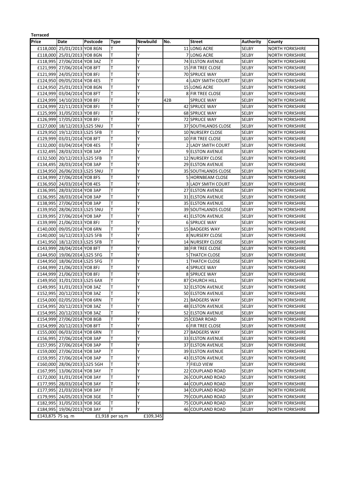| <b>Terraced</b>   |                              |          |                 |          |     |                            |                  |                        |
|-------------------|------------------------------|----------|-----------------|----------|-----|----------------------------|------------------|------------------------|
| Price             | Date                         | Postcode | Type            | Newbuild | No. | <b>Street</b>              | <b>Authority</b> | County                 |
| £118,000          | 25/01/2013 YO8 8GN           |          | T               | Υ        |     | 11 LONG ACRE               | <b>SELBY</b>     | <b>NORTH YORKSHIRE</b> |
|                   | £118,000 25/01/2013 YO8 8GN  |          | T               | Υ        |     | 7 LONG ACRE                | <b>SELBY</b>     | <b>NORTH YORKSHIRE</b> |
|                   | £118,995 27/06/2014 YO8 3AZ  |          | T               | Y        |     | 74 ELSTON AVENUE           | SELBY            | <b>NORTH YORKSHIRE</b> |
|                   | £121,999 27/06/2014 YO8 8FT  |          | T               | Y        |     | <b>15 FIR TREE CLOSE</b>   | <b>SELBY</b>     | <b>NORTH YORKSHIRE</b> |
|                   | £121,999 24/05/2013 YO8 8FJ  |          | T               | Y        |     | <b>70 SPRUCE WAY</b>       | <b>SELBY</b>     | <b>NORTH YORKSHIRE</b> |
|                   | £124,950 09/05/2014 YO8 4ES  |          | T               | Υ        |     | 4 LADY SMITH COURT         | <b>SELBY</b>     | <b>NORTH YORKSHIRE</b> |
|                   | £124,950 25/01/2013 YO8 8GN  |          | T               | Y        |     | <b>15 LONG ACRE</b>        | <b>SELBY</b>     | <b>NORTH YORKSHIRE</b> |
|                   | £124,999 03/04/2014 YO8 8FT  |          | T               | Y        |     | 8 FIR TREE CLOSE           | SELBY            | <b>NORTH YORKSHIRE</b> |
|                   | £124,999 14/10/2013 YO8 8FJ  |          | T               | Υ        | 42B | <b>SPRUCE WAY</b>          | SELBY            | <b>NORTH YORKSHIRE</b> |
|                   | £124,999 22/11/2013 YO8 8FJ  |          | T               | Y        |     | 42 SPRUCE WAY              | SELBY            | <b>NORTH YORKSHIRE</b> |
|                   | £125,999 31/05/2013 YO8 8FJ  |          | ΙT              | Υ        |     | 68 SPRUCE WAY              | <b>SELBY</b>     | <b>NORTH YORKSHIRE</b> |
|                   | £126,999 17/05/2013 YO8 8FJ  |          | ΙT              | Y        |     | 72 SPRUCE WAY              | <b>SELBY</b>     | <b>NORTH YORKSHIRE</b> |
|                   | £127,000 18/12/2013 LS25 5NU |          | ΙT              | Y        |     | 37 SOUTHLANDS CLOSE        | <b>SELBY</b>     | <b>NORTH YORKSHIRE</b> |
|                   | £129,950 19/12/2013 LS25 5FB |          | T               | Y        |     | 10 NURSERY CLOSE           | SELBY            | <b>NORTH YORKSHIRE</b> |
|                   |                              |          | T               | Y        |     | 10 FIR TREE CLOSE          | <b>SELBY</b>     | <b>NORTH YORKSHIRE</b> |
|                   | £129,999 03/01/2014 YO8 8FT  |          | ΙT              | Y        |     |                            |                  |                        |
|                   | £132,000 03/04/2014 YO8 4ES  |          | T               | Υ        |     | 2 LADY SMITH COURT         | SELBY            | <b>NORTH YORKSHIRE</b> |
|                   | £132,495 28/03/2013 YO8 3AP  |          |                 |          |     | <b>9 ELSTON AVENUE</b>     | <b>SELBY</b>     | <b>NORTH YORKSHIRE</b> |
|                   | £132,500 20/12/2013 LS25 5FB |          | T               | Y        |     | 12 NURSERY CLOSE           | SELBY            | <b>NORTH YORKSHIRE</b> |
|                   | £134,495 28/03/2014 YO8 3AP  |          | T               | Y        |     | <b>29 ELSTON AVENUE</b>    | <b>SELBY</b>     | <b>NORTH YORKSHIRE</b> |
|                   | £134,950 26/06/2013 LS25 5NU |          | T               | Y        |     | 35 SOUTHLANDS CLOSE        | <b>SELBY</b>     | <b>NORTH YORKSHIRE</b> |
|                   | £134,999 27/06/2014 YO8 8FS  |          | T               | Y        |     | <b>5 HORNBEAM CLOSE</b>    | SELBY            | <b>NORTH YORKSHIRE</b> |
|                   | £136,950 24/03/2014 YO8 4ES  |          | T               | Y        |     | <b>3 LADY SMITH COURT</b>  | <b>SELBY</b>     | <b>NORTH YORKSHIRE</b> |
|                   | £136,995 28/03/2014 YO8 3AP  |          | ΙT              | Y        |     | <b>27 ELSTON AVENUE</b>    | SELBY            | <b>NORTH YORKSHIRE</b> |
|                   | £136,995 28/03/2014 YO8 3AP  |          | т               | Y        |     | <b>31 ELSTON AVENUE</b>    | <b>SELBY</b>     | <b>NORTH YORKSHIRE</b> |
|                   | £138,995 27/06/2014 YO8 3AP  |          | T               | Y        |     | <b>35 ELSTON AVENUE</b>    | <b>SELBY</b>     | <b>NORTH YORKSHIRE</b> |
|                   | £139,950 28/06/2013 LS25 5NU |          | T               | Y        |     | <b>39 SOUTHLANDS CLOSE</b> | SELBY            | <b>NORTH YORKSHIRE</b> |
|                   | £139,995 27/06/2014 YO8 3AP  |          | lΤ              | Y        |     | 41 ELSTON AVENUE           | <b>SELBY</b>     | <b>NORTH YORKSHIRE</b> |
|                   | £139,999 21/06/2013 YO8 8FJ  |          | T               | Y        |     | <b>6 SPRUCE WAY</b>        | <b>SELBY</b>     | <b>NORTH YORKSHIRE</b> |
|                   | £140,000 09/05/2014 YO8 6RN  |          | ΙT              | Y        |     | 15 BADGERS WAY             | <b>SELBY</b>     | <b>NORTH YORKSHIRE</b> |
|                   | £140,000 16/12/2013 LS25 5FB |          | T               | Υ        |     | 8 NURSERY CLOSE            | <b>SELBY</b>     | <b>NORTH YORKSHIRE</b> |
|                   | £141,950 18/12/2013 LS25 5FB |          | T               | Y        |     | 14 NURSERY CLOSE           | SELBY            | <b>NORTH YORKSHIRE</b> |
|                   | £143,999 28/04/2014 YO8 8FT  |          | T               | Y        |     | 38 FIR TREE CLOSE          | SELBY            | <b>NORTH YORKSHIRE</b> |
|                   | £144,950 19/06/2014 LS25 5FG |          | T               | Y        |     | <b>5 THATCH CLOSE</b>      | <b>SELBY</b>     | <b>NORTH YORKSHIRE</b> |
|                   | £144,950 18/06/2014 LS25 5FG |          | T               | Y        |     | 1 THATCH CLOSE             | SELBY            | <b>NORTH YORKSHIRE</b> |
|                   | £144,999 21/06/2013 YO8 8FJ  |          | T               | Y        |     | <b>4 SPRUCE WAY</b>        | <b>SELBY</b>     | <b>NORTH YORKSHIRE</b> |
|                   | £144,999 21/06/2013 YO8 8FJ  |          | T               | Y        |     | <b>8 SPRUCE WAY</b>        | SELBY            | <b>NORTH YORKSHIRE</b> |
|                   | £149,950 31/01/2013 LS25 6AX |          | T               | Υ        |     | <b>87 CHURCH HILL</b>      | SELBY            | <b>NORTH YORKSHIRE</b> |
|                   | £149,995 31/01/2013 YO8 3AZ  |          | T               | Y        |     | 32 ELSTON AVENUE           | SELBY            | <b>NORTH YORKSHIRE</b> |
|                   | £152,995 20/12/2013 YO8 3AZ  |          |                 | Y        |     | 50 ELSTON AVENUE           | SELBY            | <b>NORTH YORKSHIRE</b> |
|                   | £154,000 02/05/2014 YO8 6RN  |          | lΤ              | Υ        |     | 21 BADGERS WAY             | SELBY            | <b>NORTH YORKSHIRE</b> |
|                   | £154,995 20/12/2013 YO8 3AZ  |          | T               | Y        |     | <b>48 ELSTON AVENUE</b>    | SELBY            | <b>NORTH YORKSHIRE</b> |
|                   | £154,995 20/12/2013 YO8 3AZ  |          | T               | Υ        |     | 52 ELSTON AVENUE           | <b>SELBY</b>     | <b>NORTH YORKSHIRE</b> |
|                   | £154,999 27/06/2014 YO8 8GB  |          | T               | Υ        |     | 25 CEDAR ROAD              | SELBY            | <b>NORTH YORKSHIRE</b> |
|                   | £154,999 20/12/2013 YO8 8FT  |          | ΙT              | Υ        |     | 6 FIR TREE CLOSE           | <b>SELBY</b>     | <b>NORTH YORKSHIRE</b> |
|                   | £155,000 06/03/2014 YO8 6RN  |          | T               | Υ        |     | 27 BADGERS WAY             | SELBY            | <b>NORTH YORKSHIRE</b> |
|                   | £156,995 27/06/2014 YO8 3AP  |          |                 | Υ        |     | 33 ELSTON AVENUE           | SELBY            | <b>NORTH YORKSHIRE</b> |
|                   | £157,995 27/06/2014 YO8 3AP  |          | T               | Y        |     | 37 ELSTON AVENUE           | <b>SELBY</b>     | <b>NORTH YORKSHIRE</b> |
|                   | £159,000 27/06/2014 YO8 3AP  |          | T               | Υ        |     | 39 ELSTON AVENUE           | SELBY            |                        |
|                   | £159,995 27/06/2014 YO8 3AP  |          | T               | Υ        |     |                            |                  | <b>NORTH YORKSHIRE</b> |
|                   |                              |          |                 |          |     | 43 ELSTON AVENUE           | <b>SELBY</b>     | NORTH YORKSHIRE        |
|                   | £160,000 28/06/2013 LS25 5GH |          | T               | Υ        |     | 7 FIELD VIEW               | SELBY            | <b>NORTH YORKSHIRE</b> |
|                   | £167,995 13/06/2014 YO8 3AY  |          | ΙT              | Υ        |     | 22 COUPLAND ROAD           | SELBY            | <b>NORTH YORKSHIRE</b> |
|                   | £172,000 31/01/2014 YO8 3AY  |          | T               | Υ        |     | 26 COUPLAND ROAD           | <b>SELBY</b>     | <b>NORTH YORKSHIRE</b> |
|                   | £177,995 28/03/2014 YO8 3AY  |          | ΙT              | Υ        |     | 44 COUPLAND ROAD           | SELBY            | <b>NORTH YORKSHIRE</b> |
|                   | £177,995 21/03/2014 YO8 3AY  |          | T               | Υ        |     | 34 COUPLAND ROAD           | SELBY            | <b>NORTH YORKSHIRE</b> |
|                   | £179,995 24/05/2013 YO8 3GE  |          | ΙT              | Y        |     | 79 COUPLAND ROAD           | <b>SELBY</b>     | NORTH YORKSHIRE        |
|                   | £182,995 31/05/2013 YO8 3GE  |          | T               | Υ        |     | 75 COUPLAND ROAD           | SELBY            | <b>NORTH YORKSHIRE</b> |
|                   | £184,995 19/06/2013 YO8 3AY  |          |                 | Y        |     | 46 COUPLAND ROAD           | SELBY            | <b>NORTH YORKSHIRE</b> |
| £143,875 75 sq. m |                              |          | £1,918 per sq.m | £109,345 |     |                            |                  |                        |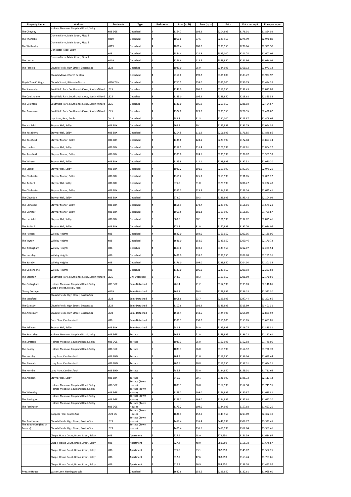| Holmes Meadow, Coupland Road, Selby<br><b>YO8 3GE</b><br>108.2<br>£204,995<br>£176.01<br>£1,894.59<br>Detached<br>1164.7<br>The Cheyney<br>4<br>Dunelm Farm, Main Street, Riccall<br>The Thoresby<br>YO19<br>Detached<br>1050.6<br>97.6<br>£289,950<br>£275.99<br>£2,970.80<br>Dunelm Farm, Main Street, Riccall<br>YO19<br>100.0<br>£299,950<br>£278.66<br>£2,999.50<br>The Wetherby<br>Detached<br>1076.4<br>4<br>Doncaster Road, Selby<br>124.9<br>£325,000<br>YO8<br>Detached<br>1344.4<br>£241.74<br>£2,602.08<br>4<br>Dunelm Farm, Main Street, Riccall<br>YO19<br>The Linton<br>Detached<br>1276.6<br>118.6<br>£359,950<br>£281.96<br>£3,034.99<br>4<br>LS23<br>1043.0<br>96.9<br>The Fernlea<br>Church Fields, High Street, Boston Spa<br>£384,995<br>£369.12<br>£3,973.12<br>Detached<br>2150.0<br>199.7<br>£395,000<br>£1,977.97<br>Church Mews, Church Fenton<br>Detached<br>£183.72<br>Church Street, Bilton-in-Ainsty<br>YO26 7NN<br>1711.5<br>159.0<br>£395,000<br>£230.79<br>£2,484.28<br>Maple Tree Cottage<br>Detached<br>LS25<br>1143.0<br>106.2<br>£219,950<br>£192.43<br>£2,071.09<br>The Somersby<br>Southfield Park, Southlands Close, South Milford<br>Detached<br>£249,950<br>£218.68<br>The Conisholme<br>Southfield Park, Southlands Close, South Milford<br>LS25<br>Detached<br>1143.0<br>106.2<br>£2,353.58<br>Southfield Park, Southlands Close, South Milford<br>LS25<br>1140.0<br>105.9<br>£259,950<br>£228.03<br>£2,454.67<br>The Deighton<br>Detached<br>LS25<br>123.0<br>£299,950<br>£226.55<br>£2,438.62<br>The Bramham<br>Southfield Park, Southlands Close, South Milford<br>Detached<br>1324.0<br>982.7<br>91.3<br><b>DN14</b><br>£220,000<br>£223.87<br>£2,409.64<br>Ings Lane, Beal, Goole<br>Detached<br>90.1<br>£2,064.36<br>The Hatfield<br>Staynor Hall, Selby<br>YO8 8RX<br>Detached<br>969.8<br>£185,999<br>£191.79<br>١R<br>YO8 8RX<br>1204.5<br>111.9<br>£206,999<br>£1,849.86<br>The Roseberry<br>Staynor Hall, Selby<br>Detached<br>£171.85<br>The Rosefield<br><b>YO8 8RX</b><br>1335.8<br>124.1<br>£229,999<br>£172.18<br>£1,853.34<br>Staynor Manor, Selby<br>Detached<br>Staynor Hall, Selby<br>YO8 8RX<br>1252.9<br>116.4<br>£209,999<br>£167.61<br>£1,804.12<br>The Lumley<br>Detached<br>The Rosefield<br><b>YO8 8RX</b><br>1335.8<br>124.1<br>£235,999<br>£176.67<br>£1,901.53<br>Staynor Manor, Selby<br>Detached<br>£192.32<br>The Winster<br>Staynor Hall, Selby<br>YO8 8RX<br>Detached<br>1195.9<br>111.1<br>£229,999<br>£2,070.20<br>£209,999<br>£2,079.20<br>The Escrick<br>Staynor Hall, Selby<br><b>YO8 8RX</b><br>Detached<br>1087.2<br>101.0<br>£193.16<br>4<br>125.9<br>The Chichester<br>Staynor Manor, Selby<br>YO8 8RX<br>Detached<br>1355.2<br>£259,999<br>£191.85<br>£2,065.12<br>4<br>871.8<br>81.0<br>£206.47<br>The Rufford<br>Staynor Hall, Selby<br>YO8 8RX<br>£179,999<br>£2,222.48<br>Detached<br>The Chichester<br>YO8 8RX<br>Detached<br>1355.2<br>125.9<br>£254,999<br>£188.16<br>£2,025.41<br>Staynor Manor, Selby<br>972.0<br>90.3<br>The Clevedon<br>YO8 8RX<br>£189,999<br>£195.48<br>£2,104.09<br>Staynor Hall, Selby<br>Detached<br>The Loxwood<br><b>YO8 8RX</b><br>Detached<br>1858.9<br>172.7<br>£289,999<br>£156.01<br>£1,679.21<br>Staynor Manor, Selby<br>1951.5<br>181.3<br>£309,999<br>£1,709.87<br>YO8 8RX<br>£158.85<br>The Dunster<br>Staynor Manor, Selby<br>Detached<br>14<br>90.1<br>£186,999<br>£192.82<br>£2,075.46<br>The Hatfield<br>Staynor Hall, Selby<br>YO8 8RX<br>Detached<br>13<br>969.8<br><b>YO8 8RX</b><br>871.8<br>81.0<br>£167,999<br>£192.70<br>£2,074.06<br>The Rufford<br>Staynor Hall, Selby<br>Detached<br>3<br>YO8<br>1822.0<br>169.0<br>£369,950<br>£203.05<br>£2,189.05<br>The Hayton<br>Willeby Heights<br>Detached<br>4<br>YO <sub>8</sub><br>152.0<br>£329,950<br>£200.46<br>£2,170.72<br>Detached<br>1646.0<br>The Wyton<br>Willeby Heights<br>$\overline{4}$<br>YO <sub>8</sub><br>1603.0<br>149.0<br>£2,281.54<br>The Riplingham<br>Detached<br>£339,950<br>£212.07<br>Willeby Heights<br>YO8<br>Detached<br>1436.0<br>133.0<br>£299,950<br>£208.88<br>£2,255.26<br>The Hunsley<br>Willeby Heights<br>4<br>YO <sub>8</sub><br>1176.0<br>109.0<br>£2,201.38<br>The Burnby<br>Detached<br>£239,950<br>£204.04<br>Willeby Heights<br>£239,950<br>YO8<br>Detached<br>1143.0<br>106.0<br>£209.93<br>£2,263.68<br>The Conisholme<br><b>Willeby Heights</b><br>3<br>843.0<br>78.3<br>£169,950<br>£201.60<br>The Marston<br>Southfield Park, Southlands Close, South Milford<br>LS25<br>Link Detached<br>£2,170.50<br>71.2<br>£152,995<br>£199.63<br>£2,148.81<br>The Collingham<br>YO8 3GE<br>Semi-Detached<br>766.4<br>Holmes Meadow, Coupland Road, Selby<br>3<br>Chapel Street, Riccall, York<br>YO19<br>70.8<br>£179,995<br>£236.18<br>Cherry Cottage<br>Semi-Detached<br>762.1<br>£2,542.30<br>Church Fields, High Street, Boston Spa<br>LS23<br>93.7<br>1008.6<br>£299,995<br>£297.44<br>£3,201.65<br>The Kensford<br>Semi-Detached<br>LS23<br>1107.6<br>102.9<br>The Gainsby<br>Church Fields, High Street, Boston Spa<br>Semi-Detached<br>£349,995<br>£315.99<br>£3,401.31<br>LS23<br>The Aylesbury<br>Church Fields, High Street, Boston Spa<br>1598.4<br>148.5<br>£424,995<br>£265.89<br>£2,861.92<br>Semi-Detached<br>5<br>Barn Elms, Camblesforth<br>YO8<br>Semi-Detached<br>1399.3<br>130.0<br>£215,000<br>£153.65<br>£1,653.85<br>5<br>54.0<br>The Askham<br>Staynor Hall, Selby<br>YO8 8RX<br>Semi-Detached<br>581.3<br>£125,999<br>£216.75<br>£2,333.31<br><b>YO8 3GE</b><br>764.2<br>71.0<br>£149,995<br>£196.28<br>Holmes Meadow, Coupland Road, Selby<br>£2,112.61<br>The Beardsley<br>Terrace<br>96.0<br>The Stretton<br>Holmes Meadow, Coupland Road, Selby<br>YO8 3GE<br>1033.3<br>£167,995<br>£162.58<br>£1,749.95<br>Terrace<br>The Oakley<br><b>YO8 3GE</b><br>1033.3<br>96.0<br>£169,995<br>£164.52<br>£1,770.78<br>Holmes Meadow, Coupland Road, Selby<br>Terrace<br>71.0<br>The Hornby<br>Long Acre, Camblesforth<br>YO8 8HD<br>764.2<br>£119,950<br>£156.96<br>£1,689.44<br>Terrace<br>The Kilnwick<br>YO8 8HD<br>762.5<br>70.8<br>£119,950<br>£157.31<br>£1,694.21<br>Long Acre, Camblesforth<br>$\overline{2}$<br>Terrace<br>The Hornby<br>Long Acre, Camblesforth<br>YO8 8HD<br>785.8<br>73.0<br>£124,950<br>£159.01<br>£1,711.64<br>Terrace<br>The Askham<br>646.9<br>60.1<br>Staynor Hall, Selby<br><b>YO8 8RX</b><br>£126,999<br>£196.32<br>£2,113.13<br>Terrace<br>Terrace (Town<br>96.0<br>Holmes Meadow, Coupland Road, Selby<br>YO8 3GE<br>1033.3<br>£167,995<br>£162.58<br>£1,749.95<br>House)<br>Holmes Meadow, Coupland Road, Selby<br>Terrace (Town<br><b>YO8 3GE</b><br>1173.2<br>109.0<br>£176,995<br>£150.87<br>£1,623.81<br>The Wheatley<br>House)<br>Holmes Meadow, Coupland Road, Selby<br>Terrace (Town<br>l3<br>YO8 3GE<br>House)<br>1173.2<br>109.0<br>£184,995<br>£157.68<br>£1,697.20<br>The Farrington<br>Terrace (Town<br>Holmes Meadow, Coupland Road, Selby<br>The Farrington<br>YO8 3GE<br>House)<br>1173.2<br>109.0<br>£184,995<br>£157.68<br>£1,697.20<br>Terrace (Town<br>Coopers Fold, Boston Spa<br>LS23 6SJ<br>House)<br>1636.1<br>152.0<br>£349,950<br>£213.89<br>£2,302.30<br>Terrace (Town<br>LS23<br>£308.77<br>The Boathouse<br>Church Fields, High Street, Boston Spa<br>House)<br>1457.4<br>135.4<br>£449,995<br>£3,323.45<br>The Boathouse (End of<br>Terrace (Town<br>Terrace)<br>LS23<br>1470.4<br>136.6<br>£459,995<br>£312.84<br>£3,367.46<br>Church Fields, High Street, Boston Spa<br>House)<br>5<br>YO8<br>48.9<br>£79,950<br>£1,634.97<br>Chapel House Court, Brook Street, Selby<br>Apartment<br>527.4<br>£151.59<br>Chapel House Court, Brook Street, Selby<br>YO8<br>527.4<br>48.9<br>£81,950<br>£155.38<br>£1,675.87<br>Apartment<br>Chapel House Court, Brook Street, Selby<br>YO8<br>571.8<br>53.1<br>£82,950<br>£145.07<br>£1,562.15<br>Apartment<br>Chapel House Court, Brook Street, Selby<br>YO8<br>512.7<br>47.6<br>£83,950<br>£163.74<br>£1,763.66<br>Apartment<br>$\overline{2}$<br>Chapel House Court, Brook Street, Selby<br>YO8<br>56.9<br>£84,950<br>£138.74<br>£1,492.97<br>Apartment<br>2<br>612.3 | <b>Property Name</b> | <b>Address</b>           | Post code | Type     | <b>Bedrooms</b> | Area (sq.ft) | Area (sq.m) | Price    | Price per sq.ft | Price per sq.m |
|--------------------------------------------------------------------------------------------------------------------------------------------------------------------------------------------------------------------------------------------------------------------------------------------------------------------------------------------------------------------------------------------------------------------------------------------------------------------------------------------------------------------------------------------------------------------------------------------------------------------------------------------------------------------------------------------------------------------------------------------------------------------------------------------------------------------------------------------------------------------------------------------------------------------------------------------------------------------------------------------------------------------------------------------------------------------------------------------------------------------------------------------------------------------------------------------------------------------------------------------------------------------------------------------------------------------------------------------------------------------------------------------------------------------------------------------------------------------------------------------------------------------------------------------------------------------------------------------------------------------------------------------------------------------------------------------------------------------------------------------------------------------------------------------------------------------------------------------------------------------------------------------------------------------------------------------------------------------------------------------------------------------------------------------------------------------------------------------------------------------------------------------------------------------------------------------------------------------------------------------------------------------------------------------------------------------------------------------------------------------------------------------------------------------------------------------------------------------------------------------------------------------------------------------------------------------------------------------------------------------------------------------------------------------------------------------------------------------------------------------------------------------------------------------------------------------------------------------------------------------------------------------------------------------------------------------------------------------------------------------------------------------------------------------------------------------------------------------------------------------------------------------------------------------------------------------------------------------------------------------------------------------------------------------------------------------------------------------------------------------------------------------------------------------------------------------------------------------------------------------------------------------------------------------------------------------------------------------------------------------------------------------------------------------------------------------------------------------------------------------------------------------------------------------------------------------------------------------------------------------------------------------------------------------------------------------------------------------------------------------------------------------------------------------------------------------------------------------------------------------------------------------------------------------------------------------------------------------------------------------------------------------------------------------------------------------------------------------------------------------------------------------------------------------------------------------------------------------------------------------------------------------------------------------------------------------------------------------------------------------------------------------------------------------------------------------------------------------------------------------------------------------------------------------------------------------------------------------------------------------------------------------------------------------------------------------------------------------------------------------------------------------------------------------------------------------------------------------------------------------------------------------------------------------------------------------------------------------------------------------------------------------------------------------------------------------------------------------------------------------------------------------------------------------------------------------------------------------------------------------------------------------------------------------------------------------------------------------------------------------------------------------------------------------------------------------------------------------------------------------------------------------------------------------------------------------------------------------------------------------------------------------------------------------------------------------------------------------------------------------------------------------------------------------------------------------------------------------------------------------------------------------------------------------------------------------------------------------------------------------------------------------------------------------------------------------------------------------------------------------------------------------------------------------------------------------------------------------------------------------------------------------------------------------------------------------------------------------------------------------------------------------------------------------------------------------------------------------------------------------------------------------------------------------------------------------------------------------------------------------------------------------------------------------------------------------------------------------------------------------------------------------------------------------------------------------------------------------------------------------------------------------------------------------------------------------------------------------------------------------------------------------------------------------------------------------------------------------------------------------------------------------------------------------------------------------------------------------------------------------------------------------------------------------------------------------------------------------------------------------------------------------------------------------------------------------------------------------------------------------------------------------------------------------------------------------------------------------------------------------------------------------------------------------------------------------------------------------------------------------------------------------------------------------------------------------------------------------------------------------------------------|----------------------|--------------------------|-----------|----------|-----------------|--------------|-------------|----------|-----------------|----------------|
|                                                                                                                                                                                                                                                                                                                                                                                                                                                                                                                                                                                                                                                                                                                                                                                                                                                                                                                                                                                                                                                                                                                                                                                                                                                                                                                                                                                                                                                                                                                                                                                                                                                                                                                                                                                                                                                                                                                                                                                                                                                                                                                                                                                                                                                                                                                                                                                                                                                                                                                                                                                                                                                                                                                                                                                                                                                                                                                                                                                                                                                                                                                                                                                                                                                                                                                                                                                                                                                                                                                                                                                                                                                                                                                                                                                                                                                                                                                                                                                                                                                                                                                                                                                                                                                                                                                                                                                                                                                                                                                                                                                                                                                                                                                                                                                                                                                                                                                                                                                                                                                                                                                                                                                                                                                                                                                                                                                                                                                                                                                                                                                                                                                                                                                                                                                                                                                                                                                                                                                                                                                                                                                                                                                                                                                                                                                                                                                                                                                                                                                                                                                                                                                                                                                                                                                                                                                                                                                                                                                                                                                                                                                                                                                                                                                                                                                                                                                                                                                                                                                                                                                                                                                                                                                                                                                                                                                                                                                                                                                                                                                                                                                                      |                      |                          |           |          |                 |              |             |          |                 |                |
|                                                                                                                                                                                                                                                                                                                                                                                                                                                                                                                                                                                                                                                                                                                                                                                                                                                                                                                                                                                                                                                                                                                                                                                                                                                                                                                                                                                                                                                                                                                                                                                                                                                                                                                                                                                                                                                                                                                                                                                                                                                                                                                                                                                                                                                                                                                                                                                                                                                                                                                                                                                                                                                                                                                                                                                                                                                                                                                                                                                                                                                                                                                                                                                                                                                                                                                                                                                                                                                                                                                                                                                                                                                                                                                                                                                                                                                                                                                                                                                                                                                                                                                                                                                                                                                                                                                                                                                                                                                                                                                                                                                                                                                                                                                                                                                                                                                                                                                                                                                                                                                                                                                                                                                                                                                                                                                                                                                                                                                                                                                                                                                                                                                                                                                                                                                                                                                                                                                                                                                                                                                                                                                                                                                                                                                                                                                                                                                                                                                                                                                                                                                                                                                                                                                                                                                                                                                                                                                                                                                                                                                                                                                                                                                                                                                                                                                                                                                                                                                                                                                                                                                                                                                                                                                                                                                                                                                                                                                                                                                                                                                                                                                                      |                      |                          |           |          |                 |              |             |          |                 |                |
|                                                                                                                                                                                                                                                                                                                                                                                                                                                                                                                                                                                                                                                                                                                                                                                                                                                                                                                                                                                                                                                                                                                                                                                                                                                                                                                                                                                                                                                                                                                                                                                                                                                                                                                                                                                                                                                                                                                                                                                                                                                                                                                                                                                                                                                                                                                                                                                                                                                                                                                                                                                                                                                                                                                                                                                                                                                                                                                                                                                                                                                                                                                                                                                                                                                                                                                                                                                                                                                                                                                                                                                                                                                                                                                                                                                                                                                                                                                                                                                                                                                                                                                                                                                                                                                                                                                                                                                                                                                                                                                                                                                                                                                                                                                                                                                                                                                                                                                                                                                                                                                                                                                                                                                                                                                                                                                                                                                                                                                                                                                                                                                                                                                                                                                                                                                                                                                                                                                                                                                                                                                                                                                                                                                                                                                                                                                                                                                                                                                                                                                                                                                                                                                                                                                                                                                                                                                                                                                                                                                                                                                                                                                                                                                                                                                                                                                                                                                                                                                                                                                                                                                                                                                                                                                                                                                                                                                                                                                                                                                                                                                                                                                                      |                      |                          |           |          |                 |              |             |          |                 |                |
|                                                                                                                                                                                                                                                                                                                                                                                                                                                                                                                                                                                                                                                                                                                                                                                                                                                                                                                                                                                                                                                                                                                                                                                                                                                                                                                                                                                                                                                                                                                                                                                                                                                                                                                                                                                                                                                                                                                                                                                                                                                                                                                                                                                                                                                                                                                                                                                                                                                                                                                                                                                                                                                                                                                                                                                                                                                                                                                                                                                                                                                                                                                                                                                                                                                                                                                                                                                                                                                                                                                                                                                                                                                                                                                                                                                                                                                                                                                                                                                                                                                                                                                                                                                                                                                                                                                                                                                                                                                                                                                                                                                                                                                                                                                                                                                                                                                                                                                                                                                                                                                                                                                                                                                                                                                                                                                                                                                                                                                                                                                                                                                                                                                                                                                                                                                                                                                                                                                                                                                                                                                                                                                                                                                                                                                                                                                                                                                                                                                                                                                                                                                                                                                                                                                                                                                                                                                                                                                                                                                                                                                                                                                                                                                                                                                                                                                                                                                                                                                                                                                                                                                                                                                                                                                                                                                                                                                                                                                                                                                                                                                                                                                                      |                      |                          |           |          |                 |              |             |          |                 |                |
|                                                                                                                                                                                                                                                                                                                                                                                                                                                                                                                                                                                                                                                                                                                                                                                                                                                                                                                                                                                                                                                                                                                                                                                                                                                                                                                                                                                                                                                                                                                                                                                                                                                                                                                                                                                                                                                                                                                                                                                                                                                                                                                                                                                                                                                                                                                                                                                                                                                                                                                                                                                                                                                                                                                                                                                                                                                                                                                                                                                                                                                                                                                                                                                                                                                                                                                                                                                                                                                                                                                                                                                                                                                                                                                                                                                                                                                                                                                                                                                                                                                                                                                                                                                                                                                                                                                                                                                                                                                                                                                                                                                                                                                                                                                                                                                                                                                                                                                                                                                                                                                                                                                                                                                                                                                                                                                                                                                                                                                                                                                                                                                                                                                                                                                                                                                                                                                                                                                                                                                                                                                                                                                                                                                                                                                                                                                                                                                                                                                                                                                                                                                                                                                                                                                                                                                                                                                                                                                                                                                                                                                                                                                                                                                                                                                                                                                                                                                                                                                                                                                                                                                                                                                                                                                                                                                                                                                                                                                                                                                                                                                                                                                                      |                      |                          |           |          |                 |              |             |          |                 |                |
|                                                                                                                                                                                                                                                                                                                                                                                                                                                                                                                                                                                                                                                                                                                                                                                                                                                                                                                                                                                                                                                                                                                                                                                                                                                                                                                                                                                                                                                                                                                                                                                                                                                                                                                                                                                                                                                                                                                                                                                                                                                                                                                                                                                                                                                                                                                                                                                                                                                                                                                                                                                                                                                                                                                                                                                                                                                                                                                                                                                                                                                                                                                                                                                                                                                                                                                                                                                                                                                                                                                                                                                                                                                                                                                                                                                                                                                                                                                                                                                                                                                                                                                                                                                                                                                                                                                                                                                                                                                                                                                                                                                                                                                                                                                                                                                                                                                                                                                                                                                                                                                                                                                                                                                                                                                                                                                                                                                                                                                                                                                                                                                                                                                                                                                                                                                                                                                                                                                                                                                                                                                                                                                                                                                                                                                                                                                                                                                                                                                                                                                                                                                                                                                                                                                                                                                                                                                                                                                                                                                                                                                                                                                                                                                                                                                                                                                                                                                                                                                                                                                                                                                                                                                                                                                                                                                                                                                                                                                                                                                                                                                                                                                                      |                      |                          |           |          |                 |              |             |          |                 |                |
|                                                                                                                                                                                                                                                                                                                                                                                                                                                                                                                                                                                                                                                                                                                                                                                                                                                                                                                                                                                                                                                                                                                                                                                                                                                                                                                                                                                                                                                                                                                                                                                                                                                                                                                                                                                                                                                                                                                                                                                                                                                                                                                                                                                                                                                                                                                                                                                                                                                                                                                                                                                                                                                                                                                                                                                                                                                                                                                                                                                                                                                                                                                                                                                                                                                                                                                                                                                                                                                                                                                                                                                                                                                                                                                                                                                                                                                                                                                                                                                                                                                                                                                                                                                                                                                                                                                                                                                                                                                                                                                                                                                                                                                                                                                                                                                                                                                                                                                                                                                                                                                                                                                                                                                                                                                                                                                                                                                                                                                                                                                                                                                                                                                                                                                                                                                                                                                                                                                                                                                                                                                                                                                                                                                                                                                                                                                                                                                                                                                                                                                                                                                                                                                                                                                                                                                                                                                                                                                                                                                                                                                                                                                                                                                                                                                                                                                                                                                                                                                                                                                                                                                                                                                                                                                                                                                                                                                                                                                                                                                                                                                                                                                                      |                      |                          |           |          |                 |              |             |          |                 |                |
|                                                                                                                                                                                                                                                                                                                                                                                                                                                                                                                                                                                                                                                                                                                                                                                                                                                                                                                                                                                                                                                                                                                                                                                                                                                                                                                                                                                                                                                                                                                                                                                                                                                                                                                                                                                                                                                                                                                                                                                                                                                                                                                                                                                                                                                                                                                                                                                                                                                                                                                                                                                                                                                                                                                                                                                                                                                                                                                                                                                                                                                                                                                                                                                                                                                                                                                                                                                                                                                                                                                                                                                                                                                                                                                                                                                                                                                                                                                                                                                                                                                                                                                                                                                                                                                                                                                                                                                                                                                                                                                                                                                                                                                                                                                                                                                                                                                                                                                                                                                                                                                                                                                                                                                                                                                                                                                                                                                                                                                                                                                                                                                                                                                                                                                                                                                                                                                                                                                                                                                                                                                                                                                                                                                                                                                                                                                                                                                                                                                                                                                                                                                                                                                                                                                                                                                                                                                                                                                                                                                                                                                                                                                                                                                                                                                                                                                                                                                                                                                                                                                                                                                                                                                                                                                                                                                                                                                                                                                                                                                                                                                                                                                                      |                      |                          |           |          |                 |              |             |          |                 |                |
|                                                                                                                                                                                                                                                                                                                                                                                                                                                                                                                                                                                                                                                                                                                                                                                                                                                                                                                                                                                                                                                                                                                                                                                                                                                                                                                                                                                                                                                                                                                                                                                                                                                                                                                                                                                                                                                                                                                                                                                                                                                                                                                                                                                                                                                                                                                                                                                                                                                                                                                                                                                                                                                                                                                                                                                                                                                                                                                                                                                                                                                                                                                                                                                                                                                                                                                                                                                                                                                                                                                                                                                                                                                                                                                                                                                                                                                                                                                                                                                                                                                                                                                                                                                                                                                                                                                                                                                                                                                                                                                                                                                                                                                                                                                                                                                                                                                                                                                                                                                                                                                                                                                                                                                                                                                                                                                                                                                                                                                                                                                                                                                                                                                                                                                                                                                                                                                                                                                                                                                                                                                                                                                                                                                                                                                                                                                                                                                                                                                                                                                                                                                                                                                                                                                                                                                                                                                                                                                                                                                                                                                                                                                                                                                                                                                                                                                                                                                                                                                                                                                                                                                                                                                                                                                                                                                                                                                                                                                                                                                                                                                                                                                                      |                      |                          |           |          |                 |              |             |          |                 |                |
|                                                                                                                                                                                                                                                                                                                                                                                                                                                                                                                                                                                                                                                                                                                                                                                                                                                                                                                                                                                                                                                                                                                                                                                                                                                                                                                                                                                                                                                                                                                                                                                                                                                                                                                                                                                                                                                                                                                                                                                                                                                                                                                                                                                                                                                                                                                                                                                                                                                                                                                                                                                                                                                                                                                                                                                                                                                                                                                                                                                                                                                                                                                                                                                                                                                                                                                                                                                                                                                                                                                                                                                                                                                                                                                                                                                                                                                                                                                                                                                                                                                                                                                                                                                                                                                                                                                                                                                                                                                                                                                                                                                                                                                                                                                                                                                                                                                                                                                                                                                                                                                                                                                                                                                                                                                                                                                                                                                                                                                                                                                                                                                                                                                                                                                                                                                                                                                                                                                                                                                                                                                                                                                                                                                                                                                                                                                                                                                                                                                                                                                                                                                                                                                                                                                                                                                                                                                                                                                                                                                                                                                                                                                                                                                                                                                                                                                                                                                                                                                                                                                                                                                                                                                                                                                                                                                                                                                                                                                                                                                                                                                                                                                                      |                      |                          |           |          |                 |              |             |          |                 |                |
|                                                                                                                                                                                                                                                                                                                                                                                                                                                                                                                                                                                                                                                                                                                                                                                                                                                                                                                                                                                                                                                                                                                                                                                                                                                                                                                                                                                                                                                                                                                                                                                                                                                                                                                                                                                                                                                                                                                                                                                                                                                                                                                                                                                                                                                                                                                                                                                                                                                                                                                                                                                                                                                                                                                                                                                                                                                                                                                                                                                                                                                                                                                                                                                                                                                                                                                                                                                                                                                                                                                                                                                                                                                                                                                                                                                                                                                                                                                                                                                                                                                                                                                                                                                                                                                                                                                                                                                                                                                                                                                                                                                                                                                                                                                                                                                                                                                                                                                                                                                                                                                                                                                                                                                                                                                                                                                                                                                                                                                                                                                                                                                                                                                                                                                                                                                                                                                                                                                                                                                                                                                                                                                                                                                                                                                                                                                                                                                                                                                                                                                                                                                                                                                                                                                                                                                                                                                                                                                                                                                                                                                                                                                                                                                                                                                                                                                                                                                                                                                                                                                                                                                                                                                                                                                                                                                                                                                                                                                                                                                                                                                                                                                                      |                      |                          |           |          |                 |              |             |          |                 |                |
|                                                                                                                                                                                                                                                                                                                                                                                                                                                                                                                                                                                                                                                                                                                                                                                                                                                                                                                                                                                                                                                                                                                                                                                                                                                                                                                                                                                                                                                                                                                                                                                                                                                                                                                                                                                                                                                                                                                                                                                                                                                                                                                                                                                                                                                                                                                                                                                                                                                                                                                                                                                                                                                                                                                                                                                                                                                                                                                                                                                                                                                                                                                                                                                                                                                                                                                                                                                                                                                                                                                                                                                                                                                                                                                                                                                                                                                                                                                                                                                                                                                                                                                                                                                                                                                                                                                                                                                                                                                                                                                                                                                                                                                                                                                                                                                                                                                                                                                                                                                                                                                                                                                                                                                                                                                                                                                                                                                                                                                                                                                                                                                                                                                                                                                                                                                                                                                                                                                                                                                                                                                                                                                                                                                                                                                                                                                                                                                                                                                                                                                                                                                                                                                                                                                                                                                                                                                                                                                                                                                                                                                                                                                                                                                                                                                                                                                                                                                                                                                                                                                                                                                                                                                                                                                                                                                                                                                                                                                                                                                                                                                                                                                                      |                      |                          |           |          |                 |              |             |          |                 |                |
|                                                                                                                                                                                                                                                                                                                                                                                                                                                                                                                                                                                                                                                                                                                                                                                                                                                                                                                                                                                                                                                                                                                                                                                                                                                                                                                                                                                                                                                                                                                                                                                                                                                                                                                                                                                                                                                                                                                                                                                                                                                                                                                                                                                                                                                                                                                                                                                                                                                                                                                                                                                                                                                                                                                                                                                                                                                                                                                                                                                                                                                                                                                                                                                                                                                                                                                                                                                                                                                                                                                                                                                                                                                                                                                                                                                                                                                                                                                                                                                                                                                                                                                                                                                                                                                                                                                                                                                                                                                                                                                                                                                                                                                                                                                                                                                                                                                                                                                                                                                                                                                                                                                                                                                                                                                                                                                                                                                                                                                                                                                                                                                                                                                                                                                                                                                                                                                                                                                                                                                                                                                                                                                                                                                                                                                                                                                                                                                                                                                                                                                                                                                                                                                                                                                                                                                                                                                                                                                                                                                                                                                                                                                                                                                                                                                                                                                                                                                                                                                                                                                                                                                                                                                                                                                                                                                                                                                                                                                                                                                                                                                                                                                                      |                      |                          |           |          |                 |              |             |          |                 |                |
|                                                                                                                                                                                                                                                                                                                                                                                                                                                                                                                                                                                                                                                                                                                                                                                                                                                                                                                                                                                                                                                                                                                                                                                                                                                                                                                                                                                                                                                                                                                                                                                                                                                                                                                                                                                                                                                                                                                                                                                                                                                                                                                                                                                                                                                                                                                                                                                                                                                                                                                                                                                                                                                                                                                                                                                                                                                                                                                                                                                                                                                                                                                                                                                                                                                                                                                                                                                                                                                                                                                                                                                                                                                                                                                                                                                                                                                                                                                                                                                                                                                                                                                                                                                                                                                                                                                                                                                                                                                                                                                                                                                                                                                                                                                                                                                                                                                                                                                                                                                                                                                                                                                                                                                                                                                                                                                                                                                                                                                                                                                                                                                                                                                                                                                                                                                                                                                                                                                                                                                                                                                                                                                                                                                                                                                                                                                                                                                                                                                                                                                                                                                                                                                                                                                                                                                                                                                                                                                                                                                                                                                                                                                                                                                                                                                                                                                                                                                                                                                                                                                                                                                                                                                                                                                                                                                                                                                                                                                                                                                                                                                                                                                                      |                      |                          |           |          |                 |              |             |          |                 |                |
|                                                                                                                                                                                                                                                                                                                                                                                                                                                                                                                                                                                                                                                                                                                                                                                                                                                                                                                                                                                                                                                                                                                                                                                                                                                                                                                                                                                                                                                                                                                                                                                                                                                                                                                                                                                                                                                                                                                                                                                                                                                                                                                                                                                                                                                                                                                                                                                                                                                                                                                                                                                                                                                                                                                                                                                                                                                                                                                                                                                                                                                                                                                                                                                                                                                                                                                                                                                                                                                                                                                                                                                                                                                                                                                                                                                                                                                                                                                                                                                                                                                                                                                                                                                                                                                                                                                                                                                                                                                                                                                                                                                                                                                                                                                                                                                                                                                                                                                                                                                                                                                                                                                                                                                                                                                                                                                                                                                                                                                                                                                                                                                                                                                                                                                                                                                                                                                                                                                                                                                                                                                                                                                                                                                                                                                                                                                                                                                                                                                                                                                                                                                                                                                                                                                                                                                                                                                                                                                                                                                                                                                                                                                                                                                                                                                                                                                                                                                                                                                                                                                                                                                                                                                                                                                                                                                                                                                                                                                                                                                                                                                                                                                                      |                      |                          |           |          |                 |              |             |          |                 |                |
|                                                                                                                                                                                                                                                                                                                                                                                                                                                                                                                                                                                                                                                                                                                                                                                                                                                                                                                                                                                                                                                                                                                                                                                                                                                                                                                                                                                                                                                                                                                                                                                                                                                                                                                                                                                                                                                                                                                                                                                                                                                                                                                                                                                                                                                                                                                                                                                                                                                                                                                                                                                                                                                                                                                                                                                                                                                                                                                                                                                                                                                                                                                                                                                                                                                                                                                                                                                                                                                                                                                                                                                                                                                                                                                                                                                                                                                                                                                                                                                                                                                                                                                                                                                                                                                                                                                                                                                                                                                                                                                                                                                                                                                                                                                                                                                                                                                                                                                                                                                                                                                                                                                                                                                                                                                                                                                                                                                                                                                                                                                                                                                                                                                                                                                                                                                                                                                                                                                                                                                                                                                                                                                                                                                                                                                                                                                                                                                                                                                                                                                                                                                                                                                                                                                                                                                                                                                                                                                                                                                                                                                                                                                                                                                                                                                                                                                                                                                                                                                                                                                                                                                                                                                                                                                                                                                                                                                                                                                                                                                                                                                                                                                                      |                      |                          |           |          |                 |              |             |          |                 |                |
|                                                                                                                                                                                                                                                                                                                                                                                                                                                                                                                                                                                                                                                                                                                                                                                                                                                                                                                                                                                                                                                                                                                                                                                                                                                                                                                                                                                                                                                                                                                                                                                                                                                                                                                                                                                                                                                                                                                                                                                                                                                                                                                                                                                                                                                                                                                                                                                                                                                                                                                                                                                                                                                                                                                                                                                                                                                                                                                                                                                                                                                                                                                                                                                                                                                                                                                                                                                                                                                                                                                                                                                                                                                                                                                                                                                                                                                                                                                                                                                                                                                                                                                                                                                                                                                                                                                                                                                                                                                                                                                                                                                                                                                                                                                                                                                                                                                                                                                                                                                                                                                                                                                                                                                                                                                                                                                                                                                                                                                                                                                                                                                                                                                                                                                                                                                                                                                                                                                                                                                                                                                                                                                                                                                                                                                                                                                                                                                                                                                                                                                                                                                                                                                                                                                                                                                                                                                                                                                                                                                                                                                                                                                                                                                                                                                                                                                                                                                                                                                                                                                                                                                                                                                                                                                                                                                                                                                                                                                                                                                                                                                                                                                                      |                      |                          |           |          |                 |              |             |          |                 |                |
|                                                                                                                                                                                                                                                                                                                                                                                                                                                                                                                                                                                                                                                                                                                                                                                                                                                                                                                                                                                                                                                                                                                                                                                                                                                                                                                                                                                                                                                                                                                                                                                                                                                                                                                                                                                                                                                                                                                                                                                                                                                                                                                                                                                                                                                                                                                                                                                                                                                                                                                                                                                                                                                                                                                                                                                                                                                                                                                                                                                                                                                                                                                                                                                                                                                                                                                                                                                                                                                                                                                                                                                                                                                                                                                                                                                                                                                                                                                                                                                                                                                                                                                                                                                                                                                                                                                                                                                                                                                                                                                                                                                                                                                                                                                                                                                                                                                                                                                                                                                                                                                                                                                                                                                                                                                                                                                                                                                                                                                                                                                                                                                                                                                                                                                                                                                                                                                                                                                                                                                                                                                                                                                                                                                                                                                                                                                                                                                                                                                                                                                                                                                                                                                                                                                                                                                                                                                                                                                                                                                                                                                                                                                                                                                                                                                                                                                                                                                                                                                                                                                                                                                                                                                                                                                                                                                                                                                                                                                                                                                                                                                                                                                                      |                      |                          |           |          |                 |              |             |          |                 |                |
|                                                                                                                                                                                                                                                                                                                                                                                                                                                                                                                                                                                                                                                                                                                                                                                                                                                                                                                                                                                                                                                                                                                                                                                                                                                                                                                                                                                                                                                                                                                                                                                                                                                                                                                                                                                                                                                                                                                                                                                                                                                                                                                                                                                                                                                                                                                                                                                                                                                                                                                                                                                                                                                                                                                                                                                                                                                                                                                                                                                                                                                                                                                                                                                                                                                                                                                                                                                                                                                                                                                                                                                                                                                                                                                                                                                                                                                                                                                                                                                                                                                                                                                                                                                                                                                                                                                                                                                                                                                                                                                                                                                                                                                                                                                                                                                                                                                                                                                                                                                                                                                                                                                                                                                                                                                                                                                                                                                                                                                                                                                                                                                                                                                                                                                                                                                                                                                                                                                                                                                                                                                                                                                                                                                                                                                                                                                                                                                                                                                                                                                                                                                                                                                                                                                                                                                                                                                                                                                                                                                                                                                                                                                                                                                                                                                                                                                                                                                                                                                                                                                                                                                                                                                                                                                                                                                                                                                                                                                                                                                                                                                                                                                                      |                      |                          |           |          |                 |              |             |          |                 |                |
|                                                                                                                                                                                                                                                                                                                                                                                                                                                                                                                                                                                                                                                                                                                                                                                                                                                                                                                                                                                                                                                                                                                                                                                                                                                                                                                                                                                                                                                                                                                                                                                                                                                                                                                                                                                                                                                                                                                                                                                                                                                                                                                                                                                                                                                                                                                                                                                                                                                                                                                                                                                                                                                                                                                                                                                                                                                                                                                                                                                                                                                                                                                                                                                                                                                                                                                                                                                                                                                                                                                                                                                                                                                                                                                                                                                                                                                                                                                                                                                                                                                                                                                                                                                                                                                                                                                                                                                                                                                                                                                                                                                                                                                                                                                                                                                                                                                                                                                                                                                                                                                                                                                                                                                                                                                                                                                                                                                                                                                                                                                                                                                                                                                                                                                                                                                                                                                                                                                                                                                                                                                                                                                                                                                                                                                                                                                                                                                                                                                                                                                                                                                                                                                                                                                                                                                                                                                                                                                                                                                                                                                                                                                                                                                                                                                                                                                                                                                                                                                                                                                                                                                                                                                                                                                                                                                                                                                                                                                                                                                                                                                                                                                                      |                      |                          |           |          |                 |              |             |          |                 |                |
|                                                                                                                                                                                                                                                                                                                                                                                                                                                                                                                                                                                                                                                                                                                                                                                                                                                                                                                                                                                                                                                                                                                                                                                                                                                                                                                                                                                                                                                                                                                                                                                                                                                                                                                                                                                                                                                                                                                                                                                                                                                                                                                                                                                                                                                                                                                                                                                                                                                                                                                                                                                                                                                                                                                                                                                                                                                                                                                                                                                                                                                                                                                                                                                                                                                                                                                                                                                                                                                                                                                                                                                                                                                                                                                                                                                                                                                                                                                                                                                                                                                                                                                                                                                                                                                                                                                                                                                                                                                                                                                                                                                                                                                                                                                                                                                                                                                                                                                                                                                                                                                                                                                                                                                                                                                                                                                                                                                                                                                                                                                                                                                                                                                                                                                                                                                                                                                                                                                                                                                                                                                                                                                                                                                                                                                                                                                                                                                                                                                                                                                                                                                                                                                                                                                                                                                                                                                                                                                                                                                                                                                                                                                                                                                                                                                                                                                                                                                                                                                                                                                                                                                                                                                                                                                                                                                                                                                                                                                                                                                                                                                                                                                                      |                      |                          |           |          |                 |              |             |          |                 |                |
|                                                                                                                                                                                                                                                                                                                                                                                                                                                                                                                                                                                                                                                                                                                                                                                                                                                                                                                                                                                                                                                                                                                                                                                                                                                                                                                                                                                                                                                                                                                                                                                                                                                                                                                                                                                                                                                                                                                                                                                                                                                                                                                                                                                                                                                                                                                                                                                                                                                                                                                                                                                                                                                                                                                                                                                                                                                                                                                                                                                                                                                                                                                                                                                                                                                                                                                                                                                                                                                                                                                                                                                                                                                                                                                                                                                                                                                                                                                                                                                                                                                                                                                                                                                                                                                                                                                                                                                                                                                                                                                                                                                                                                                                                                                                                                                                                                                                                                                                                                                                                                                                                                                                                                                                                                                                                                                                                                                                                                                                                                                                                                                                                                                                                                                                                                                                                                                                                                                                                                                                                                                                                                                                                                                                                                                                                                                                                                                                                                                                                                                                                                                                                                                                                                                                                                                                                                                                                                                                                                                                                                                                                                                                                                                                                                                                                                                                                                                                                                                                                                                                                                                                                                                                                                                                                                                                                                                                                                                                                                                                                                                                                                                                      |                      |                          |           |          |                 |              |             |          |                 |                |
|                                                                                                                                                                                                                                                                                                                                                                                                                                                                                                                                                                                                                                                                                                                                                                                                                                                                                                                                                                                                                                                                                                                                                                                                                                                                                                                                                                                                                                                                                                                                                                                                                                                                                                                                                                                                                                                                                                                                                                                                                                                                                                                                                                                                                                                                                                                                                                                                                                                                                                                                                                                                                                                                                                                                                                                                                                                                                                                                                                                                                                                                                                                                                                                                                                                                                                                                                                                                                                                                                                                                                                                                                                                                                                                                                                                                                                                                                                                                                                                                                                                                                                                                                                                                                                                                                                                                                                                                                                                                                                                                                                                                                                                                                                                                                                                                                                                                                                                                                                                                                                                                                                                                                                                                                                                                                                                                                                                                                                                                                                                                                                                                                                                                                                                                                                                                                                                                                                                                                                                                                                                                                                                                                                                                                                                                                                                                                                                                                                                                                                                                                                                                                                                                                                                                                                                                                                                                                                                                                                                                                                                                                                                                                                                                                                                                                                                                                                                                                                                                                                                                                                                                                                                                                                                                                                                                                                                                                                                                                                                                                                                                                                                                      |                      |                          |           |          |                 |              |             |          |                 |                |
|                                                                                                                                                                                                                                                                                                                                                                                                                                                                                                                                                                                                                                                                                                                                                                                                                                                                                                                                                                                                                                                                                                                                                                                                                                                                                                                                                                                                                                                                                                                                                                                                                                                                                                                                                                                                                                                                                                                                                                                                                                                                                                                                                                                                                                                                                                                                                                                                                                                                                                                                                                                                                                                                                                                                                                                                                                                                                                                                                                                                                                                                                                                                                                                                                                                                                                                                                                                                                                                                                                                                                                                                                                                                                                                                                                                                                                                                                                                                                                                                                                                                                                                                                                                                                                                                                                                                                                                                                                                                                                                                                                                                                                                                                                                                                                                                                                                                                                                                                                                                                                                                                                                                                                                                                                                                                                                                                                                                                                                                                                                                                                                                                                                                                                                                                                                                                                                                                                                                                                                                                                                                                                                                                                                                                                                                                                                                                                                                                                                                                                                                                                                                                                                                                                                                                                                                                                                                                                                                                                                                                                                                                                                                                                                                                                                                                                                                                                                                                                                                                                                                                                                                                                                                                                                                                                                                                                                                                                                                                                                                                                                                                                                                      |                      |                          |           |          |                 |              |             |          |                 |                |
|                                                                                                                                                                                                                                                                                                                                                                                                                                                                                                                                                                                                                                                                                                                                                                                                                                                                                                                                                                                                                                                                                                                                                                                                                                                                                                                                                                                                                                                                                                                                                                                                                                                                                                                                                                                                                                                                                                                                                                                                                                                                                                                                                                                                                                                                                                                                                                                                                                                                                                                                                                                                                                                                                                                                                                                                                                                                                                                                                                                                                                                                                                                                                                                                                                                                                                                                                                                                                                                                                                                                                                                                                                                                                                                                                                                                                                                                                                                                                                                                                                                                                                                                                                                                                                                                                                                                                                                                                                                                                                                                                                                                                                                                                                                                                                                                                                                                                                                                                                                                                                                                                                                                                                                                                                                                                                                                                                                                                                                                                                                                                                                                                                                                                                                                                                                                                                                                                                                                                                                                                                                                                                                                                                                                                                                                                                                                                                                                                                                                                                                                                                                                                                                                                                                                                                                                                                                                                                                                                                                                                                                                                                                                                                                                                                                                                                                                                                                                                                                                                                                                                                                                                                                                                                                                                                                                                                                                                                                                                                                                                                                                                                                                      |                      |                          |           |          |                 |              |             |          |                 |                |
|                                                                                                                                                                                                                                                                                                                                                                                                                                                                                                                                                                                                                                                                                                                                                                                                                                                                                                                                                                                                                                                                                                                                                                                                                                                                                                                                                                                                                                                                                                                                                                                                                                                                                                                                                                                                                                                                                                                                                                                                                                                                                                                                                                                                                                                                                                                                                                                                                                                                                                                                                                                                                                                                                                                                                                                                                                                                                                                                                                                                                                                                                                                                                                                                                                                                                                                                                                                                                                                                                                                                                                                                                                                                                                                                                                                                                                                                                                                                                                                                                                                                                                                                                                                                                                                                                                                                                                                                                                                                                                                                                                                                                                                                                                                                                                                                                                                                                                                                                                                                                                                                                                                                                                                                                                                                                                                                                                                                                                                                                                                                                                                                                                                                                                                                                                                                                                                                                                                                                                                                                                                                                                                                                                                                                                                                                                                                                                                                                                                                                                                                                                                                                                                                                                                                                                                                                                                                                                                                                                                                                                                                                                                                                                                                                                                                                                                                                                                                                                                                                                                                                                                                                                                                                                                                                                                                                                                                                                                                                                                                                                                                                                                                      |                      |                          |           |          |                 |              |             |          |                 |                |
|                                                                                                                                                                                                                                                                                                                                                                                                                                                                                                                                                                                                                                                                                                                                                                                                                                                                                                                                                                                                                                                                                                                                                                                                                                                                                                                                                                                                                                                                                                                                                                                                                                                                                                                                                                                                                                                                                                                                                                                                                                                                                                                                                                                                                                                                                                                                                                                                                                                                                                                                                                                                                                                                                                                                                                                                                                                                                                                                                                                                                                                                                                                                                                                                                                                                                                                                                                                                                                                                                                                                                                                                                                                                                                                                                                                                                                                                                                                                                                                                                                                                                                                                                                                                                                                                                                                                                                                                                                                                                                                                                                                                                                                                                                                                                                                                                                                                                                                                                                                                                                                                                                                                                                                                                                                                                                                                                                                                                                                                                                                                                                                                                                                                                                                                                                                                                                                                                                                                                                                                                                                                                                                                                                                                                                                                                                                                                                                                                                                                                                                                                                                                                                                                                                                                                                                                                                                                                                                                                                                                                                                                                                                                                                                                                                                                                                                                                                                                                                                                                                                                                                                                                                                                                                                                                                                                                                                                                                                                                                                                                                                                                                                                      |                      |                          |           |          |                 |              |             |          |                 |                |
|                                                                                                                                                                                                                                                                                                                                                                                                                                                                                                                                                                                                                                                                                                                                                                                                                                                                                                                                                                                                                                                                                                                                                                                                                                                                                                                                                                                                                                                                                                                                                                                                                                                                                                                                                                                                                                                                                                                                                                                                                                                                                                                                                                                                                                                                                                                                                                                                                                                                                                                                                                                                                                                                                                                                                                                                                                                                                                                                                                                                                                                                                                                                                                                                                                                                                                                                                                                                                                                                                                                                                                                                                                                                                                                                                                                                                                                                                                                                                                                                                                                                                                                                                                                                                                                                                                                                                                                                                                                                                                                                                                                                                                                                                                                                                                                                                                                                                                                                                                                                                                                                                                                                                                                                                                                                                                                                                                                                                                                                                                                                                                                                                                                                                                                                                                                                                                                                                                                                                                                                                                                                                                                                                                                                                                                                                                                                                                                                                                                                                                                                                                                                                                                                                                                                                                                                                                                                                                                                                                                                                                                                                                                                                                                                                                                                                                                                                                                                                                                                                                                                                                                                                                                                                                                                                                                                                                                                                                                                                                                                                                                                                                                                      |                      |                          |           |          |                 |              |             |          |                 |                |
|                                                                                                                                                                                                                                                                                                                                                                                                                                                                                                                                                                                                                                                                                                                                                                                                                                                                                                                                                                                                                                                                                                                                                                                                                                                                                                                                                                                                                                                                                                                                                                                                                                                                                                                                                                                                                                                                                                                                                                                                                                                                                                                                                                                                                                                                                                                                                                                                                                                                                                                                                                                                                                                                                                                                                                                                                                                                                                                                                                                                                                                                                                                                                                                                                                                                                                                                                                                                                                                                                                                                                                                                                                                                                                                                                                                                                                                                                                                                                                                                                                                                                                                                                                                                                                                                                                                                                                                                                                                                                                                                                                                                                                                                                                                                                                                                                                                                                                                                                                                                                                                                                                                                                                                                                                                                                                                                                                                                                                                                                                                                                                                                                                                                                                                                                                                                                                                                                                                                                                                                                                                                                                                                                                                                                                                                                                                                                                                                                                                                                                                                                                                                                                                                                                                                                                                                                                                                                                                                                                                                                                                                                                                                                                                                                                                                                                                                                                                                                                                                                                                                                                                                                                                                                                                                                                                                                                                                                                                                                                                                                                                                                                                                      |                      |                          |           |          |                 |              |             |          |                 |                |
|                                                                                                                                                                                                                                                                                                                                                                                                                                                                                                                                                                                                                                                                                                                                                                                                                                                                                                                                                                                                                                                                                                                                                                                                                                                                                                                                                                                                                                                                                                                                                                                                                                                                                                                                                                                                                                                                                                                                                                                                                                                                                                                                                                                                                                                                                                                                                                                                                                                                                                                                                                                                                                                                                                                                                                                                                                                                                                                                                                                                                                                                                                                                                                                                                                                                                                                                                                                                                                                                                                                                                                                                                                                                                                                                                                                                                                                                                                                                                                                                                                                                                                                                                                                                                                                                                                                                                                                                                                                                                                                                                                                                                                                                                                                                                                                                                                                                                                                                                                                                                                                                                                                                                                                                                                                                                                                                                                                                                                                                                                                                                                                                                                                                                                                                                                                                                                                                                                                                                                                                                                                                                                                                                                                                                                                                                                                                                                                                                                                                                                                                                                                                                                                                                                                                                                                                                                                                                                                                                                                                                                                                                                                                                                                                                                                                                                                                                                                                                                                                                                                                                                                                                                                                                                                                                                                                                                                                                                                                                                                                                                                                                                                                      |                      |                          |           |          |                 |              |             |          |                 |                |
|                                                                                                                                                                                                                                                                                                                                                                                                                                                                                                                                                                                                                                                                                                                                                                                                                                                                                                                                                                                                                                                                                                                                                                                                                                                                                                                                                                                                                                                                                                                                                                                                                                                                                                                                                                                                                                                                                                                                                                                                                                                                                                                                                                                                                                                                                                                                                                                                                                                                                                                                                                                                                                                                                                                                                                                                                                                                                                                                                                                                                                                                                                                                                                                                                                                                                                                                                                                                                                                                                                                                                                                                                                                                                                                                                                                                                                                                                                                                                                                                                                                                                                                                                                                                                                                                                                                                                                                                                                                                                                                                                                                                                                                                                                                                                                                                                                                                                                                                                                                                                                                                                                                                                                                                                                                                                                                                                                                                                                                                                                                                                                                                                                                                                                                                                                                                                                                                                                                                                                                                                                                                                                                                                                                                                                                                                                                                                                                                                                                                                                                                                                                                                                                                                                                                                                                                                                                                                                                                                                                                                                                                                                                                                                                                                                                                                                                                                                                                                                                                                                                                                                                                                                                                                                                                                                                                                                                                                                                                                                                                                                                                                                                                      |                      |                          |           |          |                 |              |             |          |                 |                |
|                                                                                                                                                                                                                                                                                                                                                                                                                                                                                                                                                                                                                                                                                                                                                                                                                                                                                                                                                                                                                                                                                                                                                                                                                                                                                                                                                                                                                                                                                                                                                                                                                                                                                                                                                                                                                                                                                                                                                                                                                                                                                                                                                                                                                                                                                                                                                                                                                                                                                                                                                                                                                                                                                                                                                                                                                                                                                                                                                                                                                                                                                                                                                                                                                                                                                                                                                                                                                                                                                                                                                                                                                                                                                                                                                                                                                                                                                                                                                                                                                                                                                                                                                                                                                                                                                                                                                                                                                                                                                                                                                                                                                                                                                                                                                                                                                                                                                                                                                                                                                                                                                                                                                                                                                                                                                                                                                                                                                                                                                                                                                                                                                                                                                                                                                                                                                                                                                                                                                                                                                                                                                                                                                                                                                                                                                                                                                                                                                                                                                                                                                                                                                                                                                                                                                                                                                                                                                                                                                                                                                                                                                                                                                                                                                                                                                                                                                                                                                                                                                                                                                                                                                                                                                                                                                                                                                                                                                                                                                                                                                                                                                                                                      |                      |                          |           |          |                 |              |             |          |                 |                |
|                                                                                                                                                                                                                                                                                                                                                                                                                                                                                                                                                                                                                                                                                                                                                                                                                                                                                                                                                                                                                                                                                                                                                                                                                                                                                                                                                                                                                                                                                                                                                                                                                                                                                                                                                                                                                                                                                                                                                                                                                                                                                                                                                                                                                                                                                                                                                                                                                                                                                                                                                                                                                                                                                                                                                                                                                                                                                                                                                                                                                                                                                                                                                                                                                                                                                                                                                                                                                                                                                                                                                                                                                                                                                                                                                                                                                                                                                                                                                                                                                                                                                                                                                                                                                                                                                                                                                                                                                                                                                                                                                                                                                                                                                                                                                                                                                                                                                                                                                                                                                                                                                                                                                                                                                                                                                                                                                                                                                                                                                                                                                                                                                                                                                                                                                                                                                                                                                                                                                                                                                                                                                                                                                                                                                                                                                                                                                                                                                                                                                                                                                                                                                                                                                                                                                                                                                                                                                                                                                                                                                                                                                                                                                                                                                                                                                                                                                                                                                                                                                                                                                                                                                                                                                                                                                                                                                                                                                                                                                                                                                                                                                                                                      |                      |                          |           |          |                 |              |             |          |                 |                |
|                                                                                                                                                                                                                                                                                                                                                                                                                                                                                                                                                                                                                                                                                                                                                                                                                                                                                                                                                                                                                                                                                                                                                                                                                                                                                                                                                                                                                                                                                                                                                                                                                                                                                                                                                                                                                                                                                                                                                                                                                                                                                                                                                                                                                                                                                                                                                                                                                                                                                                                                                                                                                                                                                                                                                                                                                                                                                                                                                                                                                                                                                                                                                                                                                                                                                                                                                                                                                                                                                                                                                                                                                                                                                                                                                                                                                                                                                                                                                                                                                                                                                                                                                                                                                                                                                                                                                                                                                                                                                                                                                                                                                                                                                                                                                                                                                                                                                                                                                                                                                                                                                                                                                                                                                                                                                                                                                                                                                                                                                                                                                                                                                                                                                                                                                                                                                                                                                                                                                                                                                                                                                                                                                                                                                                                                                                                                                                                                                                                                                                                                                                                                                                                                                                                                                                                                                                                                                                                                                                                                                                                                                                                                                                                                                                                                                                                                                                                                                                                                                                                                                                                                                                                                                                                                                                                                                                                                                                                                                                                                                                                                                                                                      |                      |                          |           |          |                 |              |             |          |                 |                |
|                                                                                                                                                                                                                                                                                                                                                                                                                                                                                                                                                                                                                                                                                                                                                                                                                                                                                                                                                                                                                                                                                                                                                                                                                                                                                                                                                                                                                                                                                                                                                                                                                                                                                                                                                                                                                                                                                                                                                                                                                                                                                                                                                                                                                                                                                                                                                                                                                                                                                                                                                                                                                                                                                                                                                                                                                                                                                                                                                                                                                                                                                                                                                                                                                                                                                                                                                                                                                                                                                                                                                                                                                                                                                                                                                                                                                                                                                                                                                                                                                                                                                                                                                                                                                                                                                                                                                                                                                                                                                                                                                                                                                                                                                                                                                                                                                                                                                                                                                                                                                                                                                                                                                                                                                                                                                                                                                                                                                                                                                                                                                                                                                                                                                                                                                                                                                                                                                                                                                                                                                                                                                                                                                                                                                                                                                                                                                                                                                                                                                                                                                                                                                                                                                                                                                                                                                                                                                                                                                                                                                                                                                                                                                                                                                                                                                                                                                                                                                                                                                                                                                                                                                                                                                                                                                                                                                                                                                                                                                                                                                                                                                                                                      |                      |                          |           |          |                 |              |             |          |                 |                |
|                                                                                                                                                                                                                                                                                                                                                                                                                                                                                                                                                                                                                                                                                                                                                                                                                                                                                                                                                                                                                                                                                                                                                                                                                                                                                                                                                                                                                                                                                                                                                                                                                                                                                                                                                                                                                                                                                                                                                                                                                                                                                                                                                                                                                                                                                                                                                                                                                                                                                                                                                                                                                                                                                                                                                                                                                                                                                                                                                                                                                                                                                                                                                                                                                                                                                                                                                                                                                                                                                                                                                                                                                                                                                                                                                                                                                                                                                                                                                                                                                                                                                                                                                                                                                                                                                                                                                                                                                                                                                                                                                                                                                                                                                                                                                                                                                                                                                                                                                                                                                                                                                                                                                                                                                                                                                                                                                                                                                                                                                                                                                                                                                                                                                                                                                                                                                                                                                                                                                                                                                                                                                                                                                                                                                                                                                                                                                                                                                                                                                                                                                                                                                                                                                                                                                                                                                                                                                                                                                                                                                                                                                                                                                                                                                                                                                                                                                                                                                                                                                                                                                                                                                                                                                                                                                                                                                                                                                                                                                                                                                                                                                                                                      |                      |                          |           |          |                 |              |             |          |                 |                |
|                                                                                                                                                                                                                                                                                                                                                                                                                                                                                                                                                                                                                                                                                                                                                                                                                                                                                                                                                                                                                                                                                                                                                                                                                                                                                                                                                                                                                                                                                                                                                                                                                                                                                                                                                                                                                                                                                                                                                                                                                                                                                                                                                                                                                                                                                                                                                                                                                                                                                                                                                                                                                                                                                                                                                                                                                                                                                                                                                                                                                                                                                                                                                                                                                                                                                                                                                                                                                                                                                                                                                                                                                                                                                                                                                                                                                                                                                                                                                                                                                                                                                                                                                                                                                                                                                                                                                                                                                                                                                                                                                                                                                                                                                                                                                                                                                                                                                                                                                                                                                                                                                                                                                                                                                                                                                                                                                                                                                                                                                                                                                                                                                                                                                                                                                                                                                                                                                                                                                                                                                                                                                                                                                                                                                                                                                                                                                                                                                                                                                                                                                                                                                                                                                                                                                                                                                                                                                                                                                                                                                                                                                                                                                                                                                                                                                                                                                                                                                                                                                                                                                                                                                                                                                                                                                                                                                                                                                                                                                                                                                                                                                                                                      |                      |                          |           |          |                 |              |             |          |                 |                |
|                                                                                                                                                                                                                                                                                                                                                                                                                                                                                                                                                                                                                                                                                                                                                                                                                                                                                                                                                                                                                                                                                                                                                                                                                                                                                                                                                                                                                                                                                                                                                                                                                                                                                                                                                                                                                                                                                                                                                                                                                                                                                                                                                                                                                                                                                                                                                                                                                                                                                                                                                                                                                                                                                                                                                                                                                                                                                                                                                                                                                                                                                                                                                                                                                                                                                                                                                                                                                                                                                                                                                                                                                                                                                                                                                                                                                                                                                                                                                                                                                                                                                                                                                                                                                                                                                                                                                                                                                                                                                                                                                                                                                                                                                                                                                                                                                                                                                                                                                                                                                                                                                                                                                                                                                                                                                                                                                                                                                                                                                                                                                                                                                                                                                                                                                                                                                                                                                                                                                                                                                                                                                                                                                                                                                                                                                                                                                                                                                                                                                                                                                                                                                                                                                                                                                                                                                                                                                                                                                                                                                                                                                                                                                                                                                                                                                                                                                                                                                                                                                                                                                                                                                                                                                                                                                                                                                                                                                                                                                                                                                                                                                                                                      |                      |                          |           |          |                 |              |             |          |                 |                |
|                                                                                                                                                                                                                                                                                                                                                                                                                                                                                                                                                                                                                                                                                                                                                                                                                                                                                                                                                                                                                                                                                                                                                                                                                                                                                                                                                                                                                                                                                                                                                                                                                                                                                                                                                                                                                                                                                                                                                                                                                                                                                                                                                                                                                                                                                                                                                                                                                                                                                                                                                                                                                                                                                                                                                                                                                                                                                                                                                                                                                                                                                                                                                                                                                                                                                                                                                                                                                                                                                                                                                                                                                                                                                                                                                                                                                                                                                                                                                                                                                                                                                                                                                                                                                                                                                                                                                                                                                                                                                                                                                                                                                                                                                                                                                                                                                                                                                                                                                                                                                                                                                                                                                                                                                                                                                                                                                                                                                                                                                                                                                                                                                                                                                                                                                                                                                                                                                                                                                                                                                                                                                                                                                                                                                                                                                                                                                                                                                                                                                                                                                                                                                                                                                                                                                                                                                                                                                                                                                                                                                                                                                                                                                                                                                                                                                                                                                                                                                                                                                                                                                                                                                                                                                                                                                                                                                                                                                                                                                                                                                                                                                                                                      |                      |                          |           |          |                 |              |             |          |                 |                |
|                                                                                                                                                                                                                                                                                                                                                                                                                                                                                                                                                                                                                                                                                                                                                                                                                                                                                                                                                                                                                                                                                                                                                                                                                                                                                                                                                                                                                                                                                                                                                                                                                                                                                                                                                                                                                                                                                                                                                                                                                                                                                                                                                                                                                                                                                                                                                                                                                                                                                                                                                                                                                                                                                                                                                                                                                                                                                                                                                                                                                                                                                                                                                                                                                                                                                                                                                                                                                                                                                                                                                                                                                                                                                                                                                                                                                                                                                                                                                                                                                                                                                                                                                                                                                                                                                                                                                                                                                                                                                                                                                                                                                                                                                                                                                                                                                                                                                                                                                                                                                                                                                                                                                                                                                                                                                                                                                                                                                                                                                                                                                                                                                                                                                                                                                                                                                                                                                                                                                                                                                                                                                                                                                                                                                                                                                                                                                                                                                                                                                                                                                                                                                                                                                                                                                                                                                                                                                                                                                                                                                                                                                                                                                                                                                                                                                                                                                                                                                                                                                                                                                                                                                                                                                                                                                                                                                                                                                                                                                                                                                                                                                                                                      |                      |                          |           |          |                 |              |             |          |                 |                |
|                                                                                                                                                                                                                                                                                                                                                                                                                                                                                                                                                                                                                                                                                                                                                                                                                                                                                                                                                                                                                                                                                                                                                                                                                                                                                                                                                                                                                                                                                                                                                                                                                                                                                                                                                                                                                                                                                                                                                                                                                                                                                                                                                                                                                                                                                                                                                                                                                                                                                                                                                                                                                                                                                                                                                                                                                                                                                                                                                                                                                                                                                                                                                                                                                                                                                                                                                                                                                                                                                                                                                                                                                                                                                                                                                                                                                                                                                                                                                                                                                                                                                                                                                                                                                                                                                                                                                                                                                                                                                                                                                                                                                                                                                                                                                                                                                                                                                                                                                                                                                                                                                                                                                                                                                                                                                                                                                                                                                                                                                                                                                                                                                                                                                                                                                                                                                                                                                                                                                                                                                                                                                                                                                                                                                                                                                                                                                                                                                                                                                                                                                                                                                                                                                                                                                                                                                                                                                                                                                                                                                                                                                                                                                                                                                                                                                                                                                                                                                                                                                                                                                                                                                                                                                                                                                                                                                                                                                                                                                                                                                                                                                                                                      |                      |                          |           |          |                 |              |             |          |                 |                |
|                                                                                                                                                                                                                                                                                                                                                                                                                                                                                                                                                                                                                                                                                                                                                                                                                                                                                                                                                                                                                                                                                                                                                                                                                                                                                                                                                                                                                                                                                                                                                                                                                                                                                                                                                                                                                                                                                                                                                                                                                                                                                                                                                                                                                                                                                                                                                                                                                                                                                                                                                                                                                                                                                                                                                                                                                                                                                                                                                                                                                                                                                                                                                                                                                                                                                                                                                                                                                                                                                                                                                                                                                                                                                                                                                                                                                                                                                                                                                                                                                                                                                                                                                                                                                                                                                                                                                                                                                                                                                                                                                                                                                                                                                                                                                                                                                                                                                                                                                                                                                                                                                                                                                                                                                                                                                                                                                                                                                                                                                                                                                                                                                                                                                                                                                                                                                                                                                                                                                                                                                                                                                                                                                                                                                                                                                                                                                                                                                                                                                                                                                                                                                                                                                                                                                                                                                                                                                                                                                                                                                                                                                                                                                                                                                                                                                                                                                                                                                                                                                                                                                                                                                                                                                                                                                                                                                                                                                                                                                                                                                                                                                                                                      |                      |                          |           |          |                 |              |             |          |                 |                |
|                                                                                                                                                                                                                                                                                                                                                                                                                                                                                                                                                                                                                                                                                                                                                                                                                                                                                                                                                                                                                                                                                                                                                                                                                                                                                                                                                                                                                                                                                                                                                                                                                                                                                                                                                                                                                                                                                                                                                                                                                                                                                                                                                                                                                                                                                                                                                                                                                                                                                                                                                                                                                                                                                                                                                                                                                                                                                                                                                                                                                                                                                                                                                                                                                                                                                                                                                                                                                                                                                                                                                                                                                                                                                                                                                                                                                                                                                                                                                                                                                                                                                                                                                                                                                                                                                                                                                                                                                                                                                                                                                                                                                                                                                                                                                                                                                                                                                                                                                                                                                                                                                                                                                                                                                                                                                                                                                                                                                                                                                                                                                                                                                                                                                                                                                                                                                                                                                                                                                                                                                                                                                                                                                                                                                                                                                                                                                                                                                                                                                                                                                                                                                                                                                                                                                                                                                                                                                                                                                                                                                                                                                                                                                                                                                                                                                                                                                                                                                                                                                                                                                                                                                                                                                                                                                                                                                                                                                                                                                                                                                                                                                                                                      |                      |                          |           |          |                 |              |             |          |                 |                |
|                                                                                                                                                                                                                                                                                                                                                                                                                                                                                                                                                                                                                                                                                                                                                                                                                                                                                                                                                                                                                                                                                                                                                                                                                                                                                                                                                                                                                                                                                                                                                                                                                                                                                                                                                                                                                                                                                                                                                                                                                                                                                                                                                                                                                                                                                                                                                                                                                                                                                                                                                                                                                                                                                                                                                                                                                                                                                                                                                                                                                                                                                                                                                                                                                                                                                                                                                                                                                                                                                                                                                                                                                                                                                                                                                                                                                                                                                                                                                                                                                                                                                                                                                                                                                                                                                                                                                                                                                                                                                                                                                                                                                                                                                                                                                                                                                                                                                                                                                                                                                                                                                                                                                                                                                                                                                                                                                                                                                                                                                                                                                                                                                                                                                                                                                                                                                                                                                                                                                                                                                                                                                                                                                                                                                                                                                                                                                                                                                                                                                                                                                                                                                                                                                                                                                                                                                                                                                                                                                                                                                                                                                                                                                                                                                                                                                                                                                                                                                                                                                                                                                                                                                                                                                                                                                                                                                                                                                                                                                                                                                                                                                                                                      |                      |                          |           |          |                 |              |             |          |                 |                |
|                                                                                                                                                                                                                                                                                                                                                                                                                                                                                                                                                                                                                                                                                                                                                                                                                                                                                                                                                                                                                                                                                                                                                                                                                                                                                                                                                                                                                                                                                                                                                                                                                                                                                                                                                                                                                                                                                                                                                                                                                                                                                                                                                                                                                                                                                                                                                                                                                                                                                                                                                                                                                                                                                                                                                                                                                                                                                                                                                                                                                                                                                                                                                                                                                                                                                                                                                                                                                                                                                                                                                                                                                                                                                                                                                                                                                                                                                                                                                                                                                                                                                                                                                                                                                                                                                                                                                                                                                                                                                                                                                                                                                                                                                                                                                                                                                                                                                                                                                                                                                                                                                                                                                                                                                                                                                                                                                                                                                                                                                                                                                                                                                                                                                                                                                                                                                                                                                                                                                                                                                                                                                                                                                                                                                                                                                                                                                                                                                                                                                                                                                                                                                                                                                                                                                                                                                                                                                                                                                                                                                                                                                                                                                                                                                                                                                                                                                                                                                                                                                                                                                                                                                                                                                                                                                                                                                                                                                                                                                                                                                                                                                                                                      |                      |                          |           |          |                 |              |             |          |                 |                |
|                                                                                                                                                                                                                                                                                                                                                                                                                                                                                                                                                                                                                                                                                                                                                                                                                                                                                                                                                                                                                                                                                                                                                                                                                                                                                                                                                                                                                                                                                                                                                                                                                                                                                                                                                                                                                                                                                                                                                                                                                                                                                                                                                                                                                                                                                                                                                                                                                                                                                                                                                                                                                                                                                                                                                                                                                                                                                                                                                                                                                                                                                                                                                                                                                                                                                                                                                                                                                                                                                                                                                                                                                                                                                                                                                                                                                                                                                                                                                                                                                                                                                                                                                                                                                                                                                                                                                                                                                                                                                                                                                                                                                                                                                                                                                                                                                                                                                                                                                                                                                                                                                                                                                                                                                                                                                                                                                                                                                                                                                                                                                                                                                                                                                                                                                                                                                                                                                                                                                                                                                                                                                                                                                                                                                                                                                                                                                                                                                                                                                                                                                                                                                                                                                                                                                                                                                                                                                                                                                                                                                                                                                                                                                                                                                                                                                                                                                                                                                                                                                                                                                                                                                                                                                                                                                                                                                                                                                                                                                                                                                                                                                                                                      |                      |                          |           |          |                 |              |             |          |                 |                |
|                                                                                                                                                                                                                                                                                                                                                                                                                                                                                                                                                                                                                                                                                                                                                                                                                                                                                                                                                                                                                                                                                                                                                                                                                                                                                                                                                                                                                                                                                                                                                                                                                                                                                                                                                                                                                                                                                                                                                                                                                                                                                                                                                                                                                                                                                                                                                                                                                                                                                                                                                                                                                                                                                                                                                                                                                                                                                                                                                                                                                                                                                                                                                                                                                                                                                                                                                                                                                                                                                                                                                                                                                                                                                                                                                                                                                                                                                                                                                                                                                                                                                                                                                                                                                                                                                                                                                                                                                                                                                                                                                                                                                                                                                                                                                                                                                                                                                                                                                                                                                                                                                                                                                                                                                                                                                                                                                                                                                                                                                                                                                                                                                                                                                                                                                                                                                                                                                                                                                                                                                                                                                                                                                                                                                                                                                                                                                                                                                                                                                                                                                                                                                                                                                                                                                                                                                                                                                                                                                                                                                                                                                                                                                                                                                                                                                                                                                                                                                                                                                                                                                                                                                                                                                                                                                                                                                                                                                                                                                                                                                                                                                                                                      |                      |                          |           |          |                 |              |             |          |                 |                |
|                                                                                                                                                                                                                                                                                                                                                                                                                                                                                                                                                                                                                                                                                                                                                                                                                                                                                                                                                                                                                                                                                                                                                                                                                                                                                                                                                                                                                                                                                                                                                                                                                                                                                                                                                                                                                                                                                                                                                                                                                                                                                                                                                                                                                                                                                                                                                                                                                                                                                                                                                                                                                                                                                                                                                                                                                                                                                                                                                                                                                                                                                                                                                                                                                                                                                                                                                                                                                                                                                                                                                                                                                                                                                                                                                                                                                                                                                                                                                                                                                                                                                                                                                                                                                                                                                                                                                                                                                                                                                                                                                                                                                                                                                                                                                                                                                                                                                                                                                                                                                                                                                                                                                                                                                                                                                                                                                                                                                                                                                                                                                                                                                                                                                                                                                                                                                                                                                                                                                                                                                                                                                                                                                                                                                                                                                                                                                                                                                                                                                                                                                                                                                                                                                                                                                                                                                                                                                                                                                                                                                                                                                                                                                                                                                                                                                                                                                                                                                                                                                                                                                                                                                                                                                                                                                                                                                                                                                                                                                                                                                                                                                                                                      |                      |                          |           |          |                 |              |             |          |                 |                |
|                                                                                                                                                                                                                                                                                                                                                                                                                                                                                                                                                                                                                                                                                                                                                                                                                                                                                                                                                                                                                                                                                                                                                                                                                                                                                                                                                                                                                                                                                                                                                                                                                                                                                                                                                                                                                                                                                                                                                                                                                                                                                                                                                                                                                                                                                                                                                                                                                                                                                                                                                                                                                                                                                                                                                                                                                                                                                                                                                                                                                                                                                                                                                                                                                                                                                                                                                                                                                                                                                                                                                                                                                                                                                                                                                                                                                                                                                                                                                                                                                                                                                                                                                                                                                                                                                                                                                                                                                                                                                                                                                                                                                                                                                                                                                                                                                                                                                                                                                                                                                                                                                                                                                                                                                                                                                                                                                                                                                                                                                                                                                                                                                                                                                                                                                                                                                                                                                                                                                                                                                                                                                                                                                                                                                                                                                                                                                                                                                                                                                                                                                                                                                                                                                                                                                                                                                                                                                                                                                                                                                                                                                                                                                                                                                                                                                                                                                                                                                                                                                                                                                                                                                                                                                                                                                                                                                                                                                                                                                                                                                                                                                                                                      |                      |                          |           |          |                 |              |             |          |                 |                |
|                                                                                                                                                                                                                                                                                                                                                                                                                                                                                                                                                                                                                                                                                                                                                                                                                                                                                                                                                                                                                                                                                                                                                                                                                                                                                                                                                                                                                                                                                                                                                                                                                                                                                                                                                                                                                                                                                                                                                                                                                                                                                                                                                                                                                                                                                                                                                                                                                                                                                                                                                                                                                                                                                                                                                                                                                                                                                                                                                                                                                                                                                                                                                                                                                                                                                                                                                                                                                                                                                                                                                                                                                                                                                                                                                                                                                                                                                                                                                                                                                                                                                                                                                                                                                                                                                                                                                                                                                                                                                                                                                                                                                                                                                                                                                                                                                                                                                                                                                                                                                                                                                                                                                                                                                                                                                                                                                                                                                                                                                                                                                                                                                                                                                                                                                                                                                                                                                                                                                                                                                                                                                                                                                                                                                                                                                                                                                                                                                                                                                                                                                                                                                                                                                                                                                                                                                                                                                                                                                                                                                                                                                                                                                                                                                                                                                                                                                                                                                                                                                                                                                                                                                                                                                                                                                                                                                                                                                                                                                                                                                                                                                                                                      |                      |                          |           |          |                 |              |             |          |                 |                |
|                                                                                                                                                                                                                                                                                                                                                                                                                                                                                                                                                                                                                                                                                                                                                                                                                                                                                                                                                                                                                                                                                                                                                                                                                                                                                                                                                                                                                                                                                                                                                                                                                                                                                                                                                                                                                                                                                                                                                                                                                                                                                                                                                                                                                                                                                                                                                                                                                                                                                                                                                                                                                                                                                                                                                                                                                                                                                                                                                                                                                                                                                                                                                                                                                                                                                                                                                                                                                                                                                                                                                                                                                                                                                                                                                                                                                                                                                                                                                                                                                                                                                                                                                                                                                                                                                                                                                                                                                                                                                                                                                                                                                                                                                                                                                                                                                                                                                                                                                                                                                                                                                                                                                                                                                                                                                                                                                                                                                                                                                                                                                                                                                                                                                                                                                                                                                                                                                                                                                                                                                                                                                                                                                                                                                                                                                                                                                                                                                                                                                                                                                                                                                                                                                                                                                                                                                                                                                                                                                                                                                                                                                                                                                                                                                                                                                                                                                                                                                                                                                                                                                                                                                                                                                                                                                                                                                                                                                                                                                                                                                                                                                                                                      |                      |                          |           |          |                 |              |             |          |                 |                |
|                                                                                                                                                                                                                                                                                                                                                                                                                                                                                                                                                                                                                                                                                                                                                                                                                                                                                                                                                                                                                                                                                                                                                                                                                                                                                                                                                                                                                                                                                                                                                                                                                                                                                                                                                                                                                                                                                                                                                                                                                                                                                                                                                                                                                                                                                                                                                                                                                                                                                                                                                                                                                                                                                                                                                                                                                                                                                                                                                                                                                                                                                                                                                                                                                                                                                                                                                                                                                                                                                                                                                                                                                                                                                                                                                                                                                                                                                                                                                                                                                                                                                                                                                                                                                                                                                                                                                                                                                                                                                                                                                                                                                                                                                                                                                                                                                                                                                                                                                                                                                                                                                                                                                                                                                                                                                                                                                                                                                                                                                                                                                                                                                                                                                                                                                                                                                                                                                                                                                                                                                                                                                                                                                                                                                                                                                                                                                                                                                                                                                                                                                                                                                                                                                                                                                                                                                                                                                                                                                                                                                                                                                                                                                                                                                                                                                                                                                                                                                                                                                                                                                                                                                                                                                                                                                                                                                                                                                                                                                                                                                                                                                                                                      |                      |                          |           |          |                 |              |             |          |                 |                |
|                                                                                                                                                                                                                                                                                                                                                                                                                                                                                                                                                                                                                                                                                                                                                                                                                                                                                                                                                                                                                                                                                                                                                                                                                                                                                                                                                                                                                                                                                                                                                                                                                                                                                                                                                                                                                                                                                                                                                                                                                                                                                                                                                                                                                                                                                                                                                                                                                                                                                                                                                                                                                                                                                                                                                                                                                                                                                                                                                                                                                                                                                                                                                                                                                                                                                                                                                                                                                                                                                                                                                                                                                                                                                                                                                                                                                                                                                                                                                                                                                                                                                                                                                                                                                                                                                                                                                                                                                                                                                                                                                                                                                                                                                                                                                                                                                                                                                                                                                                                                                                                                                                                                                                                                                                                                                                                                                                                                                                                                                                                                                                                                                                                                                                                                                                                                                                                                                                                                                                                                                                                                                                                                                                                                                                                                                                                                                                                                                                                                                                                                                                                                                                                                                                                                                                                                                                                                                                                                                                                                                                                                                                                                                                                                                                                                                                                                                                                                                                                                                                                                                                                                                                                                                                                                                                                                                                                                                                                                                                                                                                                                                                                                      |                      |                          |           |          |                 |              |             |          |                 |                |
|                                                                                                                                                                                                                                                                                                                                                                                                                                                                                                                                                                                                                                                                                                                                                                                                                                                                                                                                                                                                                                                                                                                                                                                                                                                                                                                                                                                                                                                                                                                                                                                                                                                                                                                                                                                                                                                                                                                                                                                                                                                                                                                                                                                                                                                                                                                                                                                                                                                                                                                                                                                                                                                                                                                                                                                                                                                                                                                                                                                                                                                                                                                                                                                                                                                                                                                                                                                                                                                                                                                                                                                                                                                                                                                                                                                                                                                                                                                                                                                                                                                                                                                                                                                                                                                                                                                                                                                                                                                                                                                                                                                                                                                                                                                                                                                                                                                                                                                                                                                                                                                                                                                                                                                                                                                                                                                                                                                                                                                                                                                                                                                                                                                                                                                                                                                                                                                                                                                                                                                                                                                                                                                                                                                                                                                                                                                                                                                                                                                                                                                                                                                                                                                                                                                                                                                                                                                                                                                                                                                                                                                                                                                                                                                                                                                                                                                                                                                                                                                                                                                                                                                                                                                                                                                                                                                                                                                                                                                                                                                                                                                                                                                                      |                      |                          |           |          |                 |              |             |          |                 |                |
|                                                                                                                                                                                                                                                                                                                                                                                                                                                                                                                                                                                                                                                                                                                                                                                                                                                                                                                                                                                                                                                                                                                                                                                                                                                                                                                                                                                                                                                                                                                                                                                                                                                                                                                                                                                                                                                                                                                                                                                                                                                                                                                                                                                                                                                                                                                                                                                                                                                                                                                                                                                                                                                                                                                                                                                                                                                                                                                                                                                                                                                                                                                                                                                                                                                                                                                                                                                                                                                                                                                                                                                                                                                                                                                                                                                                                                                                                                                                                                                                                                                                                                                                                                                                                                                                                                                                                                                                                                                                                                                                                                                                                                                                                                                                                                                                                                                                                                                                                                                                                                                                                                                                                                                                                                                                                                                                                                                                                                                                                                                                                                                                                                                                                                                                                                                                                                                                                                                                                                                                                                                                                                                                                                                                                                                                                                                                                                                                                                                                                                                                                                                                                                                                                                                                                                                                                                                                                                                                                                                                                                                                                                                                                                                                                                                                                                                                                                                                                                                                                                                                                                                                                                                                                                                                                                                                                                                                                                                                                                                                                                                                                                                                      |                      |                          |           |          |                 |              |             |          |                 |                |
|                                                                                                                                                                                                                                                                                                                                                                                                                                                                                                                                                                                                                                                                                                                                                                                                                                                                                                                                                                                                                                                                                                                                                                                                                                                                                                                                                                                                                                                                                                                                                                                                                                                                                                                                                                                                                                                                                                                                                                                                                                                                                                                                                                                                                                                                                                                                                                                                                                                                                                                                                                                                                                                                                                                                                                                                                                                                                                                                                                                                                                                                                                                                                                                                                                                                                                                                                                                                                                                                                                                                                                                                                                                                                                                                                                                                                                                                                                                                                                                                                                                                                                                                                                                                                                                                                                                                                                                                                                                                                                                                                                                                                                                                                                                                                                                                                                                                                                                                                                                                                                                                                                                                                                                                                                                                                                                                                                                                                                                                                                                                                                                                                                                                                                                                                                                                                                                                                                                                                                                                                                                                                                                                                                                                                                                                                                                                                                                                                                                                                                                                                                                                                                                                                                                                                                                                                                                                                                                                                                                                                                                                                                                                                                                                                                                                                                                                                                                                                                                                                                                                                                                                                                                                                                                                                                                                                                                                                                                                                                                                                                                                                                                                      |                      |                          |           |          |                 |              |             |          |                 |                |
|                                                                                                                                                                                                                                                                                                                                                                                                                                                                                                                                                                                                                                                                                                                                                                                                                                                                                                                                                                                                                                                                                                                                                                                                                                                                                                                                                                                                                                                                                                                                                                                                                                                                                                                                                                                                                                                                                                                                                                                                                                                                                                                                                                                                                                                                                                                                                                                                                                                                                                                                                                                                                                                                                                                                                                                                                                                                                                                                                                                                                                                                                                                                                                                                                                                                                                                                                                                                                                                                                                                                                                                                                                                                                                                                                                                                                                                                                                                                                                                                                                                                                                                                                                                                                                                                                                                                                                                                                                                                                                                                                                                                                                                                                                                                                                                                                                                                                                                                                                                                                                                                                                                                                                                                                                                                                                                                                                                                                                                                                                                                                                                                                                                                                                                                                                                                                                                                                                                                                                                                                                                                                                                                                                                                                                                                                                                                                                                                                                                                                                                                                                                                                                                                                                                                                                                                                                                                                                                                                                                                                                                                                                                                                                                                                                                                                                                                                                                                                                                                                                                                                                                                                                                                                                                                                                                                                                                                                                                                                                                                                                                                                                                                      |                      |                          |           |          |                 |              |             |          |                 |                |
|                                                                                                                                                                                                                                                                                                                                                                                                                                                                                                                                                                                                                                                                                                                                                                                                                                                                                                                                                                                                                                                                                                                                                                                                                                                                                                                                                                                                                                                                                                                                                                                                                                                                                                                                                                                                                                                                                                                                                                                                                                                                                                                                                                                                                                                                                                                                                                                                                                                                                                                                                                                                                                                                                                                                                                                                                                                                                                                                                                                                                                                                                                                                                                                                                                                                                                                                                                                                                                                                                                                                                                                                                                                                                                                                                                                                                                                                                                                                                                                                                                                                                                                                                                                                                                                                                                                                                                                                                                                                                                                                                                                                                                                                                                                                                                                                                                                                                                                                                                                                                                                                                                                                                                                                                                                                                                                                                                                                                                                                                                                                                                                                                                                                                                                                                                                                                                                                                                                                                                                                                                                                                                                                                                                                                                                                                                                                                                                                                                                                                                                                                                                                                                                                                                                                                                                                                                                                                                                                                                                                                                                                                                                                                                                                                                                                                                                                                                                                                                                                                                                                                                                                                                                                                                                                                                                                                                                                                                                                                                                                                                                                                                                                      |                      |                          |           |          |                 |              |             |          |                 |                |
|                                                                                                                                                                                                                                                                                                                                                                                                                                                                                                                                                                                                                                                                                                                                                                                                                                                                                                                                                                                                                                                                                                                                                                                                                                                                                                                                                                                                                                                                                                                                                                                                                                                                                                                                                                                                                                                                                                                                                                                                                                                                                                                                                                                                                                                                                                                                                                                                                                                                                                                                                                                                                                                                                                                                                                                                                                                                                                                                                                                                                                                                                                                                                                                                                                                                                                                                                                                                                                                                                                                                                                                                                                                                                                                                                                                                                                                                                                                                                                                                                                                                                                                                                                                                                                                                                                                                                                                                                                                                                                                                                                                                                                                                                                                                                                                                                                                                                                                                                                                                                                                                                                                                                                                                                                                                                                                                                                                                                                                                                                                                                                                                                                                                                                                                                                                                                                                                                                                                                                                                                                                                                                                                                                                                                                                                                                                                                                                                                                                                                                                                                                                                                                                                                                                                                                                                                                                                                                                                                                                                                                                                                                                                                                                                                                                                                                                                                                                                                                                                                                                                                                                                                                                                                                                                                                                                                                                                                                                                                                                                                                                                                                                                      |                      |                          |           |          |                 |              |             |          |                 |                |
|                                                                                                                                                                                                                                                                                                                                                                                                                                                                                                                                                                                                                                                                                                                                                                                                                                                                                                                                                                                                                                                                                                                                                                                                                                                                                                                                                                                                                                                                                                                                                                                                                                                                                                                                                                                                                                                                                                                                                                                                                                                                                                                                                                                                                                                                                                                                                                                                                                                                                                                                                                                                                                                                                                                                                                                                                                                                                                                                                                                                                                                                                                                                                                                                                                                                                                                                                                                                                                                                                                                                                                                                                                                                                                                                                                                                                                                                                                                                                                                                                                                                                                                                                                                                                                                                                                                                                                                                                                                                                                                                                                                                                                                                                                                                                                                                                                                                                                                                                                                                                                                                                                                                                                                                                                                                                                                                                                                                                                                                                                                                                                                                                                                                                                                                                                                                                                                                                                                                                                                                                                                                                                                                                                                                                                                                                                                                                                                                                                                                                                                                                                                                                                                                                                                                                                                                                                                                                                                                                                                                                                                                                                                                                                                                                                                                                                                                                                                                                                                                                                                                                                                                                                                                                                                                                                                                                                                                                                                                                                                                                                                                                                                                      |                      |                          |           |          |                 |              |             |          |                 |                |
|                                                                                                                                                                                                                                                                                                                                                                                                                                                                                                                                                                                                                                                                                                                                                                                                                                                                                                                                                                                                                                                                                                                                                                                                                                                                                                                                                                                                                                                                                                                                                                                                                                                                                                                                                                                                                                                                                                                                                                                                                                                                                                                                                                                                                                                                                                                                                                                                                                                                                                                                                                                                                                                                                                                                                                                                                                                                                                                                                                                                                                                                                                                                                                                                                                                                                                                                                                                                                                                                                                                                                                                                                                                                                                                                                                                                                                                                                                                                                                                                                                                                                                                                                                                                                                                                                                                                                                                                                                                                                                                                                                                                                                                                                                                                                                                                                                                                                                                                                                                                                                                                                                                                                                                                                                                                                                                                                                                                                                                                                                                                                                                                                                                                                                                                                                                                                                                                                                                                                                                                                                                                                                                                                                                                                                                                                                                                                                                                                                                                                                                                                                                                                                                                                                                                                                                                                                                                                                                                                                                                                                                                                                                                                                                                                                                                                                                                                                                                                                                                                                                                                                                                                                                                                                                                                                                                                                                                                                                                                                                                                                                                                                                                      |                      |                          |           |          |                 |              |             |          |                 |                |
|                                                                                                                                                                                                                                                                                                                                                                                                                                                                                                                                                                                                                                                                                                                                                                                                                                                                                                                                                                                                                                                                                                                                                                                                                                                                                                                                                                                                                                                                                                                                                                                                                                                                                                                                                                                                                                                                                                                                                                                                                                                                                                                                                                                                                                                                                                                                                                                                                                                                                                                                                                                                                                                                                                                                                                                                                                                                                                                                                                                                                                                                                                                                                                                                                                                                                                                                                                                                                                                                                                                                                                                                                                                                                                                                                                                                                                                                                                                                                                                                                                                                                                                                                                                                                                                                                                                                                                                                                                                                                                                                                                                                                                                                                                                                                                                                                                                                                                                                                                                                                                                                                                                                                                                                                                                                                                                                                                                                                                                                                                                                                                                                                                                                                                                                                                                                                                                                                                                                                                                                                                                                                                                                                                                                                                                                                                                                                                                                                                                                                                                                                                                                                                                                                                                                                                                                                                                                                                                                                                                                                                                                                                                                                                                                                                                                                                                                                                                                                                                                                                                                                                                                                                                                                                                                                                                                                                                                                                                                                                                                                                                                                                                                      |                      |                          |           |          |                 |              |             |          |                 |                |
|                                                                                                                                                                                                                                                                                                                                                                                                                                                                                                                                                                                                                                                                                                                                                                                                                                                                                                                                                                                                                                                                                                                                                                                                                                                                                                                                                                                                                                                                                                                                                                                                                                                                                                                                                                                                                                                                                                                                                                                                                                                                                                                                                                                                                                                                                                                                                                                                                                                                                                                                                                                                                                                                                                                                                                                                                                                                                                                                                                                                                                                                                                                                                                                                                                                                                                                                                                                                                                                                                                                                                                                                                                                                                                                                                                                                                                                                                                                                                                                                                                                                                                                                                                                                                                                                                                                                                                                                                                                                                                                                                                                                                                                                                                                                                                                                                                                                                                                                                                                                                                                                                                                                                                                                                                                                                                                                                                                                                                                                                                                                                                                                                                                                                                                                                                                                                                                                                                                                                                                                                                                                                                                                                                                                                                                                                                                                                                                                                                                                                                                                                                                                                                                                                                                                                                                                                                                                                                                                                                                                                                                                                                                                                                                                                                                                                                                                                                                                                                                                                                                                                                                                                                                                                                                                                                                                                                                                                                                                                                                                                                                                                                                                      |                      |                          |           |          |                 |              |             |          |                 |                |
|                                                                                                                                                                                                                                                                                                                                                                                                                                                                                                                                                                                                                                                                                                                                                                                                                                                                                                                                                                                                                                                                                                                                                                                                                                                                                                                                                                                                                                                                                                                                                                                                                                                                                                                                                                                                                                                                                                                                                                                                                                                                                                                                                                                                                                                                                                                                                                                                                                                                                                                                                                                                                                                                                                                                                                                                                                                                                                                                                                                                                                                                                                                                                                                                                                                                                                                                                                                                                                                                                                                                                                                                                                                                                                                                                                                                                                                                                                                                                                                                                                                                                                                                                                                                                                                                                                                                                                                                                                                                                                                                                                                                                                                                                                                                                                                                                                                                                                                                                                                                                                                                                                                                                                                                                                                                                                                                                                                                                                                                                                                                                                                                                                                                                                                                                                                                                                                                                                                                                                                                                                                                                                                                                                                                                                                                                                                                                                                                                                                                                                                                                                                                                                                                                                                                                                                                                                                                                                                                                                                                                                                                                                                                                                                                                                                                                                                                                                                                                                                                                                                                                                                                                                                                                                                                                                                                                                                                                                                                                                                                                                                                                                                                      |                      |                          |           |          |                 |              |             |          |                 |                |
|                                                                                                                                                                                                                                                                                                                                                                                                                                                                                                                                                                                                                                                                                                                                                                                                                                                                                                                                                                                                                                                                                                                                                                                                                                                                                                                                                                                                                                                                                                                                                                                                                                                                                                                                                                                                                                                                                                                                                                                                                                                                                                                                                                                                                                                                                                                                                                                                                                                                                                                                                                                                                                                                                                                                                                                                                                                                                                                                                                                                                                                                                                                                                                                                                                                                                                                                                                                                                                                                                                                                                                                                                                                                                                                                                                                                                                                                                                                                                                                                                                                                                                                                                                                                                                                                                                                                                                                                                                                                                                                                                                                                                                                                                                                                                                                                                                                                                                                                                                                                                                                                                                                                                                                                                                                                                                                                                                                                                                                                                                                                                                                                                                                                                                                                                                                                                                                                                                                                                                                                                                                                                                                                                                                                                                                                                                                                                                                                                                                                                                                                                                                                                                                                                                                                                                                                                                                                                                                                                                                                                                                                                                                                                                                                                                                                                                                                                                                                                                                                                                                                                                                                                                                                                                                                                                                                                                                                                                                                                                                                                                                                                                                                      |                      |                          |           |          |                 |              |             |          |                 |                |
|                                                                                                                                                                                                                                                                                                                                                                                                                                                                                                                                                                                                                                                                                                                                                                                                                                                                                                                                                                                                                                                                                                                                                                                                                                                                                                                                                                                                                                                                                                                                                                                                                                                                                                                                                                                                                                                                                                                                                                                                                                                                                                                                                                                                                                                                                                                                                                                                                                                                                                                                                                                                                                                                                                                                                                                                                                                                                                                                                                                                                                                                                                                                                                                                                                                                                                                                                                                                                                                                                                                                                                                                                                                                                                                                                                                                                                                                                                                                                                                                                                                                                                                                                                                                                                                                                                                                                                                                                                                                                                                                                                                                                                                                                                                                                                                                                                                                                                                                                                                                                                                                                                                                                                                                                                                                                                                                                                                                                                                                                                                                                                                                                                                                                                                                                                                                                                                                                                                                                                                                                                                                                                                                                                                                                                                                                                                                                                                                                                                                                                                                                                                                                                                                                                                                                                                                                                                                                                                                                                                                                                                                                                                                                                                                                                                                                                                                                                                                                                                                                                                                                                                                                                                                                                                                                                                                                                                                                                                                                                                                                                                                                                                                      |                      |                          |           |          |                 |              |             |          |                 |                |
|                                                                                                                                                                                                                                                                                                                                                                                                                                                                                                                                                                                                                                                                                                                                                                                                                                                                                                                                                                                                                                                                                                                                                                                                                                                                                                                                                                                                                                                                                                                                                                                                                                                                                                                                                                                                                                                                                                                                                                                                                                                                                                                                                                                                                                                                                                                                                                                                                                                                                                                                                                                                                                                                                                                                                                                                                                                                                                                                                                                                                                                                                                                                                                                                                                                                                                                                                                                                                                                                                                                                                                                                                                                                                                                                                                                                                                                                                                                                                                                                                                                                                                                                                                                                                                                                                                                                                                                                                                                                                                                                                                                                                                                                                                                                                                                                                                                                                                                                                                                                                                                                                                                                                                                                                                                                                                                                                                                                                                                                                                                                                                                                                                                                                                                                                                                                                                                                                                                                                                                                                                                                                                                                                                                                                                                                                                                                                                                                                                                                                                                                                                                                                                                                                                                                                                                                                                                                                                                                                                                                                                                                                                                                                                                                                                                                                                                                                                                                                                                                                                                                                                                                                                                                                                                                                                                                                                                                                                                                                                                                                                                                                                                                      |                      |                          |           |          |                 |              |             |          |                 |                |
|                                                                                                                                                                                                                                                                                                                                                                                                                                                                                                                                                                                                                                                                                                                                                                                                                                                                                                                                                                                                                                                                                                                                                                                                                                                                                                                                                                                                                                                                                                                                                                                                                                                                                                                                                                                                                                                                                                                                                                                                                                                                                                                                                                                                                                                                                                                                                                                                                                                                                                                                                                                                                                                                                                                                                                                                                                                                                                                                                                                                                                                                                                                                                                                                                                                                                                                                                                                                                                                                                                                                                                                                                                                                                                                                                                                                                                                                                                                                                                                                                                                                                                                                                                                                                                                                                                                                                                                                                                                                                                                                                                                                                                                                                                                                                                                                                                                                                                                                                                                                                                                                                                                                                                                                                                                                                                                                                                                                                                                                                                                                                                                                                                                                                                                                                                                                                                                                                                                                                                                                                                                                                                                                                                                                                                                                                                                                                                                                                                                                                                                                                                                                                                                                                                                                                                                                                                                                                                                                                                                                                                                                                                                                                                                                                                                                                                                                                                                                                                                                                                                                                                                                                                                                                                                                                                                                                                                                                                                                                                                                                                                                                                                                      |                      |                          |           |          |                 |              |             |          |                 |                |
|                                                                                                                                                                                                                                                                                                                                                                                                                                                                                                                                                                                                                                                                                                                                                                                                                                                                                                                                                                                                                                                                                                                                                                                                                                                                                                                                                                                                                                                                                                                                                                                                                                                                                                                                                                                                                                                                                                                                                                                                                                                                                                                                                                                                                                                                                                                                                                                                                                                                                                                                                                                                                                                                                                                                                                                                                                                                                                                                                                                                                                                                                                                                                                                                                                                                                                                                                                                                                                                                                                                                                                                                                                                                                                                                                                                                                                                                                                                                                                                                                                                                                                                                                                                                                                                                                                                                                                                                                                                                                                                                                                                                                                                                                                                                                                                                                                                                                                                                                                                                                                                                                                                                                                                                                                                                                                                                                                                                                                                                                                                                                                                                                                                                                                                                                                                                                                                                                                                                                                                                                                                                                                                                                                                                                                                                                                                                                                                                                                                                                                                                                                                                                                                                                                                                                                                                                                                                                                                                                                                                                                                                                                                                                                                                                                                                                                                                                                                                                                                                                                                                                                                                                                                                                                                                                                                                                                                                                                                                                                                                                                                                                                                                      |                      |                          |           |          |                 |              |             |          |                 |                |
|                                                                                                                                                                                                                                                                                                                                                                                                                                                                                                                                                                                                                                                                                                                                                                                                                                                                                                                                                                                                                                                                                                                                                                                                                                                                                                                                                                                                                                                                                                                                                                                                                                                                                                                                                                                                                                                                                                                                                                                                                                                                                                                                                                                                                                                                                                                                                                                                                                                                                                                                                                                                                                                                                                                                                                                                                                                                                                                                                                                                                                                                                                                                                                                                                                                                                                                                                                                                                                                                                                                                                                                                                                                                                                                                                                                                                                                                                                                                                                                                                                                                                                                                                                                                                                                                                                                                                                                                                                                                                                                                                                                                                                                                                                                                                                                                                                                                                                                                                                                                                                                                                                                                                                                                                                                                                                                                                                                                                                                                                                                                                                                                                                                                                                                                                                                                                                                                                                                                                                                                                                                                                                                                                                                                                                                                                                                                                                                                                                                                                                                                                                                                                                                                                                                                                                                                                                                                                                                                                                                                                                                                                                                                                                                                                                                                                                                                                                                                                                                                                                                                                                                                                                                                                                                                                                                                                                                                                                                                                                                                                                                                                                                                      |                      |                          |           |          |                 |              |             |          |                 |                |
|                                                                                                                                                                                                                                                                                                                                                                                                                                                                                                                                                                                                                                                                                                                                                                                                                                                                                                                                                                                                                                                                                                                                                                                                                                                                                                                                                                                                                                                                                                                                                                                                                                                                                                                                                                                                                                                                                                                                                                                                                                                                                                                                                                                                                                                                                                                                                                                                                                                                                                                                                                                                                                                                                                                                                                                                                                                                                                                                                                                                                                                                                                                                                                                                                                                                                                                                                                                                                                                                                                                                                                                                                                                                                                                                                                                                                                                                                                                                                                                                                                                                                                                                                                                                                                                                                                                                                                                                                                                                                                                                                                                                                                                                                                                                                                                                                                                                                                                                                                                                                                                                                                                                                                                                                                                                                                                                                                                                                                                                                                                                                                                                                                                                                                                                                                                                                                                                                                                                                                                                                                                                                                                                                                                                                                                                                                                                                                                                                                                                                                                                                                                                                                                                                                                                                                                                                                                                                                                                                                                                                                                                                                                                                                                                                                                                                                                                                                                                                                                                                                                                                                                                                                                                                                                                                                                                                                                                                                                                                                                                                                                                                                                                      |                      |                          |           |          |                 |              |             |          |                 |                |
|                                                                                                                                                                                                                                                                                                                                                                                                                                                                                                                                                                                                                                                                                                                                                                                                                                                                                                                                                                                                                                                                                                                                                                                                                                                                                                                                                                                                                                                                                                                                                                                                                                                                                                                                                                                                                                                                                                                                                                                                                                                                                                                                                                                                                                                                                                                                                                                                                                                                                                                                                                                                                                                                                                                                                                                                                                                                                                                                                                                                                                                                                                                                                                                                                                                                                                                                                                                                                                                                                                                                                                                                                                                                                                                                                                                                                                                                                                                                                                                                                                                                                                                                                                                                                                                                                                                                                                                                                                                                                                                                                                                                                                                                                                                                                                                                                                                                                                                                                                                                                                                                                                                                                                                                                                                                                                                                                                                                                                                                                                                                                                                                                                                                                                                                                                                                                                                                                                                                                                                                                                                                                                                                                                                                                                                                                                                                                                                                                                                                                                                                                                                                                                                                                                                                                                                                                                                                                                                                                                                                                                                                                                                                                                                                                                                                                                                                                                                                                                                                                                                                                                                                                                                                                                                                                                                                                                                                                                                                                                                                                                                                                                                                      |                      |                          |           |          |                 |              |             |          |                 |                |
|                                                                                                                                                                                                                                                                                                                                                                                                                                                                                                                                                                                                                                                                                                                                                                                                                                                                                                                                                                                                                                                                                                                                                                                                                                                                                                                                                                                                                                                                                                                                                                                                                                                                                                                                                                                                                                                                                                                                                                                                                                                                                                                                                                                                                                                                                                                                                                                                                                                                                                                                                                                                                                                                                                                                                                                                                                                                                                                                                                                                                                                                                                                                                                                                                                                                                                                                                                                                                                                                                                                                                                                                                                                                                                                                                                                                                                                                                                                                                                                                                                                                                                                                                                                                                                                                                                                                                                                                                                                                                                                                                                                                                                                                                                                                                                                                                                                                                                                                                                                                                                                                                                                                                                                                                                                                                                                                                                                                                                                                                                                                                                                                                                                                                                                                                                                                                                                                                                                                                                                                                                                                                                                                                                                                                                                                                                                                                                                                                                                                                                                                                                                                                                                                                                                                                                                                                                                                                                                                                                                                                                                                                                                                                                                                                                                                                                                                                                                                                                                                                                                                                                                                                                                                                                                                                                                                                                                                                                                                                                                                                                                                                                                                      |                      |                          |           |          |                 |              |             |          |                 |                |
|                                                                                                                                                                                                                                                                                                                                                                                                                                                                                                                                                                                                                                                                                                                                                                                                                                                                                                                                                                                                                                                                                                                                                                                                                                                                                                                                                                                                                                                                                                                                                                                                                                                                                                                                                                                                                                                                                                                                                                                                                                                                                                                                                                                                                                                                                                                                                                                                                                                                                                                                                                                                                                                                                                                                                                                                                                                                                                                                                                                                                                                                                                                                                                                                                                                                                                                                                                                                                                                                                                                                                                                                                                                                                                                                                                                                                                                                                                                                                                                                                                                                                                                                                                                                                                                                                                                                                                                                                                                                                                                                                                                                                                                                                                                                                                                                                                                                                                                                                                                                                                                                                                                                                                                                                                                                                                                                                                                                                                                                                                                                                                                                                                                                                                                                                                                                                                                                                                                                                                                                                                                                                                                                                                                                                                                                                                                                                                                                                                                                                                                                                                                                                                                                                                                                                                                                                                                                                                                                                                                                                                                                                                                                                                                                                                                                                                                                                                                                                                                                                                                                                                                                                                                                                                                                                                                                                                                                                                                                                                                                                                                                                                                                      |                      |                          |           |          |                 |              |             |          |                 |                |
|                                                                                                                                                                                                                                                                                                                                                                                                                                                                                                                                                                                                                                                                                                                                                                                                                                                                                                                                                                                                                                                                                                                                                                                                                                                                                                                                                                                                                                                                                                                                                                                                                                                                                                                                                                                                                                                                                                                                                                                                                                                                                                                                                                                                                                                                                                                                                                                                                                                                                                                                                                                                                                                                                                                                                                                                                                                                                                                                                                                                                                                                                                                                                                                                                                                                                                                                                                                                                                                                                                                                                                                                                                                                                                                                                                                                                                                                                                                                                                                                                                                                                                                                                                                                                                                                                                                                                                                                                                                                                                                                                                                                                                                                                                                                                                                                                                                                                                                                                                                                                                                                                                                                                                                                                                                                                                                                                                                                                                                                                                                                                                                                                                                                                                                                                                                                                                                                                                                                                                                                                                                                                                                                                                                                                                                                                                                                                                                                                                                                                                                                                                                                                                                                                                                                                                                                                                                                                                                                                                                                                                                                                                                                                                                                                                                                                                                                                                                                                                                                                                                                                                                                                                                                                                                                                                                                                                                                                                                                                                                                                                                                                                                                      |                      |                          |           |          |                 |              |             |          |                 |                |
|                                                                                                                                                                                                                                                                                                                                                                                                                                                                                                                                                                                                                                                                                                                                                                                                                                                                                                                                                                                                                                                                                                                                                                                                                                                                                                                                                                                                                                                                                                                                                                                                                                                                                                                                                                                                                                                                                                                                                                                                                                                                                                                                                                                                                                                                                                                                                                                                                                                                                                                                                                                                                                                                                                                                                                                                                                                                                                                                                                                                                                                                                                                                                                                                                                                                                                                                                                                                                                                                                                                                                                                                                                                                                                                                                                                                                                                                                                                                                                                                                                                                                                                                                                                                                                                                                                                                                                                                                                                                                                                                                                                                                                                                                                                                                                                                                                                                                                                                                                                                                                                                                                                                                                                                                                                                                                                                                                                                                                                                                                                                                                                                                                                                                                                                                                                                                                                                                                                                                                                                                                                                                                                                                                                                                                                                                                                                                                                                                                                                                                                                                                                                                                                                                                                                                                                                                                                                                                                                                                                                                                                                                                                                                                                                                                                                                                                                                                                                                                                                                                                                                                                                                                                                                                                                                                                                                                                                                                                                                                                                                                                                                                                                      |                      |                          |           |          |                 |              |             |          |                 |                |
|                                                                                                                                                                                                                                                                                                                                                                                                                                                                                                                                                                                                                                                                                                                                                                                                                                                                                                                                                                                                                                                                                                                                                                                                                                                                                                                                                                                                                                                                                                                                                                                                                                                                                                                                                                                                                                                                                                                                                                                                                                                                                                                                                                                                                                                                                                                                                                                                                                                                                                                                                                                                                                                                                                                                                                                                                                                                                                                                                                                                                                                                                                                                                                                                                                                                                                                                                                                                                                                                                                                                                                                                                                                                                                                                                                                                                                                                                                                                                                                                                                                                                                                                                                                                                                                                                                                                                                                                                                                                                                                                                                                                                                                                                                                                                                                                                                                                                                                                                                                                                                                                                                                                                                                                                                                                                                                                                                                                                                                                                                                                                                                                                                                                                                                                                                                                                                                                                                                                                                                                                                                                                                                                                                                                                                                                                                                                                                                                                                                                                                                                                                                                                                                                                                                                                                                                                                                                                                                                                                                                                                                                                                                                                                                                                                                                                                                                                                                                                                                                                                                                                                                                                                                                                                                                                                                                                                                                                                                                                                                                                                                                                                                                      |                      |                          |           |          |                 |              |             |          |                 |                |
|                                                                                                                                                                                                                                                                                                                                                                                                                                                                                                                                                                                                                                                                                                                                                                                                                                                                                                                                                                                                                                                                                                                                                                                                                                                                                                                                                                                                                                                                                                                                                                                                                                                                                                                                                                                                                                                                                                                                                                                                                                                                                                                                                                                                                                                                                                                                                                                                                                                                                                                                                                                                                                                                                                                                                                                                                                                                                                                                                                                                                                                                                                                                                                                                                                                                                                                                                                                                                                                                                                                                                                                                                                                                                                                                                                                                                                                                                                                                                                                                                                                                                                                                                                                                                                                                                                                                                                                                                                                                                                                                                                                                                                                                                                                                                                                                                                                                                                                                                                                                                                                                                                                                                                                                                                                                                                                                                                                                                                                                                                                                                                                                                                                                                                                                                                                                                                                                                                                                                                                                                                                                                                                                                                                                                                                                                                                                                                                                                                                                                                                                                                                                                                                                                                                                                                                                                                                                                                                                                                                                                                                                                                                                                                                                                                                                                                                                                                                                                                                                                                                                                                                                                                                                                                                                                                                                                                                                                                                                                                                                                                                                                                                                      |                      |                          |           |          |                 |              |             |          |                 |                |
|                                                                                                                                                                                                                                                                                                                                                                                                                                                                                                                                                                                                                                                                                                                                                                                                                                                                                                                                                                                                                                                                                                                                                                                                                                                                                                                                                                                                                                                                                                                                                                                                                                                                                                                                                                                                                                                                                                                                                                                                                                                                                                                                                                                                                                                                                                                                                                                                                                                                                                                                                                                                                                                                                                                                                                                                                                                                                                                                                                                                                                                                                                                                                                                                                                                                                                                                                                                                                                                                                                                                                                                                                                                                                                                                                                                                                                                                                                                                                                                                                                                                                                                                                                                                                                                                                                                                                                                                                                                                                                                                                                                                                                                                                                                                                                                                                                                                                                                                                                                                                                                                                                                                                                                                                                                                                                                                                                                                                                                                                                                                                                                                                                                                                                                                                                                                                                                                                                                                                                                                                                                                                                                                                                                                                                                                                                                                                                                                                                                                                                                                                                                                                                                                                                                                                                                                                                                                                                                                                                                                                                                                                                                                                                                                                                                                                                                                                                                                                                                                                                                                                                                                                                                                                                                                                                                                                                                                                                                                                                                                                                                                                                                                      | Ryedale House        | Water Lane, Hemingbrough |           | Detached | 5               | 1642.6       | 152.6       | £299,950 | £182.61         | £1,965.60      |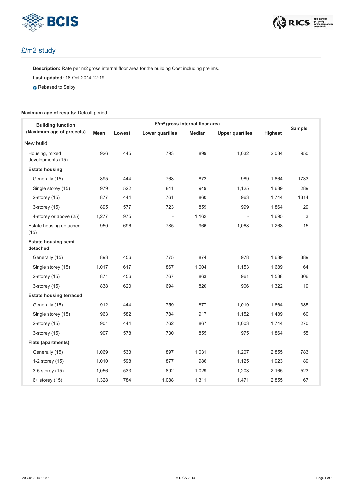



#### £/m2 study

**Description:** Rate per m2 gross internal floor area for the building Cost including prelims.

**Last updated:** 18-Oct-2014 12:19

**Rebased to Selby** 

#### **Maximum age of results:** Default period

| £/m <sup>2</sup> gross internal floor area<br><b>Building function</b> |       |        |                          |        |                          | Sample  |      |
|------------------------------------------------------------------------|-------|--------|--------------------------|--------|--------------------------|---------|------|
| (Maximum age of projects)                                              | Mean  | Lowest | Lower quartiles          | Median | <b>Upper quartiles</b>   | Highest |      |
| New build                                                              |       |        |                          |        |                          |         |      |
| Housing, mixed<br>developments (15)                                    | 926   | 445    | 793                      | 899    | 1,032                    | 2,034   | 950  |
| <b>Estate housing</b>                                                  |       |        |                          |        |                          |         |      |
| Generally (15)                                                         | 895   | 444    | 768                      | 872    | 989                      | 1,864   | 1733 |
| Single storey (15)                                                     | 979   | 522    | 841                      | 949    | 1,125                    | 1,689   | 289  |
| 2-storey $(15)$                                                        | 877   | 444    | 761                      | 860    | 963                      | 1,744   | 1314 |
| 3-storey (15)                                                          | 895   | 577    | 723                      | 859    | 999                      | 1,864   | 129  |
| 4-storey or above (25)                                                 | 1,277 | 975    | $\overline{\phantom{a}}$ | 1,162  | $\overline{\phantom{a}}$ | 1,695   | 3    |
| Estate housing detached<br>(15)                                        | 950   | 696    | 785                      | 966    | 1,068                    | 1,268   | 15   |
| <b>Estate housing semi</b><br>detached                                 |       |        |                          |        |                          |         |      |
| Generally (15)                                                         | 893   | 456    | 775                      | 874    | 978                      | 1,689   | 389  |
| Single storey (15)                                                     | 1,017 | 617    | 867                      | 1,004  | 1,153                    | 1,689   | 64   |
| $2$ -storey $(15)$                                                     | 871   | 456    | 767                      | 863    | 961                      | 1,538   | 306  |
| $3$ -storey $(15)$                                                     | 838   | 620    | 694                      | 820    | 906                      | 1,322   | 19   |
| <b>Estate housing terraced</b>                                         |       |        |                          |        |                          |         |      |
| Generally (15)                                                         | 912   | 444    | 759                      | 877    | 1,019                    | 1,864   | 385  |
| Single storey (15)                                                     | 963   | 582    | 784                      | 917    | 1,152                    | 1,489   | 60   |
| 2-storey $(15)$                                                        | 901   | 444    | 762                      | 867    | 1,003                    | 1,744   | 270  |
| $3$ -storey $(15)$                                                     | 907   | 578    | 730                      | 855    | 975                      | 1,864   | 55   |
| <b>Flats (apartments)</b>                                              |       |        |                          |        |                          |         |      |
| Generally (15)                                                         | 1,069 | 533    | 897                      | 1,031  | 1,207                    | 2,855   | 783  |
| 1-2 storey (15)                                                        | 1,010 | 598    | 877                      | 986    | 1,125                    | 1,923   | 189  |
| 3-5 storey (15)                                                        | 1,056 | 533    | 892                      | 1,029  | 1,203                    | 2,165   | 523  |
| $6+$ storey $(15)$                                                     | 1,328 | 784    | 1,088                    | 1,311  | 1,471                    | 2,855   | 67   |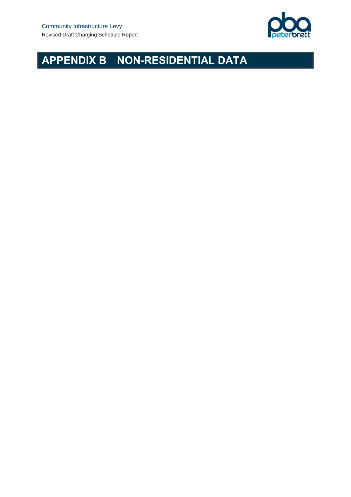

# **APPENDIX B NON-RESIDENTIAL DATA**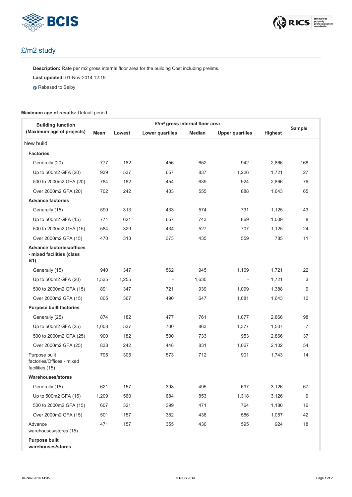



#### £/m2 study

**Description:** Rate per m2 gross internal floor area for the building Cost including prelims.

**Last updated:** 01-Nov-2014 12:19

**Rebased to Selby** 

#### **Maximum age of results:** Default period

| <b>Building function</b><br>(Maximum age of projects)                       | £/m <sup>2</sup> gross internal floor area |        |                          |        |                          |         |                |  |
|-----------------------------------------------------------------------------|--------------------------------------------|--------|--------------------------|--------|--------------------------|---------|----------------|--|
|                                                                             | Mean                                       | Lowest | Lower quartiles          | Median | <b>Upper quartiles</b>   | Highest | Sample         |  |
| New build                                                                   |                                            |        |                          |        |                          |         |                |  |
| <b>Factories</b>                                                            |                                            |        |                          |        |                          |         |                |  |
| Generally (20)                                                              | 777                                        | 182    | 456                      | 652    | 942                      | 2,866   | 168            |  |
| Up to 500m2 GFA (20)                                                        | 939                                        | 537    | 657                      | 837    | 1,226                    | 1,721   | 27             |  |
| 500 to 2000m2 GFA (20)                                                      | 784                                        | 182    | 454                      | 639    | 924                      | 2,866   | 76             |  |
| Over 2000m2 GFA (20)                                                        | 702                                        | 242    | 403                      | 555    | 888                      | 1,643   | 65             |  |
| <b>Advance factories</b>                                                    |                                            |        |                          |        |                          |         |                |  |
| Generally (15)                                                              | 590                                        | 313    | 433                      | 574    | 731                      | 1,125   | 43             |  |
| Up to 500m2 GFA (15)                                                        | 771                                        | 621    | 657                      | 743    | 869                      | 1,009   | 8              |  |
| 500 to 2000m2 GFA (15)                                                      | 584                                        | 329    | 434                      | 527    | 707                      | 1,125   | 24             |  |
| Over 2000m2 GFA (15)                                                        | 470                                        | 313    | 373                      | 435    | 559                      | 785     | 11             |  |
| <b>Advance factories/offices</b><br>- mixed facilities (class<br><b>B1)</b> |                                            |        |                          |        |                          |         |                |  |
| Generally (15)                                                              | 940                                        | 347    | 562                      | 945    | 1,169                    | 1,721   | 22             |  |
| Up to 500m2 GFA (20)                                                        | 1,535                                      | 1,255  | $\overline{\phantom{a}}$ | 1,630  | $\overline{\phantom{a}}$ | 1,721   | 3              |  |
| 500 to 2000m2 GFA (15)                                                      | 891                                        | 347    | 721                      | 939    | 1,099                    | 1,388   | 9              |  |
| Over 2000m2 GFA (15)                                                        | 805                                        | 367    | 490                      | 647    | 1,081                    | 1,643   | 10             |  |
| <b>Purpose built factories</b>                                              |                                            |        |                          |        |                          |         |                |  |
| Generally (25)                                                              | 874                                        | 182    | 477                      | 761    | 1,077                    | 2,866   | 98             |  |
| Up to 500m2 GFA (25)                                                        | 1,008                                      | 537    | 700                      | 863    | 1,377                    | 1,507   | $\overline{7}$ |  |
| 500 to 2000m2 GFA (25)                                                      | 900                                        | 182    | 500                      | 733    | 953                      | 2,866   | 37             |  |
| Over 2000m2 GFA (25)                                                        | 838                                        | 242    | 448                      | 831    | 1,067                    | 2,102   | 54             |  |
| Purpose built<br>factories/Offices - mixed<br>facilities (15)               | 795                                        | 305    | 573                      | 712    | 901                      | 1,743   | 14             |  |
| Warehouses/stores                                                           |                                            |        |                          |        |                          |         |                |  |
| Generally (15)                                                              | 621                                        | 157    | 398                      | 495    | 697                      | 3,126   | 67             |  |
| Up to 500m2 GFA (15)                                                        | 1,209                                      | 560    | 684                      | 853    | 1,318                    | 3,126   | 9              |  |
| 500 to 2000m2 GFA (15)                                                      | 607                                        | 321    | 399                      | 471    | 764                      | 1,180   | 16             |  |
| Over 2000m2 GFA (15)                                                        | 501                                        | 157    | 382                      | 438    | 586                      | 1,057   | 42             |  |
| Advance<br>warehouses/stores (15)                                           | 471                                        | 157    | 355                      | 430    | 595                      | 924     | 18             |  |

**Purpose built**

**warehouses/stores**